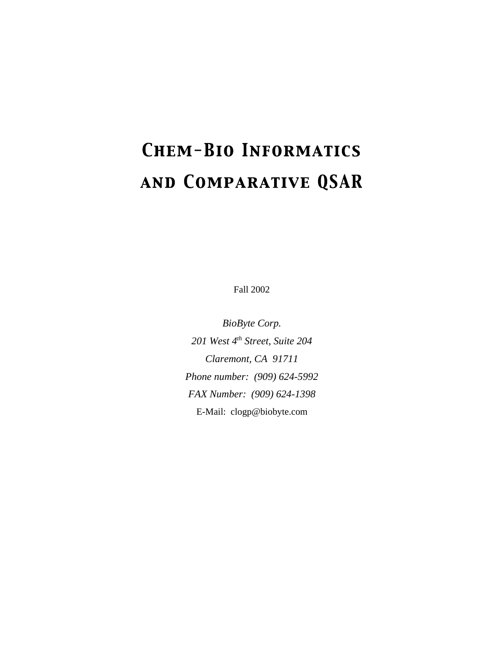# **CHEM-BIO INFORMATICS** AND COMPARATIVE QSAR

Fall 2002

*BioByte Corp. 201 West 4th Street, Suite 204 Claremont, CA 91711 Phone number: (909) 624-5992 FAX Number: (909) 624-1398* E-Mail: clogp@biobyte.com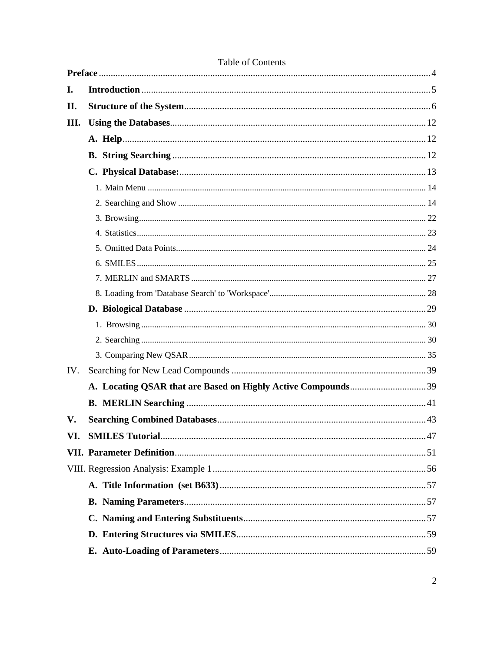|     | <b>LAVIC VI COMENTS</b> |  |
|-----|-------------------------|--|
| I.  |                         |  |
| П.  |                         |  |
| Ш.  |                         |  |
|     |                         |  |
|     |                         |  |
|     |                         |  |
|     |                         |  |
|     |                         |  |
|     |                         |  |
|     |                         |  |
|     |                         |  |
|     |                         |  |
|     |                         |  |
|     |                         |  |
|     |                         |  |
|     |                         |  |
|     |                         |  |
|     |                         |  |
| IV. |                         |  |
|     |                         |  |
|     |                         |  |
| V.  |                         |  |
| VI. |                         |  |
|     |                         |  |
|     |                         |  |
|     |                         |  |
|     |                         |  |
|     |                         |  |
|     |                         |  |
|     |                         |  |

# Table of Contents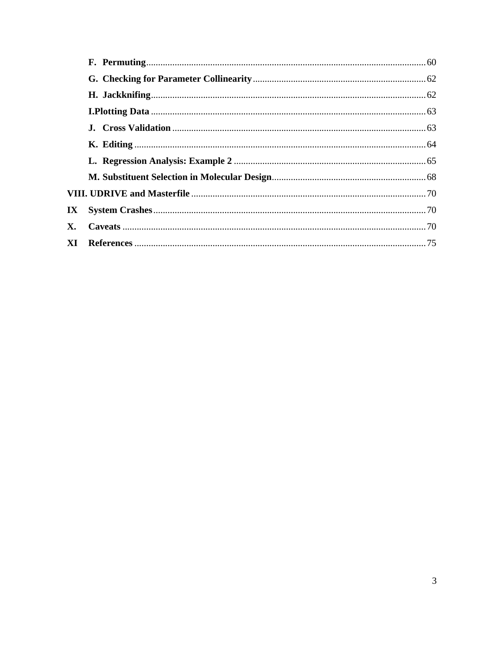| IX |  |
|----|--|
| X. |  |
|    |  |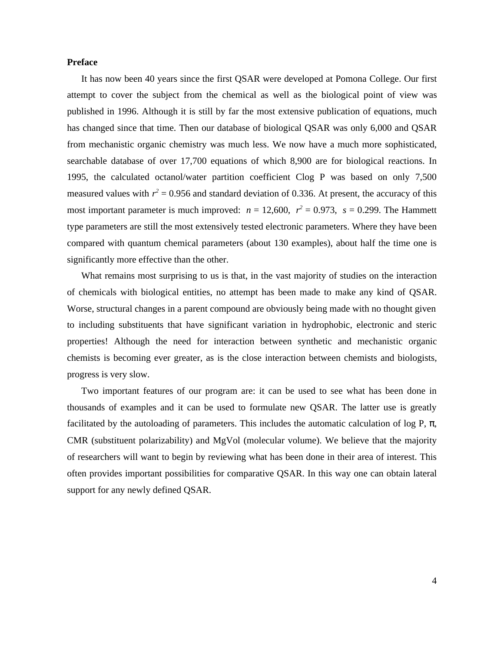# **Preface**

It has now been 40 years since the first QSAR were developed at Pomona College. Our first attempt to cover the subject from the chemical as well as the biological point of view was published in 1996. Although it is still by far the most extensive publication of equations, much has changed since that time. Then our database of biological QSAR was only 6,000 and QSAR from mechanistic organic chemistry was much less. We now have a much more sophisticated, searchable database of over 17,700 equations of which 8,900 are for biological reactions. In 1995, the calculated octanol/water partition coefficient Clog P was based on only 7,500 measured values with  $r^2 = 0.956$  and standard deviation of 0.336. At present, the accuracy of this most important parameter is much improved:  $n = 12,600$ ,  $r^2 = 0.973$ ,  $s = 0.299$ . The Hammett type parameters are still the most extensively tested electronic parameters. Where they have been compared with quantum chemical parameters (about 130 examples), about half the time one is significantly more effective than the other.

What remains most surprising to us is that, in the vast majority of studies on the interaction of chemicals with biological entities, no attempt has been made to make any kind of QSAR. Worse, structural changes in a parent compound are obviously being made with no thought given to including substituents that have significant variation in hydrophobic, electronic and steric properties! Although the need for interaction between synthetic and mechanistic organic chemists is becoming ever greater, as is the close interaction between chemists and biologists, progress is very slow.

Two important features of our program are: it can be used to see what has been done in thousands of examples and it can be used to formulate new QSAR. The latter use is greatly facilitated by the autoloading of parameters. This includes the automatic calculation of log P, , CMR (substituent polarizability) and MgVol (molecular volume). We believe that the majority of researchers will want to begin by reviewing what has been done in their area of interest. This often provides important possibilities for comparative QSAR. In this way one can obtain lateral support for any newly defined QSAR.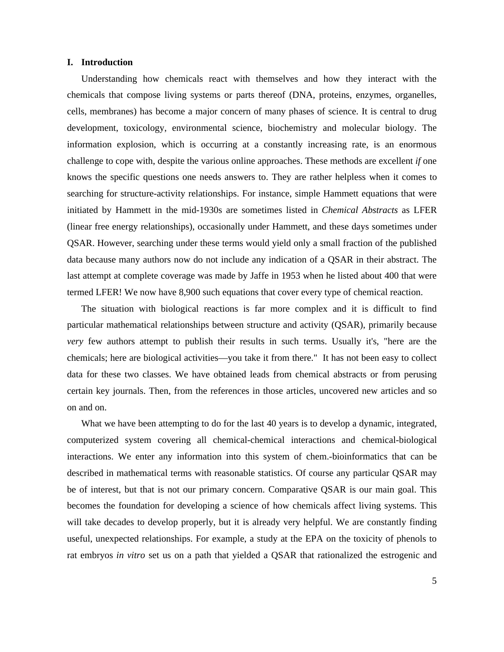### **I. Introduction**

Understanding how chemicals react with themselves and how they interact with the chemicals that compose living systems or parts thereof (DNA, proteins, enzymes, organelles, cells, membranes) has become a major concern of many phases of science. It is central to drug development, toxicology, environmental science, biochemistry and molecular biology. The information explosion, which is occurring at a constantly increasing rate, is an enormous challenge to cope with, despite the various online approaches. These methods are excellent *if* one knows the specific questions one needs answers to. They are rather helpless when it comes to searching for structure-activity relationships. For instance, simple Hammett equations that were initiated by Hammett in the mid-1930s are sometimes listed in *Chemical Abstracts* as LFER (linear free energy relationships), occasionally under Hammett, and these days sometimes under QSAR. However, searching under these terms would yield only a small fraction of the published data because many authors now do not include any indication of a QSAR in their abstract. The last attempt at complete coverage was made by Jaffe in 1953 when he listed about 400 that were termed LFER! We now have 8,900 such equations that cover every type of chemical reaction.

The situation with biological reactions is far more complex and it is difficult to find particular mathematical relationships between structure and activity (QSAR), primarily because *very* few authors attempt to publish their results in such terms. Usually it's, "here are the chemicals; here are biological activities—you take it from there." It has not been easy to collect data for these two classes. We have obtained leads from chemical abstracts or from perusing certain key journals. Then, from the references in those articles, uncovered new articles and so on and on.

What we have been attempting to do for the last 40 years is to develop a dynamic, integrated, computerized system covering all chemical-chemical interactions and chemical-biological interactions. We enter any information into this system of chem.-bioinformatics that can be described in mathematical terms with reasonable statistics. Of course any particular QSAR may be of interest, but that is not our primary concern. Comparative QSAR is our main goal. This becomes the foundation for developing a science of how chemicals affect living systems. This will take decades to develop properly, but it is already very helpful. We are constantly finding useful, unexpected relationships. For example, a study at the EPA on the toxicity of phenols to rat embryos *in vitro* set us on a path that yielded a QSAR that rationalized the estrogenic and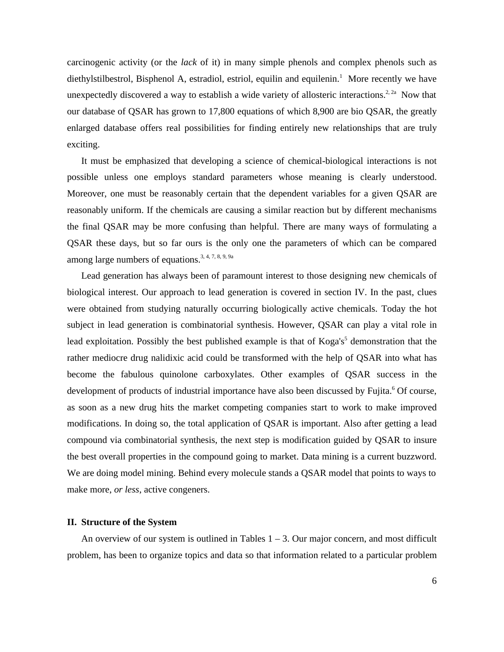carcinogenic activity (or the *lack* of it) in many simple phenols and complex phenols such as diethylstilbestrol, Bisphenol A, estradiol, estriol, equilin and equilenin.<sup>1</sup> More recently we have unexpectedly discovered a way to establish a wide variety of allosteric interactions.<sup>2, 2a</sup> Now that our database of QSAR has grown to 17,800 equations of which 8,900 are bio QSAR, the greatly enlarged database offers real possibilities for finding entirely new relationships that are truly exciting.

It must be emphasized that developing a science of chemical-biological interactions is not possible unless one employs standard parameters whose meaning is clearly understood. Moreover, one must be reasonably certain that the dependent variables for a given QSAR are reasonably uniform. If the chemicals are causing a similar reaction but by different mechanisms the final QSAR may be more confusing than helpful. There are many ways of formulating a QSAR these days, but so far ours is the only one the parameters of which can be compared among large numbers of equations.3, 4, 7, 8, 9, 9a

Lead generation has always been of paramount interest to those designing new chemicals of biological interest. Our approach to lead generation is covered in section IV. In the past, clues were obtained from studying naturally occurring biologically active chemicals. Today the hot subject in lead generation is combinatorial synthesis. However, QSAR can play a vital role in lead exploitation. Possibly the best published example is that of Koga's<sup>5</sup> demonstration that the rather mediocre drug nalidixic acid could be transformed with the help of QSAR into what has become the fabulous quinolone carboxylates. Other examples of QSAR success in the development of products of industrial importance have also been discussed by Fujita.<sup>6</sup> Of course, as soon as a new drug hits the market competing companies start to work to make improved modifications. In doing so, the total application of QSAR is important. Also after getting a lead compound via combinatorial synthesis, the next step is modification guided by QSAR to insure the best overall properties in the compound going to market. Data mining is a current buzzword. We are doing model mining. Behind every molecule stands a QSAR model that points to ways to make more, *or less*, active congeners.

## **II. Structure of the System**

An overview of our system is outlined in Tables  $1 - 3$ . Our major concern, and most difficult problem, has been to organize topics and data so that information related to a particular problem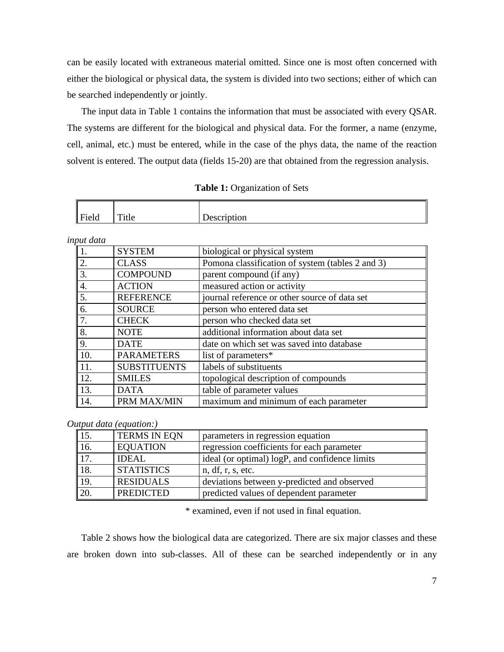can be easily located with extraneous material omitted. Since one is most often concerned with either the biological or physical data, the system is divided into two sections; either of which can be searched independently or jointly.

The input data in Table 1 contains the information that must be associated with every QSAR. The systems are different for the biological and physical data. For the former, a name (enzyme, cell, animal, etc.) must be entered, while in the case of the phys data, the name of the reaction solvent is entered. The output data (fields 15-20) are that obtained from the regression analysis.

| Field | $T = 1.1$<br><b>TINC</b> | Description |
|-------|--------------------------|-------------|

| input data |  |
|------------|--|
|------------|--|

| $\overline{\mathcal{L}}$                                                          | <b>SYSTEM</b>       | biological or physical system                    |
|-----------------------------------------------------------------------------------|---------------------|--------------------------------------------------|
| $\frac{2}{3}$                                                                     | <b>CLASS</b>        | Pomona classification of system (tables 2 and 3) |
|                                                                                   | <b>COMPOUND</b>     | parent compound (if any)                         |
| $\frac{4}{5}$                                                                     | <b>ACTION</b>       | measured action or activity                      |
|                                                                                   | <b>REFERENCE</b>    | journal reference or other source of data set    |
| $\overline{6}$                                                                    | <b>SOURCE</b>       | person who entered data set                      |
| $\begin{array}{ c c }\n\hline\n7. & 8. \\ \hline\n8. & 9. \\ \hline\n\end{array}$ | <b>CHECK</b>        | person who checked data set                      |
|                                                                                   | <b>NOTE</b>         | additional information about data set            |
|                                                                                   | <b>DATE</b>         | date on which set was saved into database        |
| 10.                                                                               | <b>PARAMETERS</b>   | list of parameters*                              |
| $\vert$ 11.                                                                       | <b>SUBSTITUENTS</b> | labels of substituents                           |
| <sup>12.</sup>                                                                    | <b>SMILES</b>       | topological description of compounds             |
| $\vert$ 13.                                                                       | <b>DATA</b>         | table of parameter values                        |
| $\vert$ 14.                                                                       | PRM MAX/MIN         | maximum and minimum of each parameter            |

*Output data (equation:)*

| 15.               | <b>TERMS IN EQN</b> | parameters in regression equation              |
|-------------------|---------------------|------------------------------------------------|
| 16.               | <b>EQUATION</b>     | regression coefficients for each parameter     |
| $\overline{17}$ . | <b>IDEAL</b>        | ideal (or optimal) logP, and confidence limits |
| 18.               | <b>STATISTICS</b>   | n, df, r, s, etc.                              |
| 19.               | <b>RESIDUALS</b>    | deviations between y-predicted and observed    |
| 20.               | <b>PREDICTED</b>    | predicted values of dependent parameter        |

\* examined, even if not used in final equation.

Table 2 shows how the biological data are categorized. There are six major classes and these are broken down into sub-classes. All of these can be searched independently or in any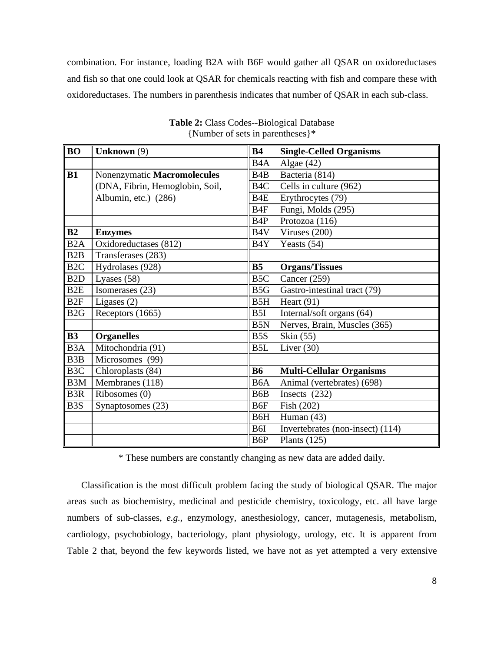combination. For instance, loading B2A with B6F would gather all QSAR on oxidoreductases and fish so that one could look at QSAR for chemicals reacting with fish and compare these with oxidoreductases. The numbers in parenthesis indicates that number of QSAR in each sub-class.

| <b>BO</b>        | <b>Unknown</b> (9)              | <b>B4</b>        | <b>Single-Celled Organisms</b>   |  |
|------------------|---------------------------------|------------------|----------------------------------|--|
|                  |                                 | B <sub>4</sub> A | Algae $(42)$                     |  |
| B1               | Nonenzymatic Macromolecules     | B <sub>4</sub> B | Bacteria (814)                   |  |
|                  | (DNA, Fibrin, Hemoglobin, Soil, | B <sub>4</sub> C | Cells in culture (962)           |  |
|                  | Albumin, etc.) (286)            | B <sub>4</sub> E | Erythrocytes (79)                |  |
|                  |                                 | B <sub>4F</sub>  | Fungi, Molds (295)               |  |
|                  |                                 | B <sub>4</sub> P | Protozoa (116)                   |  |
| B2               | <b>Enzymes</b>                  | B <sub>4</sub> V | Viruses (200)                    |  |
| B <sub>2</sub> A | Oxidoreductases (812)           | B4Y              | Yeasts (54)                      |  |
| B2B              | Transferases (283)              |                  |                                  |  |
| B <sub>2C</sub>  | Hydrolases (928)                | B <sub>5</sub>   | <b>Organs/Tissues</b>            |  |
| B <sub>2</sub> D | Lyases $(58)$                   | B <sub>5</sub> C | Cancer (259)                     |  |
| B <sub>2</sub> E | Isomerases (23)                 | B <sub>5</sub> G | Gastro-intestinal tract (79)     |  |
| B <sub>2F</sub>  | Ligases $(2)$                   | B <sub>5</sub> H | Heart $(91)$                     |  |
| B <sub>2G</sub>  | Receptors (1665)                | B5I              | Internal/soft organs (64)        |  |
|                  |                                 | B <sub>5</sub> N | Nerves, Brain, Muscles (365)     |  |
| <b>B3</b>        | <b>Organelles</b>               | B <sub>5</sub> S | Skin (55)                        |  |
| B <sub>3</sub> A | Mitochondria (91)               | B <sub>5</sub> L | Liver $(30)$                     |  |
| B <sub>3</sub> B | Microsomes (99)                 |                  |                                  |  |
| B <sub>3</sub> C | Chloroplasts (84)               | <b>B6</b>        | <b>Multi-Cellular Organisms</b>  |  |
| B <sub>3</sub> M | $M$ embranes (118)              | B <sub>6</sub> A | Animal (vertebrates) (698)       |  |
| B <sub>3R</sub>  | Ribosomes (0)                   | B <sub>6</sub> B | Insects $(232)$                  |  |
| B <sub>3</sub> S | Synaptosomes (23)               | B6F              | Fish (202)                       |  |
|                  |                                 | B6H              | Human $(43)$                     |  |
|                  |                                 | B6I              | Invertebrates (non-insect) (114) |  |
|                  |                                 | B6P              | Plants $(125)$                   |  |

**Table 2:** Class Codes--Biological Database {Number of sets in parentheses}\*

\* These numbers are constantly changing as new data are added daily.

Classification is the most difficult problem facing the study of biological QSAR. The major areas such as biochemistry, medicinal and pesticide chemistry, toxicology, etc. all have large numbers of sub-classes, *e.g.,* enzymology, anesthesiology, cancer, mutagenesis, metabolism, cardiology, psychobiology, bacteriology, plant physiology, urology, etc. It is apparent from Table 2 that, beyond the few keywords listed, we have not as yet attempted a very extensive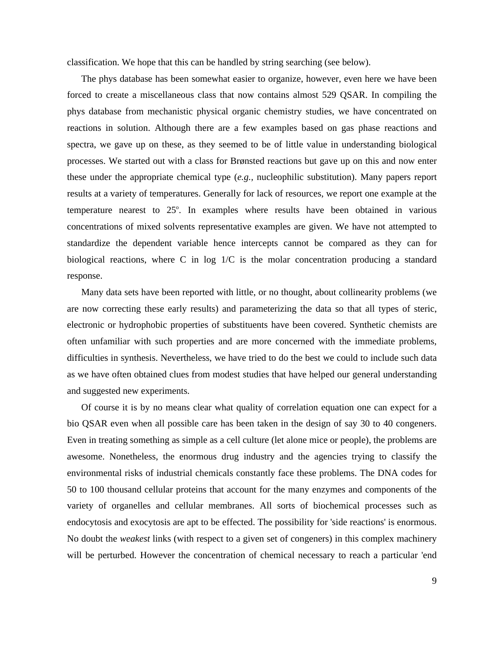classification. We hope that this can be handled by string searching (see below).

The phys database has been somewhat easier to organize, however, even here we have been forced to create a miscellaneous class that now contains almost 529 QSAR. In compiling the phys database from mechanistic physical organic chemistry studies, we have concentrated on reactions in solution. Although there are a few examples based on gas phase reactions and spectra, we gave up on these, as they seemed to be of little value in understanding biological processes. We started out with a class for Brønsted reactions but gave up on this and now enter these under the appropriate chemical type (*e.g.,* nucleophilic substitution). Many papers report results at a variety of temperatures. Generally for lack of resources, we report one example at the temperature nearest to  $25^\circ$ . In examples where results have been obtained in various concentrations of mixed solvents representative examples are given. We have not attempted to standardize the dependent variable hence intercepts cannot be compared as they can for biological reactions, where C in log 1/C is the molar concentration producing a standard response.

Many data sets have been reported with little, or no thought, about collinearity problems (we are now correcting these early results) and parameterizing the data so that all types of steric, electronic or hydrophobic properties of substituents have been covered. Synthetic chemists are often unfamiliar with such properties and are more concerned with the immediate problems, difficulties in synthesis. Nevertheless, we have tried to do the best we could to include such data as we have often obtained clues from modest studies that have helped our general understanding and suggested new experiments.

Of course it is by no means clear what quality of correlation equation one can expect for a bio QSAR even when all possible care has been taken in the design of say 30 to 40 congeners. Even in treating something as simple as a cell culture (let alone mice or people), the problems are awesome. Nonetheless, the enormous drug industry and the agencies trying to classify the environmental risks of industrial chemicals constantly face these problems. The DNA codes for 50 to 100 thousand cellular proteins that account for the many enzymes and components of the variety of organelles and cellular membranes. All sorts of biochemical processes such as endocytosis and exocytosis are apt to be effected. The possibility for 'side reactions' is enormous. No doubt the *weakest* links (with respect to a given set of congeners) in this complex machinery will be perturbed. However the concentration of chemical necessary to reach a particular 'end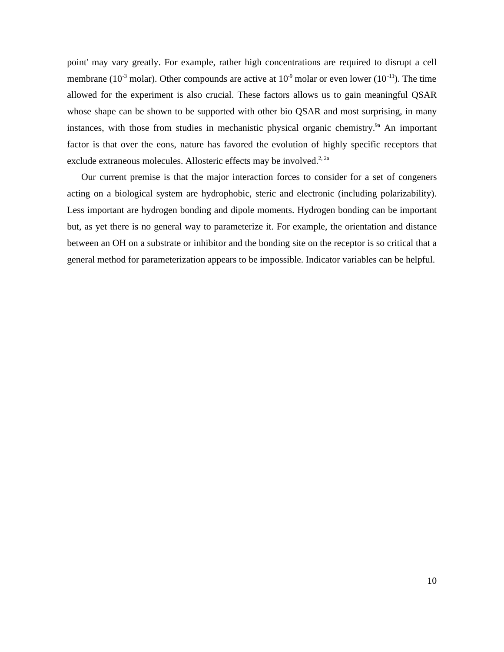point' may vary greatly. For example, rather high concentrations are required to disrupt a cell membrane (10<sup>-3</sup> molar). Other compounds are active at  $10^{-9}$  molar or even lower (10<sup>-11</sup>). The time allowed for the experiment is also crucial. These factors allows us to gain meaningful QSAR whose shape can be shown to be supported with other bio QSAR and most surprising, in many instances, with those from studies in mechanistic physical organic chemistry.<sup>9a</sup> An important factor is that over the eons, nature has favored the evolution of highly specific receptors that exclude extraneous molecules. Allosteric effects may be involved.<sup>2, 2a</sup>

Our current premise is that the major interaction forces to consider for a set of congeners acting on a biological system are hydrophobic, steric and electronic (including polarizability). Less important are hydrogen bonding and dipole moments. Hydrogen bonding can be important but, as yet there is no general way to parameterize it. For example, the orientation and distance between an OH on a substrate or inhibitor and the bonding site on the receptor is so critical that a general method for parameterization appears to be impossible. Indicator variables can be helpful.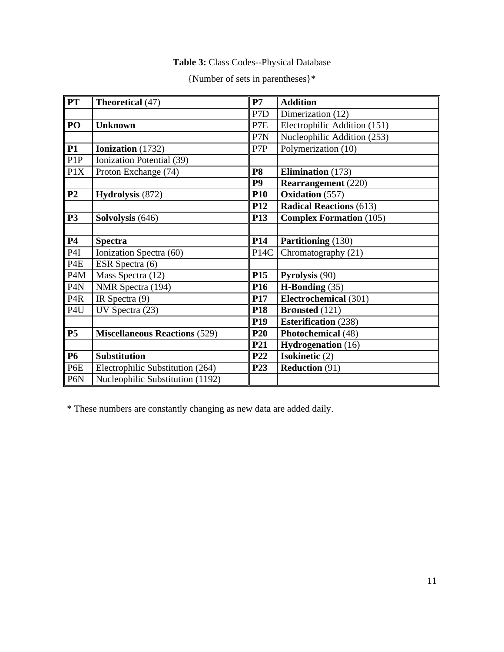# **Table 3:** Class Codes--Physical Database

| {Number of sets in parentheses}* |  |  |
|----------------------------------|--|--|
|----------------------------------|--|--|

| <b>PT</b>        | Theoretical (47)                     | P7                | <b>Addition</b>                     |
|------------------|--------------------------------------|-------------------|-------------------------------------|
|                  |                                      | P7D               | Dimerization (12)                   |
| PO               | <b>Unknown</b>                       | P7E               | Electrophilic Addition (151)        |
|                  |                                      | P7N               | Nucleophilic Addition (253)         |
| <b>P1</b>        | Ionization (1732)                    | P7P               | Polymerization (10)                 |
| P <sub>1</sub> P | Ionization Potential (39)            |                   |                                     |
| P1X              | Proton Exchange (74)                 | P <sub>8</sub>    | Elimination (173)                   |
|                  |                                      | P <sub>9</sub>    | <b>Rearrangement</b> (220)          |
| P <sub>2</sub>   | Hydrolysis (872)                     | <b>P10</b>        | Oxidation (557)                     |
|                  |                                      | P <sub>12</sub>   | <b>Radical Reactions (613)</b>      |
| <b>P3</b>        | Solvolysis (646)                     | P13               | <b>Complex Formation (105)</b>      |
|                  |                                      |                   |                                     |
| P4               | <b>Spectra</b>                       | P <sub>14</sub>   | <b>Partitioning (130)</b>           |
| P <sub>4</sub> I | Ionization Spectra (60)              | P <sub>14</sub> C | Chromatography (21)                 |
| P <sub>4</sub> E | ESR Spectra (6)                      |                   |                                     |
| P <sub>4</sub> M | Mass Spectra (12)                    | P <sub>15</sub>   | <b>Pyrolysis</b> (90)               |
| P <sub>4</sub> N | NMR Spectra (194)                    | P <sub>16</sub>   | $\overline{H\text{-}B}$ onding (35) |
| P <sub>4</sub> R | IR Spectra (9)                       | P17               | Electrochemical (301)               |
| P <sub>4</sub> U | UV Spectra (23)                      | P <sub>18</sub>   | Brønsted (121)                      |
|                  |                                      | P <sub>19</sub>   | <b>Esterification</b> (238)         |
| <b>P5</b>        | <b>Miscellaneous Reactions (529)</b> | P <sub>20</sub>   | Photochemical (48)                  |
|                  |                                      | P21               | <b>Hydrogenation</b> (16)           |
| <b>P6</b>        | <b>Substitution</b>                  | P <sub>22</sub>   | Isokinetic (2)                      |
| P6E              | Electrophilic Substitution (264)     | P <sub>23</sub>   | <b>Reduction (91)</b>               |
| P6N              | Nucleophilic Substitution (1192)     |                   |                                     |

\* These numbers are constantly changing as new data are added daily.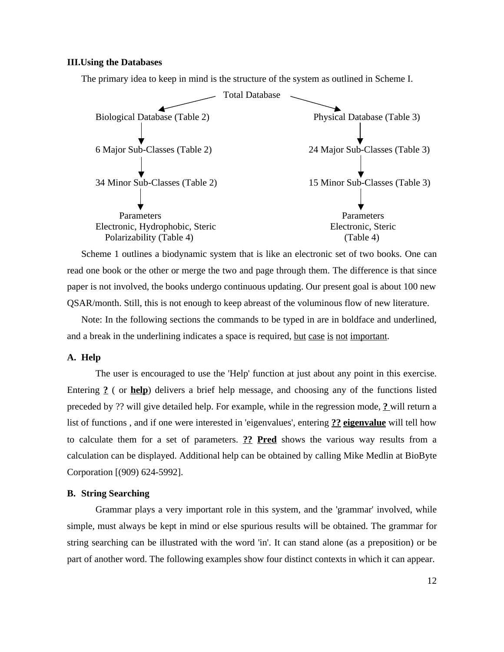### **III.Using the Databases**

The primary idea to keep in mind is the structure of the system as outlined in Scheme I.



Scheme 1 outlines a biodynamic system that is like an electronic set of two books. One can read one book or the other or merge the two and page through them. The difference is that since paper is not involved, the books undergo continuous updating. Our present goal is about 100 new QSAR/month. Still, this is not enough to keep abreast of the voluminous flow of new literature.

Note: In the following sections the commands to be typed in are in boldface and underlined, and a break in the underlining indicates a space is required, but case is not important.

# **A. Help**

The user is encouraged to use the 'Help' function at just about any point in this exercise. Entering **?** ( or **help**) delivers a brief help message, and choosing any of the functions listed preceded by ?? will give detailed help. For example, while in the regression mode, **?** will return a list of functions , and if one were interested in 'eigenvalues', entering **?? eigenvalue** will tell how to calculate them for a set of parameters. **?? Pred** shows the various way results from a calculation can be displayed. Additional help can be obtained by calling Mike Medlin at BioByte Corporation [(909) 624-5992].

# **B. String Searching**

Grammar plays a very important role in this system, and the 'grammar' involved, while simple, must always be kept in mind or else spurious results will be obtained. The grammar for string searching can be illustrated with the word 'in'. It can stand alone (as a preposition) or be part of another word. The following examples show four distinct contexts in which it can appear.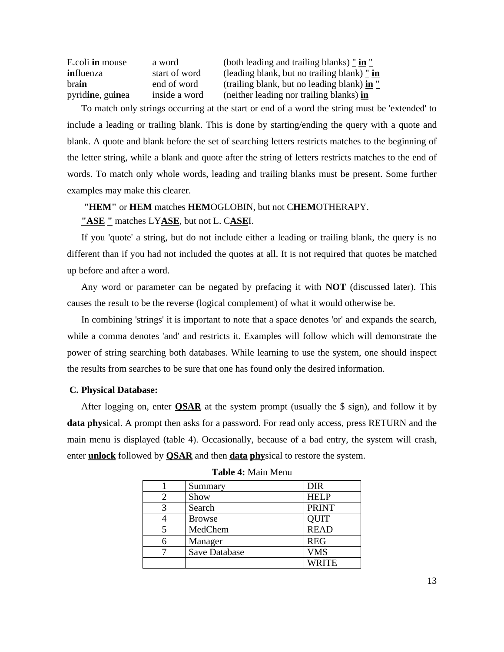| E.coli in mouse  | a word        | (both leading and trailing blanks) $\frac{\pi}{2}$ in $\frac{\pi}{2}$ |
|------------------|---------------|-----------------------------------------------------------------------|
| influenza        | start of word | (leading blank, but no trailing blank) $\frac{\pi}{2}$ in             |
| brain            | end of word   | (trailing blank, but no leading blank) in "                           |
| pyridine, guinea | inside a word | (neither leading nor trailing blanks) in                              |

To match only strings occurring at the start or end of a word the string must be 'extended' to include a leading or trailing blank. This is done by starting/ending the query with a quote and blank. A quote and blank before the set of searching letters restricts matches to the beginning of the letter string, while a blank and quote after the string of letters restricts matches to the end of words. To match only whole words, leading and trailing blanks must be present. Some further examples may make this clearer.

**"HEM"** or **HEM** matches **HEM**OGLOBIN, but not C**HEM**OTHERAPY.

# **"ASE "** matches LY**ASE**, but not L. C**ASE**I.

If you 'quote' a string, but do not include either a leading or trailing blank, the query is no different than if you had not included the quotes at all. It is not required that quotes be matched up before and after a word.

Any word or parameter can be negated by prefacing it with **NOT** (discussed later). This causes the result to be the reverse (logical complement) of what it would otherwise be.

In combining 'strings' it is important to note that a space denotes 'or' and expands the search, while a comma denotes 'and' and restricts it. Examples will follow which will demonstrate the power of string searching both databases. While learning to use the system, one should inspect the results from searches to be sure that one has found only the desired information.

# **C. Physical Database:**

After logging on, enter **QSAR** at the system prompt (usually the \$ sign), and follow it by **data phys**ical. A prompt then asks for a password. For read only access, press RETURN and the main menu is displayed (table 4). Occasionally, because of a bad entry, the system will crash, enter **unlock** followed by **QSAR** and then **data phy**sical to restore the system.

| Summary              | <b>DIR</b>   |
|----------------------|--------------|
| Show                 | <b>HELP</b>  |
| Search               | <b>PRINT</b> |
| <b>Browse</b>        | <b>QUIT</b>  |
| MedChem              | <b>READ</b>  |
| Manager              | <b>REG</b>   |
| <b>Save Database</b> | <b>VMS</b>   |
|                      | <b>WRITE</b> |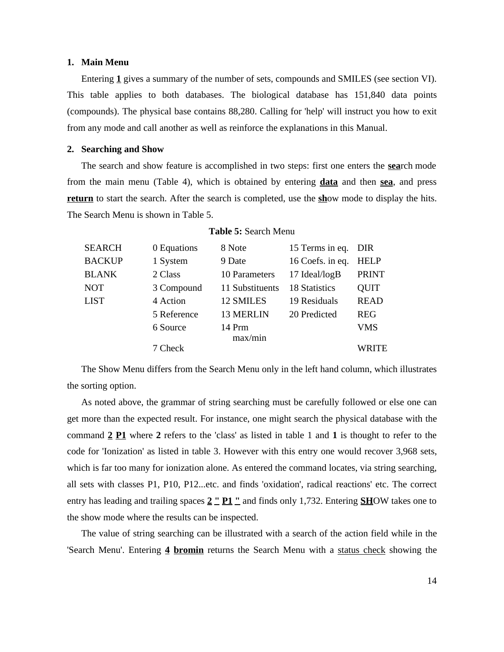### **1. Main Menu**

Entering **1** gives a summary of the number of sets, compounds and SMILES (see section VI). This table applies to both databases. The biological database has 151,840 data points (compounds). The physical base contains 88,280. Calling for 'help' will instruct you how to exit from any mode and call another as well as reinforce the explanations in this Manual.

# **2. Searching and Show**

The search and show feature is accomplished in two steps: first one enters the **sea**rch mode from the main menu (Table 4), which is obtained by entering **data** and then **sea**, and press **return** to start the search. After the search is completed, use the **sh**ow mode to display the hits. The Search Menu is shown in Table 5.

| SEARCH        | 0 Equations | 8 Note          | 15 Terms in eq. DIR |              |
|---------------|-------------|-----------------|---------------------|--------------|
| <b>BACKUP</b> | 1 System    | 9 Date          | 16 Coefs. in eq.    | <b>HELP</b>  |
| <b>BLANK</b>  | 2 Class     | 10 Parameters   | 17 Ideal/logB       | <b>PRINT</b> |
| NOT           | 3 Compound  | 11 Substituents | 18 Statistics       | <b>QUIT</b>  |
| <b>LIST</b>   | 4 Action    | 12 SMILES       | 19 Residuals        | <b>READ</b>  |
|               | 5 Reference | 13 MERLIN       | 20 Predicted        | <b>REG</b>   |
|               | 6 Source    | 14 Prm          |                     | <b>VMS</b>   |
|               |             | max/min         |                     |              |
|               | 7 Check     |                 |                     | WRITE        |
|               |             |                 |                     |              |

### **Table 5:** Search Menu

The Show Menu differs from the Search Menu only in the left hand column, which illustrates the sorting option.

As noted above, the grammar of string searching must be carefully followed or else one can get more than the expected result. For instance, one might search the physical database with the command **2 P1** where **2** refers to the 'class' as listed in table 1 and **1** is thought to refer to the code for 'Ionization' as listed in table 3. However with this entry one would recover 3,968 sets, which is far too many for ionization alone. As entered the command locates, via string searching, all sets with classes P1, P10, P12...etc. and finds 'oxidation', radical reactions' etc. The correct entry has leading and trailing spaces **2 " P1 "** and finds only 1,732. Entering **SH**OW takes one to the show mode where the results can be inspected.

The value of string searching can be illustrated with a search of the action field while in the 'Search Menu'. Entering **4 bromin** returns the Search Menu with a status check showing the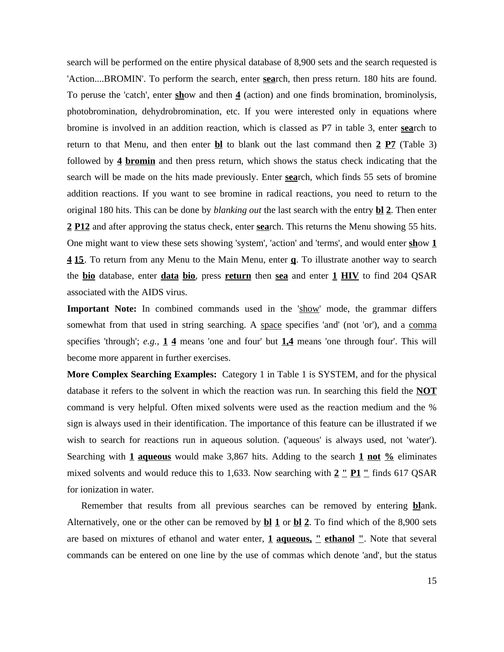search will be performed on the entire physical database of 8,900 sets and the search requested is 'Action....BROMIN'. To perform the search, enter **sea**rch, then press return. 180 hits are found. To peruse the 'catch', enter **sh**ow and then **4** (action) and one finds bromination, brominolysis, photobromination, dehydrobromination, etc. If you were interested only in equations where bromine is involved in an addition reaction, which is classed as P7 in table 3, enter **sea**rch to return to that Menu, and then enter **bl** to blank out the last command then **2 P7** (Table 3) followed by **4 bromin** and then press return, which shows the status check indicating that the search will be made on the hits made previously. Enter **sea**rch, which finds 55 sets of bromine addition reactions. If you want to see bromine in radical reactions, you need to return to the original 180 hits. This can be done by *blanking out* the last search with the entry **bl 2**. Then enter **2 P12** and after approving the status check, enter **sea**rch. This returns the Menu showing 55 hits. One might want to view these sets showing 'system', 'action' and 'terms', and would enter **sh**ow **1 4 15**. To return from any Menu to the Main Menu, enter **q**. To illustrate another way to search the **bio** database, enter **data bio**, press **return** then **sea** and enter **1 HIV** to find 204 QSAR associated with the AIDS virus.

**Important Note:** In combined commands used in the  $\frac{\text{Show}}{\text{mode}}$ , the grammar differs somewhat from that used in string searching. A space specifies 'and' (not 'or'), and a comma specifies 'through'; *e.g.,* **1 4** means 'one and four' but **1,4** means 'one through four'. This will become more apparent in further exercises.

**More Complex Searching Examples:** Category 1 in Table 1 is SYSTEM, and for the physical database it refers to the solvent in which the reaction was run. In searching this field the **NOT** command is very helpful. Often mixed solvents were used as the reaction medium and the % sign is always used in their identification. The importance of this feature can be illustrated if we wish to search for reactions run in aqueous solution. ('aqueous' is always used, not 'water'). Searching with **1 aqueous** would make 3,867 hits. Adding to the search **1 not %** eliminates mixed solvents and would reduce this to 1,633. Now searching with **2 " P1 "** finds 617 QSAR for ionization in water.

Remember that results from all previous searches can be removed by entering **bl**ank. Alternatively, one or the other can be removed by **bl 1** or **bl 2**. To find which of the 8,900 sets are based on mixtures of ethanol and water enter, **1 aqueous, " ethanol "**. Note that several commands can be entered on one line by the use of commas which denote 'and', but the status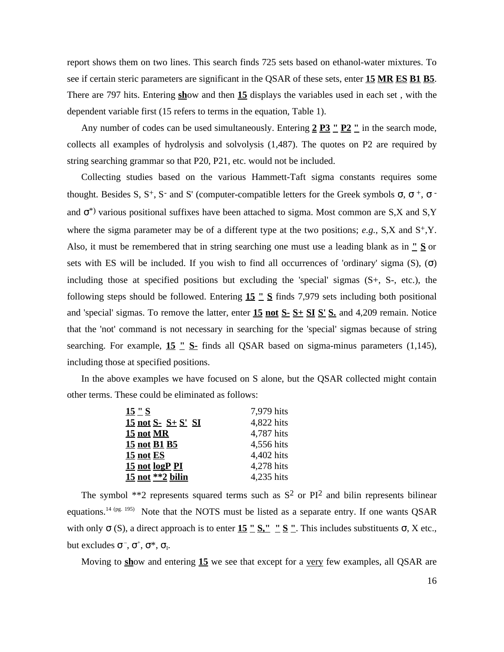report shows them on two lines. This search finds 725 sets based on ethanol-water mixtures. To see if certain steric parameters are significant in the QSAR of these sets, enter **15 MR ES B1 B5**. There are 797 hits. Entering **sh**ow and then **15** displays the variables used in each set , with the dependent variable first (15 refers to terms in the equation, Table 1).

Any number of codes can be used simultaneously. Entering **2 P3 " P2 "** in the search mode, collects all examples of hydrolysis and solvolysis (1,487). The quotes on P2 are required by string searching grammar so that P20, P21, etc. would not be included.

Collecting studies based on the various Hammett-Taft sigma constants requires some thought. Besides S,  $S^+$ , S and S' (computer-compatible letters for the Greek symbols ,  $\rightarrow$ and \*) various positional suffixes have been attached to sigma. Most common are S,X and S,Y where the sigma parameter may be of a different type at the two positions;  $e.g., S,X$  and  $S^+, Y$ . Also, it must be remembered that in string searching one must use a leading blank as in **" S** or sets with ES will be included. If you wish to find all occurrences of 'ordinary' sigma (S), ( ) including those at specified positions but excluding the 'special' sigmas  $(S<sup>+</sup>, S<sup>-</sup>, etc.),$  the following steps should be followed. Entering **15 " S** finds 7,979 sets including both positional and 'special' sigmas. To remove the latter, enter **15 not S- S+ SI S' S.** and 4,209 remain. Notice that the 'not' command is not necessary in searching for the 'special' sigmas because of string searching. For example, **15 " S-** finds all QSAR based on sigma-minus parameters (1,145), including those at specified positions.

In the above examples we have focused on S alone, but the QSAR collected might contain other terms. These could be eliminated as follows:

| 15 "S                  | 7,979 hits |
|------------------------|------------|
| $15$ not S- $S+ S'$ SI | 4,822 hits |
| <b>15 not MR</b>       | 4,787 hits |
| <u>15 not B1 B5</u>    | 4,556 hits |
| <b>15 not ES</b>       | 4,402 hits |
| 15 not logP PI         | 4,278 hits |
| $15$ not $*$ 2 bilin   | 4,235 hits |

The symbol  $**2$  represents squared terms such as  $S^2$  or  $PI^2$  and bilin represents bilinear equations.<sup>14 (pg. 195)</sup> Note that the NOTS must be listed as a separate entry. If one wants QSAR with only (S), a direct approach is to enter  $15 \text{''}$  S,  $\text{''}$  S  $\text{''}$ . This includes substituents , X etc., but excludes  $\overline{\phantom{a}}, \phantom{\overline{a}}, \phantom{\overline{a}}, \phantom{\overline{a}}, \phantom{\overline{a}}$ 

Moving to **sh**ow and entering **15** we see that except for a very few examples, all QSAR are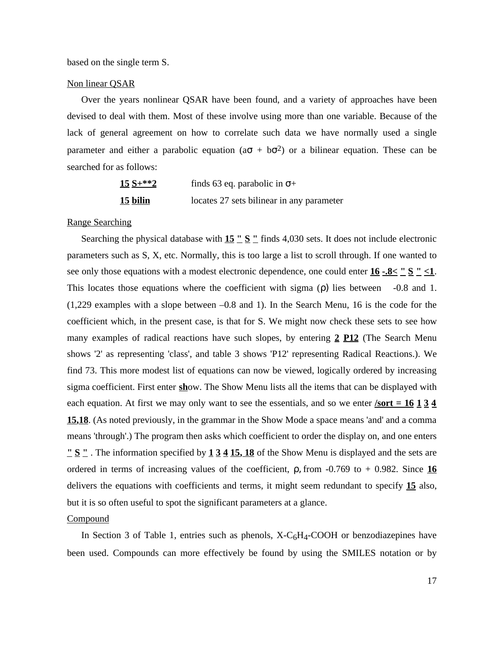based on the single term S.

### Non linear QSAR

Over the years nonlinear QSAR have been found, and a variety of approaches have been devised to deal with them. Most of these involve using more than one variable. Because of the lack of general agreement on how to correlate such data we have normally used a single parameter and either a parabolic equation (a  $+ b<sup>2</sup>$ ) or a bilinear equation. These can be searched for as follows:

| $15 S+**2$       | finds 63 eq. parabolic in $+$             |  |
|------------------|-------------------------------------------|--|
| <u> 15 bilin</u> | locates 27 sets bilinear in any parameter |  |

## Range Searching

Searching the physical database with **15** "  $S$  " finds 4,030 sets. It does not include electronic parameters such as S, X, etc. Normally, this is too large a list to scroll through. If one wanted to see only those equations with a modest electronic dependence, one could enter  $16 - .8 \leq$  " $\leq$  " $\leq$  1. This locates those equations where the coefficient with sigma () lies between -0.8 and 1. (1,229 examples with a slope between –0.8 and 1). In the Search Menu, 16 is the code for the coefficient which, in the present case, is that for S. We might now check these sets to see how many examples of radical reactions have such slopes, by entering **2 P12** (The Search Menu shows '2' as representing 'class', and table 3 shows 'P12' representing Radical Reactions.). We find 73. This more modest list of equations can now be viewed, logically ordered by increasing sigma coefficient. First enter **sh**ow. The Show Menu lists all the items that can be displayed with each equation. At first we may only want to see the essentials, and so we enter *sort* =  $16\overline{134}$ **15,18**. (As noted previously, in the grammar in the Show Mode a space means 'and' and a comma means 'through'.) The program then asks which coefficient to order the display on, and one enters **" S "** . The information specified by **1 3 4 15, 18** of the Show Menu is displayed and the sets are ordered in terms of increasing values of the coefficient,  $\alpha$ , from -0.769 to + 0.982. Since 16 delivers the equations with coefficients and terms, it might seem redundant to specify **15** also, but it is so often useful to spot the significant parameters at a glance.

#### **Compound**

In Section 3 of Table 1, entries such as phenols,  $X-C<sub>6</sub>H<sub>4</sub>-COOH$  or benzodiazepines have been used. Compounds can more effectively be found by using the SMILES notation or by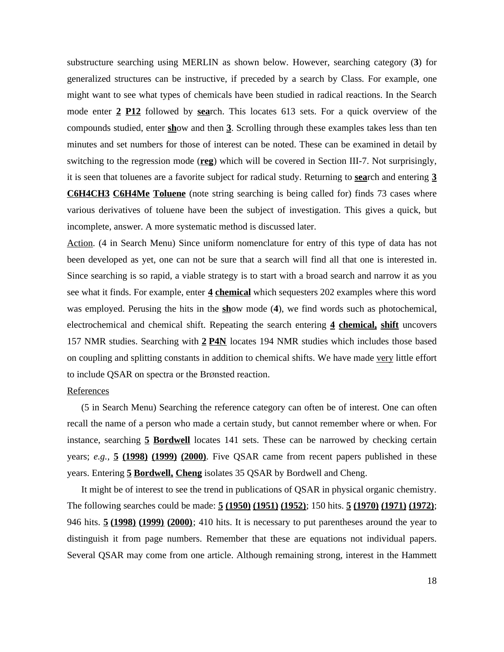substructure searching using MERLIN as shown below. However, searching category (**3**) for generalized structures can be instructive, if preceded by a search by Class. For example, one might want to see what types of chemicals have been studied in radical reactions. In the Search mode enter **2 P12** followed by **sea**rch. This locates 613 sets. For a quick overview of the compounds studied, enter **sh**ow and then **3**. Scrolling through these examples takes less than ten minutes and set numbers for those of interest can be noted. These can be examined in detail by switching to the regression mode (**reg**) which will be covered in Section III-7. Not surprisingly, it is seen that toluenes are a favorite subject for radical study. Returning to **sea**rch and entering **3 C6H4CH3 C6H4Me Toluene** (note string searching is being called for) finds 73 cases where various derivatives of toluene have been the subject of investigation. This gives a quick, but incomplete, answer. A more systematic method is discussed later.

Action. (4 in Search Menu) Since uniform nomenclature for entry of this type of data has not been developed as yet, one can not be sure that a search will find all that one is interested in. Since searching is so rapid, a viable strategy is to start with a broad search and narrow it as you see what it finds. For example, enter **4 chemical** which sequesters 202 examples where this word was employed. Perusing the hits in the **sh**ow mode (**4**), we find words such as photochemical, electrochemical and chemical shift. Repeating the search entering **4 chemical, shift** uncovers 157 NMR studies. Searching with **2 P4N** locates 194 NMR studies which includes those based on coupling and splitting constants in addition to chemical shifts. We have made very little effort to include QSAR on spectra or the BrØnsted reaction.

### References

(5 in Search Menu) Searching the reference category can often be of interest. One can often recall the name of a person who made a certain study, but cannot remember where or when. For instance, searching **5 Bordwell** locates 141 sets. These can be narrowed by checking certain years; *e.g.,* **5 (1998) (1999) (2000)**. Five QSAR came from recent papers published in these years. Entering **5 Bordwell, Cheng** isolates 35 QSAR by Bordwell and Cheng.

It might be of interest to see the trend in publications of QSAR in physical organic chemistry. The following searches could be made: **5 (1950) (1951) (1952)**; 150 hits. **5 (1970) (1971) (1972)**; 946 hits. **5 (1998) (1999) (2000)**; 410 hits. It is necessary to put parentheses around the year to distinguish it from page numbers. Remember that these are equations not individual papers. Several QSAR may come from one article. Although remaining strong, interest in the Hammett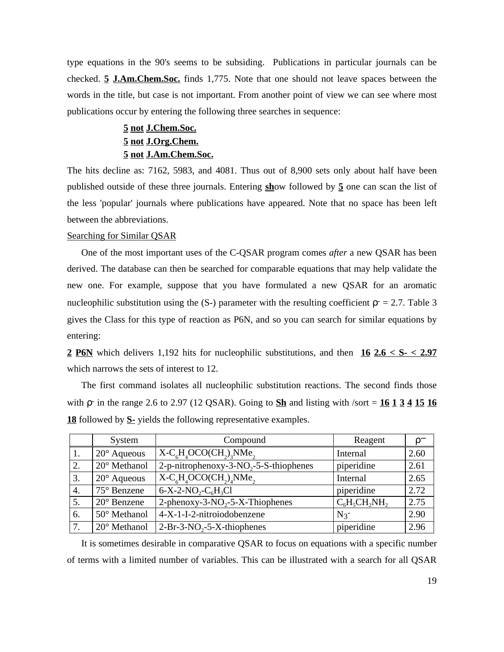type equations in the 90's seems to be subsiding. Publications in particular journals can be checked. **5 J.Am.Chem.Soc.** finds 1,775. Note that one should not leave spaces between the words in the title, but case is not important. From another point of view we can see where most publications occur by entering the following three searches in sequence:

# **5 not J.Chem.Soc. 5 not J.Org.Chem. 5 not J.Am.Chem.Soc.**

The hits decline as: 7162, 5983, and 4081. Thus out of 8,900 sets only about half have been published outside of these three journals. Entering **sh**ow followed by **5** one can scan the list of the less 'popular' journals where publications have appeared. Note that no space has been left between the abbreviations.

### Searching for Similar QSAR

One of the most important uses of the C-QSAR program comes *after* a new QSAR has been derived. The database can then be searched for comparable equations that may help validate the new one. For example, suppose that you have formulated a new QSAR for an aromatic nucleophilic substitution using the  $(S-)$  parameter with the resulting coefficient  $z = 2.7$ . Table 3 gives the Class for this type of reaction as P6N, and so you can search for similar equations by entering:

**2 P6N** which delivers 1,192 hits for nucleophilic substitutions, and then **16 2.6 < S- < 2.97** which narrows the sets of interest to 12.

The first command isolates all nucleophilic substitution reactions. The second finds those with  $\cdot$  in the range 2.6 to 2.97 (12 QSAR). Going to  $\overline{Sh}$  and listing with /sort =  $\overline{16}$  1  $\overline{3}$  4  $\overline{15}$  16 **18** followed by **S-** yields the following representative examples.

|     | System               | Compound                                  | Reagent            |      |
|-----|----------------------|-------------------------------------------|--------------------|------|
| -1. | $20^\circ$ Aqueous   | $X-CsHaOCO(CHa)aNMea$                     | Internal           | 2.60 |
| 2.  | 20° Methanol         | 2-p-nitrophenoxy-3- $NO2$ -5-S-thiophenes | piperidine         | 2.61 |
| 3.  | $20^{\circ}$ Aqueous | $\overline{X-C}_6H_4OCO(CH_2)_4NMe_2$     | Internal           | 2.65 |
| 4.  | 75° Benzene          | $6-X-2-NO_2-C_6H_3Cl$                     | piperidine         | 2.72 |
| 5.  | $20^{\circ}$ Benzene | 2-phenoxy-3- $NO2$ -5-X-Thiophenes        | $C_6H_5CH_2NH_2$   | 2.75 |
| 6.  | 50° Methanol         | 4-X-1-I-2-nitroiodobenzene                | $N_3$ <sup>-</sup> | 2.90 |
|     | 20° Methanol         | $2-Br-3-NO_2-5-X-thiophenes$              | piperidine         | 2.96 |

It is sometimes desirable in comparative QSAR to focus on equations with a specific number of terms with a limited number of variables. This can be illustrated with a search for all QSAR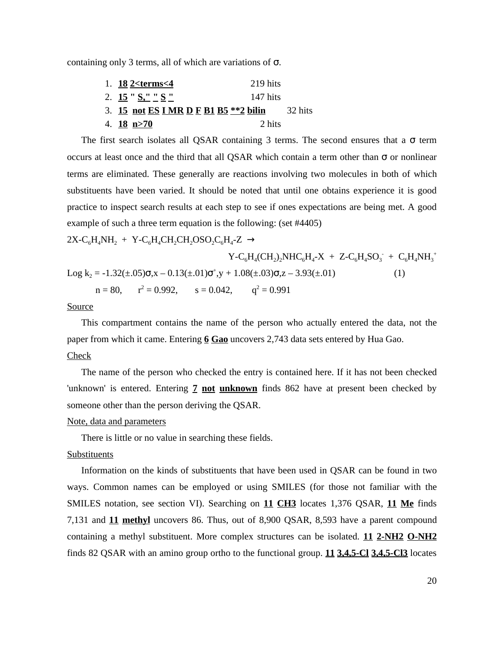containing only 3 terms, all of which are variations of .

| 1. 18 2 $lt>$ terms $lt;$ 4            | 219 hits |         |
|----------------------------------------|----------|---------|
| 2. 15 " $S''$ $S''$ $S''$              | 147 hits |         |
| 3. 15 not ES I MR D F B1 B5 ** 2 bilin |          | 32 hits |
| 4. $18 \text{ n} > 70$                 | 2 hits   |         |

The first search isolates all QSAR containing 3 terms. The second ensures that a term occurs at least once and the third that all QSAR which contain a term other than or nonlinear terms are eliminated. These generally are reactions involving two molecules in both of which substituents have been varied. It should be noted that until one obtains experience it is good practice to inspect search results at each step to see if ones expectations are being met. A good example of such a three term equation is the following: (set #4405)

 $2X-C_6H_4NH_2 + Y-C_6H_4CH_2CH_2OSO_2C_6H_4-Z$ 

$$
Y-C_6H_4(CH_2)_2NHC_6H_4-X + Z-C_6H_4SO_3^- + C_6H_4NH_3^+
$$
  
Log k<sub>2</sub> = -1.32(±.05) ,x - 0.13(±.01)  $\qquad$  ,y + 1.08(±.03) ,z - 3.93(±.01) (1)  
n = 80, r<sup>2</sup> = 0.992, s = 0.042, q<sup>2</sup> = 0.991

#### Source

This compartment contains the name of the person who actually entered the data, not the paper from which it came. Entering **6 Gao** uncovers 2,743 data sets entered by Hua Gao. Check

The name of the person who checked the entry is contained here. If it has not been checked 'unknown' is entered. Entering **7 not unknown** finds 862 have at present been checked by someone other than the person deriving the QSAR.

### Note, data and parameters

There is little or no value in searching these fields.

# Substituents

Information on the kinds of substituents that have been used in QSAR can be found in two ways. Common names can be employed or using SMILES (for those not familiar with the SMILES notation, see section VI). Searching on **11 CH3** locates 1,376 QSAR, **11 Me** finds 7,131 and **11 methyl** uncovers 86. Thus, out of 8,900 QSAR, 8,593 have a parent compound containing a methyl substituent. More complex structures can be isolated. **11 2-NH2 O-NH2** finds 82 QSAR with an amino group ortho to the functional group. **11 3,4,5-Cl 3,4,5-Cl3** locates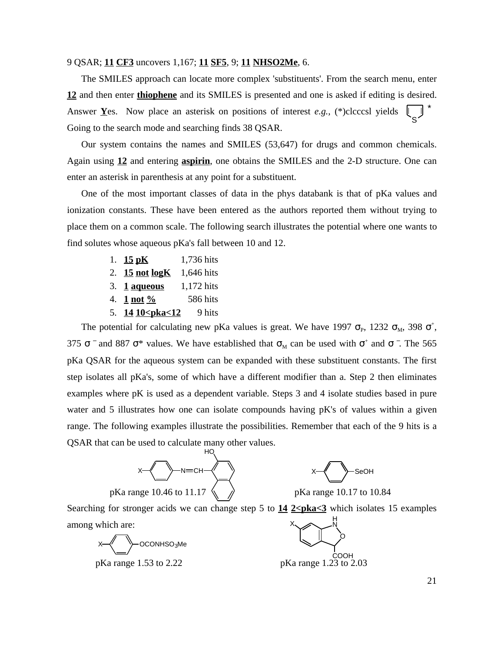### 9 QSAR; **11 CF3** uncovers 1,167; **11 SF5**, 9; **11 NHSO2Me**, 6.

The SMILES approach can locate more complex 'substituents'. From the search menu, enter **12** and then enter **thiophene** and its SMILES is presented and one is asked if editing is desired. Answer **Y**es. Now place an asterisk on positions of interest *e.g.,* (\*)clcccsl yields Going to the search mode and searching finds 38 QSAR. S \*

Our system contains the names and SMILES (53,647) for drugs and common chemicals. Again using **12** and entering **aspirin**, one obtains the SMILES and the 2-D structure. One can enter an asterisk in parenthesis at any point for a substituent.

One of the most important classes of data in the phys databank is that of pKa values and ionization constants. These have been entered as the authors reported them without trying to place them on a common scale. The following search illustrates the potential where one wants to find solutes whose aqueous pKa's fall between 10 and 12.

- 1. **15 pK** 1,736 hits
- 2. **15 not logK** 1,646 hits
- 3. **1 aqueous** 1,172 hits
- 4. **1 not %** 586 hits
- 5. **14 10<pma<12** 9 hits

The potential for calculating new pKa values is great. We have  $1997$   $_{\text{p}}$ ,  $1232$   $_{\text{M}}$ ,  $398$   $^{+}$ , 375  $\degree$  and 887  $\degree$  values. We have established that  $\mu$  can be used with  $\degree$  and  $\degree$ . The 565 pKa QSAR for the aqueous system can be expanded with these substituent constants. The first step isolates all pKa's, some of which have a different modifier than a. Step 2 then eliminates examples where pK is used as a dependent variable. Steps 3 and 4 isolate studies based in pure water and 5 illustrates how one can isolate compounds having pK's of values within a given range. The following examples illustrate the possibilities. Remember that each of the 9 hits is a QSAR that can be used to calculate many other values.





Searching for stronger acids we can change step 5 to  $\frac{14}{2}$  **2<pka<3** which isolates 15 examples among which are: X H N

X OCONHSO3Me

pKa range 1.53 to 2.22 pKa range 1.23 to 2.03

O COOH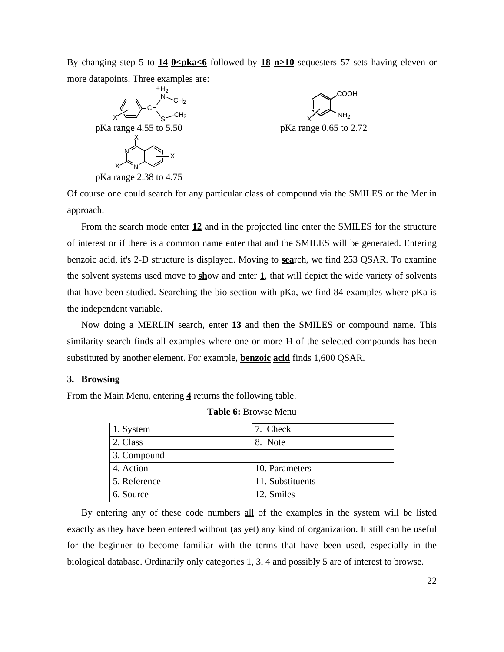By changing step 5 to  $\frac{14}{9 \leq p \leq 6}$  followed by  $\frac{18}{2} \cdot \frac{m}{10}$  sequesters 57 sets having eleven or more datapoints. Three examples are:



Of course one could search for any particular class of compound via the SMILES or the Merlin approach.

From the search mode enter **12** and in the projected line enter the SMILES for the structure of interest or if there is a common name enter that and the SMILES will be generated. Entering benzoic acid, it's 2-D structure is displayed. Moving to **sea**rch, we find 253 QSAR. To examine the solvent systems used move to **sh**ow and enter **1**, that will depict the wide variety of solvents that have been studied. Searching the bio section with pKa, we find 84 examples where pKa is the independent variable.

Now doing a MERLIN search, enter **13** and then the SMILES or compound name. This similarity search finds all examples where one or more H of the selected compounds has been substituted by another element. For example, **benzoic acid** finds 1,600 QSAR.

### **3. Browsing**

From the Main Menu, entering **4** returns the following table.

| 1. System    | 7. Check         |
|--------------|------------------|
| 2. Class     | 8. Note          |
| 3. Compound  |                  |
| 4. Action    | 10. Parameters   |
| 5. Reference | 11. Substituents |
| 6. Source    | 12. Smiles       |

**Table 6:** Browse Menu

By entering any of these code numbers all of the examples in the system will be listed exactly as they have been entered without (as yet) any kind of organization. It still can be useful for the beginner to become familiar with the terms that have been used, especially in the biological database. Ordinarily only categories 1, 3, 4 and possibly 5 are of interest to browse.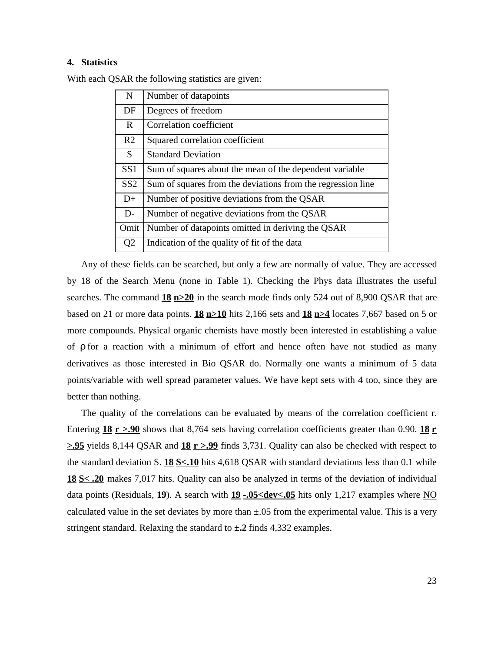# **4. Statistics**

| $\mathbf N$     | Number of datapoints                                        |
|-----------------|-------------------------------------------------------------|
| DF              | Degrees of freedom                                          |
| R               | Correlation coefficient                                     |
| R <sub>2</sub>  | Squared correlation coefficient                             |
| S.              | <b>Standard Deviation</b>                                   |
| SS <sub>1</sub> | Sum of squares about the mean of the dependent variable     |
| SS <sub>2</sub> | Sum of squares from the deviations from the regression line |
| $D+$            | Number of positive deviations from the QSAR                 |
| $D-$            | Number of negative deviations from the QSAR                 |
| Omit            | Number of datapoints omitted in deriving the QSAR           |
| Q <sub>2</sub>  | Indication of the quality of fit of the data                |

With each QSAR the following statistics are given:

Any of these fields can be searched, but only a few are normally of value. They are accessed by 18 of the Search Menu (none in Table 1). Checking the Phys data illustrates the useful searches. The command **18 n>20** in the search mode finds only 524 out of 8,900 QSAR that are based on 21 or more data points. **18 n>10** hits 2,166 sets and **18 n>4** locates 7,667 based on 5 or more compounds. Physical organic chemists have mostly been interested in establishing a value of for a reaction with a minimum of effort and hence often have not studied as many derivatives as those interested in Bio QSAR do. Normally one wants a minimum of 5 data points/variable with well spread parameter values. We have kept sets with 4 too, since they are better than nothing.

The quality of the correlations can be evaluated by means of the correlation coefficient r. Entering 18  $r > .90$  shows that 8,764 sets having correlation coefficients greater than 0.90. 18 r **>.95** yields 8,144 QSAR and **18 r >.99** finds 3,731. Quality can also be checked with respect to the standard deviation S. **18 S<.10** hits 4,618 QSAR with standard deviations less than 0.1 while **18 S< .20** makes 7,017 hits. Quality can also be analyzed in terms of the deviation of individual data points (Residuals, 19). A search with  $19 - .05 <$ dev $< .05$  hits only 1,217 examples where NO calculated value in the set deviates by more than  $\pm .05$  from the experimental value. This is a very stringent standard. Relaxing the standard to **±.2** finds 4,332 examples.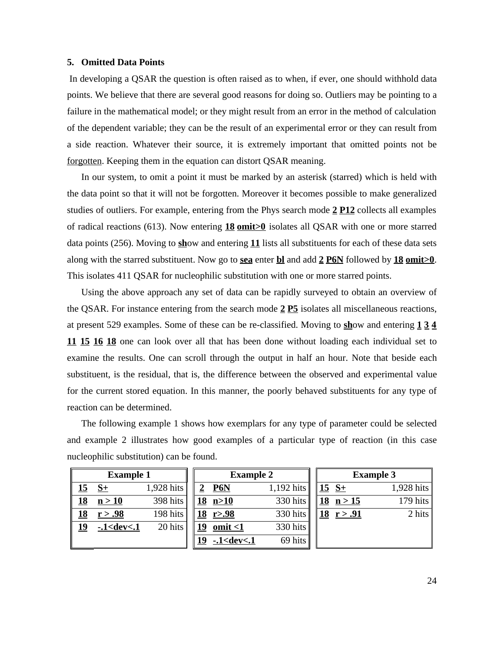### **5. Omitted Data Points**

In developing a QSAR the question is often raised as to when, if ever, one should withhold data points. We believe that there are several good reasons for doing so. Outliers may be pointing to a failure in the mathematical model; or they might result from an error in the method of calculation of the dependent variable; they can be the result of an experimental error or they can result from a side reaction. Whatever their source, it is extremely important that omitted points not be forgotten. Keeping them in the equation can distort QSAR meaning.

In our system, to omit a point it must be marked by an asterisk (starred) which is held with the data point so that it will not be forgotten. Moreover it becomes possible to make generalized studies of outliers. For example, entering from the Phys search mode **2 P12** collects all examples of radical reactions (613). Now entering **18 omit>0** isolates all QSAR with one or more starred data points (256). Moving to **sh**ow and entering **11** lists all substituents for each of these data sets along with the starred substituent. Now go to **sea** enter **bl** and add **2 P6N** followed by **18 omit>0**. This isolates 411 QSAR for nucleophilic substitution with one or more starred points.

Using the above approach any set of data can be rapidly surveyed to obtain an overview of the QSAR. For instance entering from the search mode **2 P5** isolates all miscellaneous reactions, at present 529 examples. Some of these can be re-classified. Moving to **sh**ow and entering **1 3 4 11 15 16 18** one can look over all that has been done without loading each individual set to examine the results. One can scroll through the output in half an hour. Note that beside each substituent, is the residual, that is, the difference between the observed and experimental value for the current stored equation. In this manner, the poorly behaved substituents for any type of reaction can be determined.

The following example 1 shows how exemplars for any type of parameter could be selected and example 2 illustrates how good examples of a particular type of reaction (in this case nucleophilic substitution) can be found.

| <b>Example 1</b> |                  | <b>Example 2</b> |  | <b>Example 3</b>  |            |                      |            |
|------------------|------------------|------------------|--|-------------------|------------|----------------------|------------|
| <u> 15</u>       | $S+$             | 1,928 hits       |  | <b>P6N</b>        | 1,192 hits | $15 S+$              | 1,928 hits |
| <u>18</u>        | n > 10           | 398 hits         |  | <u>18 n&gt;10</u> | 330 hits   | $18 \text{ } n > 15$ | 179 hits   |
| <u> 18</u>       | r > .98          | 198 hits         |  | 18 r > .98        | 330 hits   | 18 r > .91           | 2 hits     |
| <u>19</u>        | $-1 <$ dev $< 1$ | 20 hits          |  | omit $\leq 1$     | 330 hits   |                      |            |
|                  |                  |                  |  | $-1 <$ dev $< 1$  | 69 hits    |                      |            |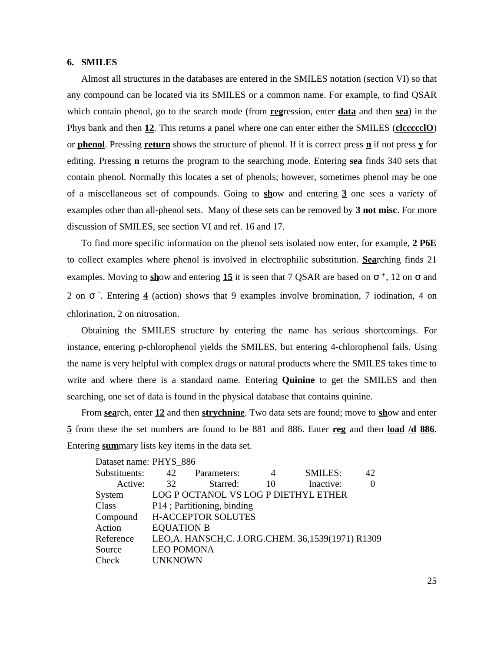### **6. SMILES**

Almost all structures in the databases are entered in the SMILES notation (section VI) so that any compound can be located via its SMILES or a common name. For example, to find QSAR which contain phenol, go to the search mode (from **reg**ression, enter **data** and then **sea**) in the Phys bank and then **12**. This returns a panel where one can enter either the SMILES (**clccccclO**) or **phenol**. Pressing **return** shows the structure of phenol. If it is correct press **n** if not press **y** for editing. Pressing **n** returns the program to the searching mode. Entering **sea** finds 340 sets that contain phenol. Normally this locates a set of phenols; however, sometimes phenol may be one of a miscellaneous set of compounds. Going to **sh**ow and entering **3** one sees a variety of examples other than all-phenol sets. Many of these sets can be removed by **3 not misc**. For more discussion of SMILES, see section VI and ref. 16 and 17.

To find more specific information on the phenol sets isolated now enter, for example, **2 P6E** to collect examples where phenol is involved in electrophilic substitution. **Sea**rching finds 21 examples. Moving to **sh**ow and entering 15 it is seen that 7 QSAR are based on  $\pm$ , 12 on and  $2$  on . Entering **4** (action) shows that 9 examples involve bromination, 7 iodination, 4 on chlorination, 2 on nitrosation.

Obtaining the SMILES structure by entering the name has serious shortcomings. For instance, entering p-chlorophenol yields the SMILES, but entering 4-chlorophenol fails. Using the name is very helpful with complex drugs or natural products where the SMILES takes time to write and where there is a standard name. Entering **Quinine** to get the SMILES and then searching, one set of data is found in the physical database that contains quinine.

From **sea**rch, enter **12** and then **strychnine**. Two data sets are found; move to **sh**ow and enter **5** from these the set numbers are found to be 881 and 886. Enter **reg** and then **load /d 886**. Entering **sum**mary lists key items in the data set.

| Dataset name: PHYS 886 |                            |                                                      |    |                |    |
|------------------------|----------------------------|------------------------------------------------------|----|----------------|----|
| Substituents:          | 42                         | Parameters:                                          | 4  | <b>SMILES:</b> | 42 |
| Active:                | 32                         | Starred:                                             | 10 | Inactive:      | 0  |
| System                 |                            | LOG P OCTANOL VS LOG P DIETHYL ETHER                 |    |                |    |
| Class                  | P14; Partitioning, binding |                                                      |    |                |    |
| Compound               | <b>H-ACCEPTOR SOLUTES</b>  |                                                      |    |                |    |
| Action                 | <b>EQUATION B</b>          |                                                      |    |                |    |
| Reference              |                            | LEO, A. HANSCH, C. J.ORG. CHEM. 36, 1539(1971) R1309 |    |                |    |
| Source                 | <b>LEO POMONA</b>          |                                                      |    |                |    |
| Check                  | <b>UNKNOWN</b>             |                                                      |    |                |    |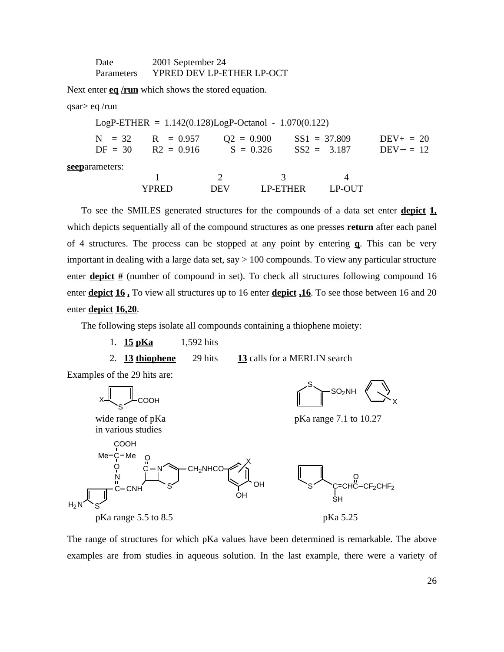| Date       | 2001 September 24         |
|------------|---------------------------|
| Parameters | YPRED DEV LP-ETHER LP-OCT |

Next enter **eq** /run which shows the stored equation.

qsar> eq /run

|            |                                                   | $LogP-ETHER = 1.142(0.128)LogP-Octanol - 1.070(0.122)$ |                                 |                              |
|------------|---------------------------------------------------|--------------------------------------------------------|---------------------------------|------------------------------|
| $DF = 30$  | $N = 32$ $R = 0.957$ $Q2 = 0.900$<br>$R2 = 0.916$ | $S = 0.326$                                            | $SS1 = 37.809$<br>$SS2 = 3.187$ | $DEV_+ = 20$<br>$DEV - = 12$ |
| ameters: . |                                                   |                                                        |                                 |                              |

**seep**arameters:

1 2 3 4 YPRED DEV LP-ETHER LP-OUT

To see the SMILES generated structures for the compounds of a data set enter **depict 1,** which depicts sequentially all of the compound structures as one presses **return** after each panel of 4 structures. The process can be stopped at any point by entering **q**. This can be very important in dealing with a large data set, say  $> 100$  compounds. To view any particular structure enter **depict** # (number of compound in set). To check all structures following compound 16 enter **depict 16 ,** To view all structures up to 16 enter **depict ,16**. To see those between 16 and 20 enter **depict 16,20**.

The following steps isolate all compounds containing a thiophene moiety:

- 1. **15 pKa** 1,592 hits
	-

2. **13 thiophene** 29 hits **13** calls for a MERLIN search





The range of structures for which pKa values have been determined is remarkable. The above examples are from studies in aqueous solution. In the last example, there were a variety of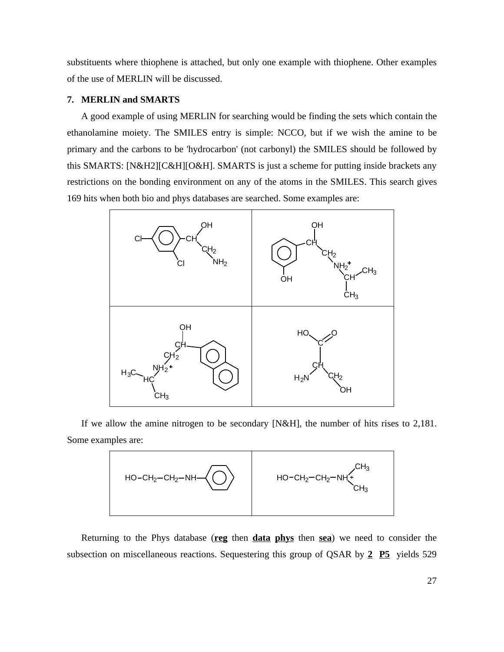substituents where thiophene is attached, but only one example with thiophene. Other examples of the use of MERLIN will be discussed.

# **7. MERLIN and SMARTS**

A good example of using MERLIN for searching would be finding the sets which contain the ethanolamine moiety. The SMILES entry is simple: NCCO, but if we wish the amine to be primary and the carbons to be 'hydrocarbon' (not carbonyl) the SMILES should be followed by this SMARTS: [N&H2][C&H][O&H]. SMARTS is just a scheme for putting inside brackets any restrictions on the bonding environment on any of the atoms in the SMILES. This search gives 169 hits when both bio and phys databases are searched. Some examples are:



If we allow the amine nitrogen to be secondary [N&H], the number of hits rises to 2,181. Some examples are:



Returning to the Phys database (**reg** then **data phys** then **sea**) we need to consider the subsection on miscellaneous reactions. Sequestering this group of QSAR by **2 P5** yields 529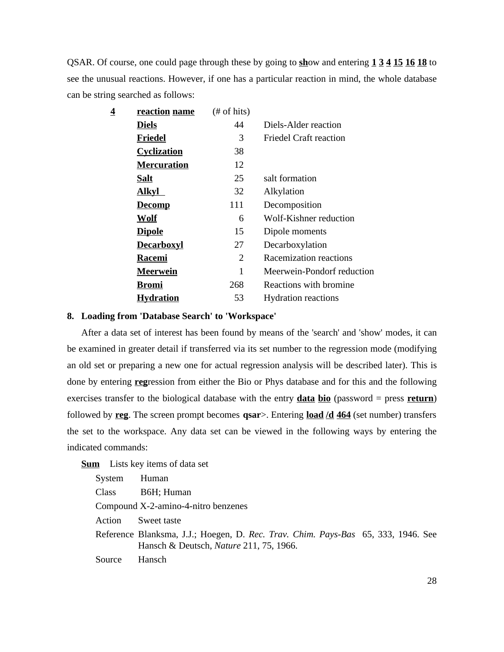QSAR. Of course, one could page through these by going to **sh**ow and entering **1 3 4 15 16 18** to see the unusual reactions. However, if one has a particular reaction in mind, the whole database can be string searched as follows:

| reaction name      | $#$ of hits) |                            |
|--------------------|--------------|----------------------------|
| <b>Diels</b>       | 44           | Diels-Alder reaction       |
| Friedel            | 3            | Friedel Craft reaction     |
| <b>Cyclization</b> | 38           |                            |
| <b>Mercuration</b> | 12           |                            |
| Salt               | 25           | salt formation             |
| <b>Alkyl</b>       | 32           | Alkylation                 |
| <b>Decomp</b>      | 111          | Decomposition              |
| <b>Wolf</b>        | 6            | Wolf-Kishner reduction     |
| <b>Dipole</b>      | 15           | Dipole moments             |
| <b>Decarboxyl</b>  | 27           | Decarboxylation            |
| <b>Racemi</b>      | 2            | Racemization reactions     |
| <b>Meerwein</b>    | 1            | Meerwein-Pondorf reduction |
| <b>Bromi</b>       | 268          | Reactions with bromine     |
| <b>Hydration</b>   | 53           | <b>Hydration reactions</b> |
|                    |              |                            |

# **8. Loading from 'Database Search' to 'Workspace'**

After a data set of interest has been found by means of the 'search' and 'show' modes, it can be examined in greater detail if transferred via its set number to the regression mode (modifying an old set or preparing a new one for actual regression analysis will be described later). This is done by entering **reg**ression from either the Bio or Phys database and for this and the following exercises transfer to the biological database with the entry **data bio** (password = press **return**) followed by **reg**. The screen prompt becomes **qsar**>. Entering **load /d 464** (set number) transfers the set to the workspace. Any data set can be viewed in the following ways by entering the indicated commands:

**Sum** Lists key items of data set

| System | Human                                                                                                                               |  |  |
|--------|-------------------------------------------------------------------------------------------------------------------------------------|--|--|
| Class  | B6H; Human                                                                                                                          |  |  |
|        | Compound X-2-amino-4-nitro benzenes                                                                                                 |  |  |
| Action | Sweet taste                                                                                                                         |  |  |
|        | Reference Blanksma, J.J.; Hoegen, D. Rec. Trav. Chim. Pays-Bas 65, 333, 1946. See<br>Hansch & Deutsch, <i>Nature</i> 211, 75, 1966. |  |  |
| Source | Hansch                                                                                                                              |  |  |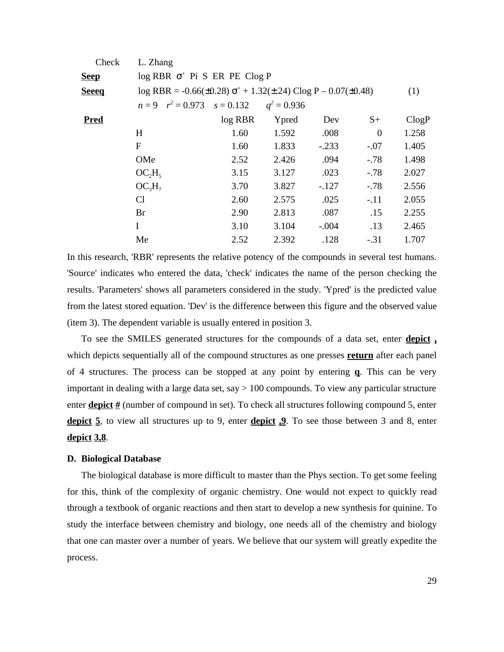| Check        | L. Zhang                                                                  |           |               |         |          |       |  |
|--------------|---------------------------------------------------------------------------|-----------|---------------|---------|----------|-------|--|
| <b>Seep</b>  | $log$ RBR $+$ Pi S ER PE Clog P                                           |           |               |         |          |       |  |
| <b>Seeeg</b> | $log RBR = -0.66(\pm 0.28)$ + 1.32( $\pm$ .24) Clog P – 0.07( $\pm$ 0.48) |           |               |         |          | (1)   |  |
|              | $n = 9$ $r^2 = 0.973$ $s = 0.132$                                         |           | $q^2 = 0.936$ |         |          |       |  |
| <b>Pred</b>  |                                                                           | $log$ RBR | Ypred         | Dev     | $S+$     | ClogP |  |
|              | H                                                                         | 1.60      | 1.592         | .008    | $\theta$ | 1.258 |  |
|              | $\mathbf{F}$                                                              | 1.60      | 1.833         | $-.233$ | $-.07$   | 1.405 |  |
|              | OMe                                                                       | 2.52      | 2.426         | .094    | $-.78$   | 1.498 |  |
|              | $OC_2H_5$                                                                 | 3.15      | 3.127         | .023    | $-.78$   | 2.027 |  |
|              | $OC_3H_7$                                                                 | 3.70      | 3.827         | $-.127$ | $-.78$   | 2.556 |  |
|              | C <sub>1</sub>                                                            | 2.60      | 2.575         | .025    | $-.11$   | 2.055 |  |
|              | Br                                                                        | 2.90      | 2.813         | .087    | .15      | 2.255 |  |
|              | I                                                                         | 3.10      | 3.104         | $-.004$ | .13      | 2.465 |  |
|              | Me                                                                        | 2.52      | 2.392         | .128    | $-.31$   | 1.707 |  |

In this research, 'RBR' represents the relative potency of the compounds in several test humans. 'Source' indicates who entered the data, 'check' indicates the name of the person checking the results. 'Parameters' shows all parameters considered in the study. 'Ypred' is the predicted value from the latest stored equation. 'Dev' is the difference between this figure and the observed value (item 3). The dependent variable is usually entered in position 3.

To see the SMILES generated structures for the compounds of a data set, enter **depict ,** which depicts sequentially all of the compound structures as one presses **return** after each panel of 4 structures. The process can be stopped at any point by entering **q**. This can be very important in dealing with a large data set, say > 100 compounds. To view any particular structure enter **depict #** (number of compound in set). To check all structures following compound 5, enter depict 5, to view all structures up to 9, enter **depict 9**. To see those between 3 and 8, enter **depict 3,8**.

### **D. Biological Database**

The biological database is more difficult to master than the Phys section. To get some feeling for this, think of the complexity of organic chemistry. One would not expect to quickly read through a textbook of organic reactions and then start to develop a new synthesis for quinine. To study the interface between chemistry and biology, one needs all of the chemistry and biology that one can master over a number of years. We believe that our system will greatly expedite the process.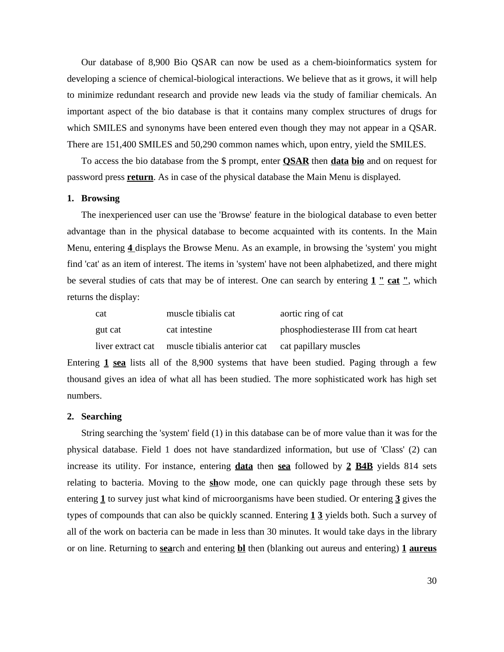Our database of 8,900 Bio QSAR can now be used as a chem-bioinformatics system for developing a science of chemical-biological interactions. We believe that as it grows, it will help to minimize redundant research and provide new leads via the study of familiar chemicals. An important aspect of the bio database is that it contains many complex structures of drugs for which SMILES and synonyms have been entered even though they may not appear in a QSAR. There are 151,400 SMILES and 50,290 common names which, upon entry, yield the SMILES.

To access the bio database from the \$ prompt, enter **QSAR** then **data bio** and on request for password press **return**. As in case of the physical database the Main Menu is displayed.

### **1. Browsing**

The inexperienced user can use the 'Browse' feature in the biological database to even better advantage than in the physical database to become acquainted with its contents. In the Main Menu, entering **4** displays the Browse Menu. As an example, in browsing the 'system' you might find 'cat' as an item of interest. The items in 'system' have not been alphabetized, and there might be several studies of cats that may be of interest. One can search by entering **1 " cat "**, which returns the display:

| cat     | muscle tibialis cat                                                  | aortic ring of cat                   |
|---------|----------------------------------------------------------------------|--------------------------------------|
| gut cat | cat intestine                                                        | phosphodiesterase III from cat heart |
|         | liver extract cat muscle tibialis anterior cat cat papillary muscles |                                      |

Entering **1 sea** lists all of the 8,900 systems that have been studied. Paging through a few thousand gives an idea of what all has been studied. The more sophisticated work has high set numbers.

### **2. Searching**

String searching the 'system' field (1) in this database can be of more value than it was for the physical database. Field 1 does not have standardized information, but use of 'Class' (2) can increase its utility. For instance, entering **data** then **sea** followed by **2 B4B** yields 814 sets relating to bacteria. Moving to the **sh**ow mode, one can quickly page through these sets by entering **1** to survey just what kind of microorganisms have been studied. Or entering **3** gives the types of compounds that can also be quickly scanned. Entering **1 3** yields both. Such a survey of all of the work on bacteria can be made in less than 30 minutes. It would take days in the library or on line. Returning to **sea**rch and entering **bl** then (blanking out aureus and entering) **1 aureus**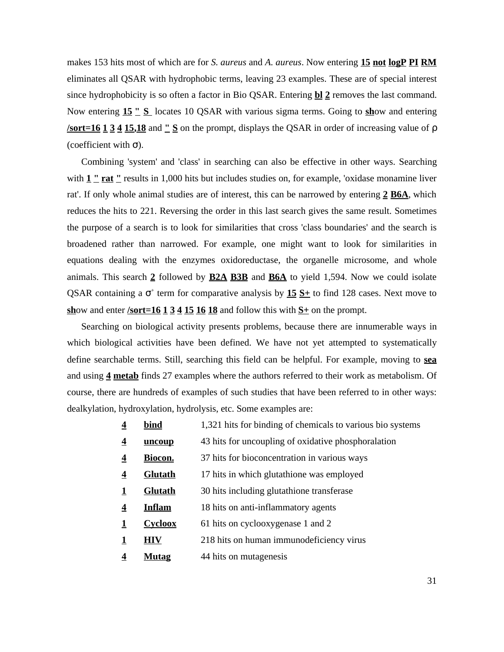makes 153 hits most of which are for *S. aureus* and *A. aureus*. Now entering **15 not logP PI RM** eliminates all QSAR with hydrophobic terms, leaving 23 examples. These are of special interest since hydrophobicity is so often a factor in Bio QSAR. Entering **bl 2** removes the last command. Now entering **15 " S** locates 10 QSAR with various sigma terms. Going to **sh**ow and entering **/sort=16 1 3 4 15,18** and **" S** on the prompt, displays the QSAR in order of increasing value of (coefficient with ).

Combining 'system' and 'class' in searching can also be effective in other ways. Searching with  $1 \cdot$  **rat** " results in 1,000 hits but includes studies on, for example, 'oxidase monamine liver rat'. If only whole animal studies are of interest, this can be narrowed by entering **2 B6A**, which reduces the hits to 221. Reversing the order in this last search gives the same result. Sometimes the purpose of a search is to look for similarities that cross 'class boundaries' and the search is broadened rather than narrowed. For example, one might want to look for similarities in equations dealing with the enzymes oxidoreductase, the organelle microsome, and whole animals. This search **2** followed by **B2A B3B** and **B6A** to yield 1,594. Now we could isolate QSAR containing a <sup>+</sup> term for comparative analysis by  $15 S<sub>+</sub>$  to find 128 cases. Next move to **sh**ow and enter **/sort=16 1 3 4 15 16 18** and follow this with **S+** on the prompt.

Searching on biological activity presents problems, because there are innumerable ways in which biological activities have been defined. We have not yet attempted to systematically define searchable terms. Still, searching this field can be helpful. For example, moving to **sea** and using **4 metab** finds 27 examples where the authors referred to their work as metabolism. Of course, there are hundreds of examples of such studies that have been referred to in other ways: dealkylation, hydroxylation, hydrolysis, etc. Some examples are:

- **4 bind** 1,321 hits for binding of chemicals to various bio systems
- **4 uncoup** 43 hits for uncoupling of oxidative phosphoralation
- **4 Biocon.** 37 hits for bioconcentration in various ways
- **4 Glutath** 17 hits in which glutathione was employed
- **1 Glutath** 30 hits including glutathione transferase
- **4 Inflam** 18 hits on anti-inflammatory agents
- **1 Cycloox** 61 hits on cyclooxygenase 1 and 2
- **1 HIV** 218 hits on human immunodeficiency virus
- **4 Mutag** 44 hits on mutagenesis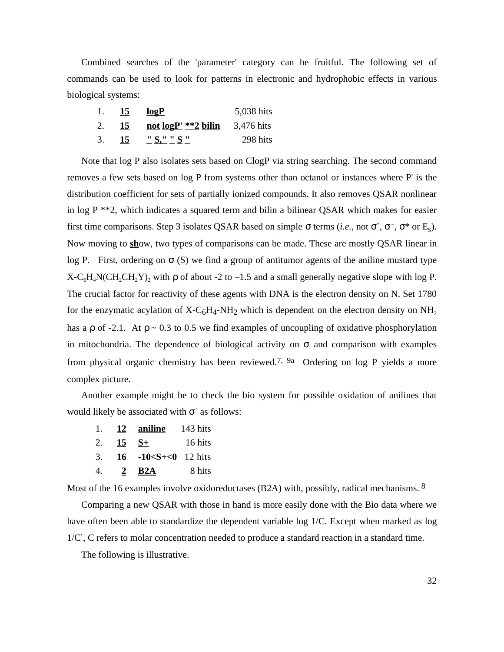Combined searches of the 'parameter' category can be fruitful. The following set of commands can be used to look for patterns in electronic and hydrophobic effects in various biological systems:

|    | 15 | logP                                    | 5,038 hits |
|----|----|-----------------------------------------|------------|
|    | 15 | <u>not <math>logP'</math> **2 bilin</u> | 3,476 hits |
| 3. | 15 | " $S''''''S''''$                        | 298 hits   |

Note that log P also isolates sets based on ClogP via string searching. The second command removes a few sets based on log P from systems other than octanol or instances where P' is the distribution coefficient for sets of partially ionized compounds. It also removes QSAR nonlinear in log  $P^{**2}$ , which indicates a squared term and bilin a bilinear QSAR which makes for easier first time comparisons. Step 3 isolates QSAR based on simple terms (*i.e.*, not  $^+$ ,  $^-$ ,  $*$  or E<sub>s</sub>). Now moving to **sh**ow, two types of comparisons can be made. These are mostly QSAR linear in log P. First, ordering on (S) we find a group of antitumor agents of the aniline mustard type  $X-C_6H_4N(CH_2CH_2Y)_2$  with of about -2 to -1.5 and a small generally negative slope with log P. The crucial factor for reactivity of these agents with DNA is the electron density on N. Set 1780 for the enzymatic acylation of  $X-C_6H_4-NH_2$  which is dependent on the electron density on  $NH_2$ has a of  $-2.1$ . At  $\sim 0.3$  to 0.5 we find examples of uncoupling of oxidative phosphorylation in mitochondria. The dependence of biological activity on and comparison with examples from physical organic chemistry has been reviewed.<sup>7, 9a</sup> Ordering on log P yields a more complex picture.

Another example might be to check the bio system for possible oxidation of anilines that would likely be associated with  $+$  as follows:

1. **12 aniline** 143 hits 2. **15 S+** 16 hits 3. **16 -10<S+<0** 12 hits 4. **2 B2A** 8 hits

Most of the 16 examples involve oxidoreductases (B2A) with, possibly, radical mechanisms. <sup>8</sup>

Comparing a new QSAR with those in hand is more easily done with the Bio data where we have often been able to standardize the dependent variable log 1/C. Except when marked as log 1/C , C refers to molar concentration needed to produce a standard reaction in a standard time.

The following is illustrative.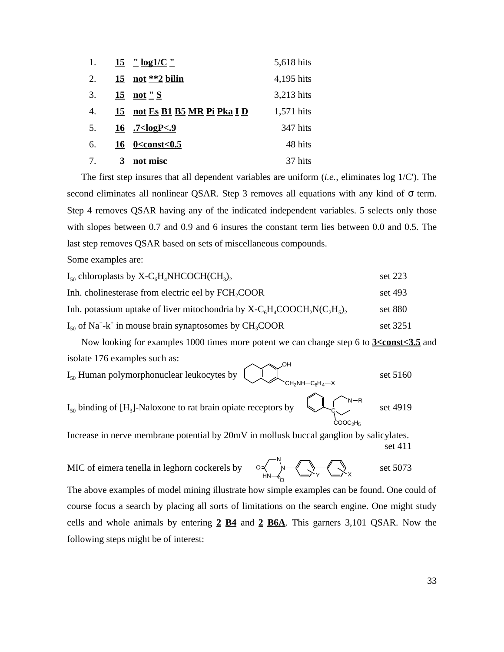| 1. |    | $15 \frac{\text{''}}{\text{log }1/\text{C}}$         | 5,618 hits |
|----|----|------------------------------------------------------|------------|
| 2. |    | $15$ not **2 bilin                                   | 4,195 hits |
| 3. | 15 | <u>not " S</u>                                       | 3,213 hits |
| 4. |    | 15 not Es B1 B5 MR Pi Pka I D                        | 1,571 hits |
| 5. |    | $16$ .7 <logp<.9< td=""><td>347 hits</td></logp<.9<> | 347 hits   |
| 6. |    | $16 \quad 0 < \text{const} < 0.5$                    | 48 hits    |
| 7. | 3  | not misc                                             | 37 hits    |

The first step insures that all dependent variables are uniform (*i.e.,* eliminates log 1/C'). The second eliminates all nonlinear QSAR. Step 3 removes all equations with any kind of term. Step 4 removes QSAR having any of the indicated independent variables. 5 selects only those with slopes between 0.7 and 0.9 and 6 insures the constant term lies between 0.0 and 0.5. The last step removes QSAR based on sets of miscellaneous compounds.

Some examples are:

| $I_{50}$ chloroplasts by X-C <sub>6</sub> H <sub>4</sub> NHCOCH(CH <sub>3</sub> ),              | set 223  |
|-------------------------------------------------------------------------------------------------|----------|
| Inh. cholinesterase from electric eel by FCH <sub>2</sub> COOR                                  | set 493  |
| Inh. potassium uptake of liver mitochondria by $X-C6H4COOCH2N(C2H5)$ ,                          | set 880  |
| $I_{50}$ of Na <sup>+</sup> -k <sup>+</sup> in mouse brain synaptosomes by CH <sub>3</sub> COOR | set 3251 |

Now looking for examples 1000 times more potent we can change step 6 to **3<const<3.5** and isolate 176 examples such as:  $\sim$ <sup>OH</sup>

$$
I_{50}
$$
 Human polymorphonuclear leukocytes by 
$$
C_{H_2NH-C_6H_4-X}
$$
 set 5160 set 5160 set 5160 set 5160 set 5160 set 5160 set 5160 set 5160 set 5160 set 5160 set 5160 set 5160 set 5160 set 5160 set 5160 set 5160 set 5160 set 5160 set 5160 set 5160 set 5160 set 5160 set 5160 set 5160 set 5160 set 5160 set 5160 set 5160 set 5160 set 5160 set 5160 set 5160 set 5160 set 5160 set 5160 set 5160 set 5160 set 5160 set 5160 set 5160 set 5160 set 5160 set 5160 set 5160 set 5160 set 5160 set 5160 set 5160 set 5160 set 5160 set 5160 set 5160 set 5160 set 5160 set 5160 set 5160 set 5160 set 5160 set 5160 set 5160 set 5160 set 5160 set 5160 set 5160 set 5160 set 5160 set 5160 set 5160 set 5160 set 5160 set 5160 set 5160 set 5160 set 5160 set 5160 set 5160 set 5160 set 5160 set 5160 set 5160 set 5160 set 5160 set 5160 set 5160 set 5160 set 5160 set 5160 set 5160 set 5160 set 5160 set 5160 set 5160 set 5160 set 5160 set 5160 set 5160 set 5160 set 5160 set 5160 set 5160 set 5160 set 5160 set 5160 set 5160 set 5160 set 5160 set 5160 set 5160 set 5160 set 5160 set 5160 set 5160 set 5160 set 5160 set 5160 set 5160 set 5160 set 5160 set 5160 set 5160 set

Increase in nerve membrane potential by 20mV in mollusk buccal ganglion by salicylates. set 411

MIC of eimera tenella in leghorn cockerels by  $\circ \prec \rightarrow \prec \prec \prec \prec$  set 5073 The above examples of model mining illustrate how simple examples can be found. One could of course focus a search by placing all sorts of limitations on the search engine. One might study cells and whole animals by entering **2 B4** and **2 B6A**. This garners 3,101 QSAR. Now the following steps might be of interest: N HN A<br>C<br>C<br>V<br>V<br>X<br>X<br>X<br>X<br>X<br>X<br>X<br>X<br>X<br>X<br>X<br>X<br>X<br>x<br>X<br>X<br>X O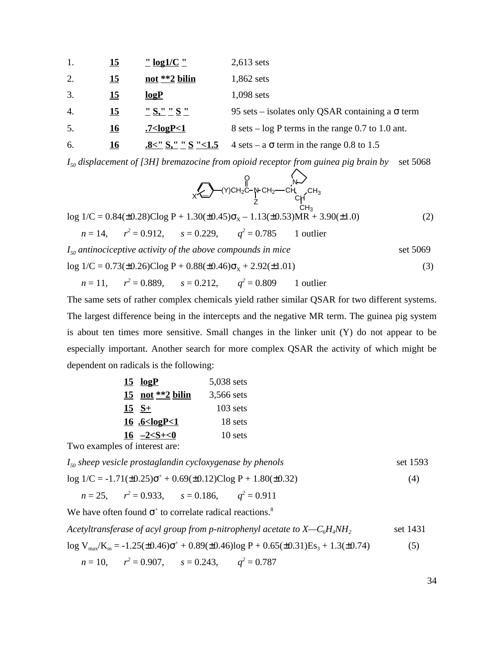| 1. | <u> 15</u> | $\frac{11}{2}$ log1/C $\frac{11}{2}$                                                                          | $2,613$ sets                                                 |
|----|------------|---------------------------------------------------------------------------------------------------------------|--------------------------------------------------------------|
| 2. | 15         | not **2 bilin                                                                                                 | 1,862 sets                                                   |
| 3. | <u> 15</u> | logP                                                                                                          | $1,098$ sets                                                 |
| 4. | 15         | <u>"S," "S "</u>                                                                                              | 95 sets – isolates only QSAR containing a<br>term            |
| 5. | <u>16</u>  | $7$ <logp<1< td=""><td><math>8 \text{ sets} - \log P</math> terms in the range 0.7 to 1.0 ant.</td></logp<1<> | $8 \text{ sets} - \log P$ terms in the range 0.7 to 1.0 ant. |
| 6. | <u> 16</u> | $.8<$ " S," " S "<1.5                                                                                         | $4 \text{ sets} - a$ term in the range 0.8 to 1.5            |

*I50 displacement of [3H] bremazocine from opioid receptor from guinea pig brain by* set 5068

$$
\bigotimes_{X \subseteq \bigcup_{i=1}^{n} (Y)CH_{2}C-\text{N-CH}_{2} - \text{CH}_{3}} \bigotimes_{CH_{3}} N \bigotimes_{CH_{3}} N \bigotimes_{CH_{3}} N \bigotimes_{CH_{3}} N \bigotimes_{CH_{3}} N \bigotimes_{CH_{3}} N \bigotimes_{CH_{3}} N \bigotimes_{CH_{3}} N \bigotimes_{CH_{3}} N \bigotimes_{CH_{3}} N \bigotimes_{CH_{3}} N \bigotimes_{CH_{3}} N \bigotimes_{CH_{3}} N \bigotimes_{CH_{3}} N \bigotimes_{CH_{3}} N \bigotimes_{CH_{3}} N \bigotimes_{CH_{3}} N \bigotimes_{CH_{3}} N \bigotimes_{CH_{3}} N \bigotimes_{CH_{3}} N \bigotimes_{CH_{3}} N \bigotimes_{CH_{3}} N \bigotimes_{CH_{3}} N \bigotimes_{CH_{3}} N \bigotimes_{CH_{3}} N \bigotimes_{CH_{3}} N \bigotimes_{CH_{3}} N \bigotimes_{CH_{3}} N \bigotimes_{CH_{3}} N \bigotimes_{CH_{3}} N \bigotimes_{CH_{3}} N \bigotimes_{CH_{3}} N \bigotimes_{CH_{3}} N \bigotimes_{CH_{3}} N \bigotimes_{CH_{3}} N \bigotimes_{CH_{3}} N \bigotimes_{CH_{3}} N \bigotimes_{CH_{3}} N \bigotimes_{CH_{3}} N \bigotimes_{CH_{3}} N \bigotimes_{CH_{3}} N \bigotimes_{CH_{3}} N \bigotimes_{CH_{3}} N \bigotimes_{CH_{3}} N \bigotimes_{CH_{3}} N \bigotimes_{CH_{3}} N \bigotimes_{CH_{3}} N \bigotimes_{CH_{3}} N \bigotimes_{CH_{3}} N \bigotimes_{CH_{3}} N \bigotimes_{CH_{3}} N \bigotimes_{CH_{3}} N \bigotimes_{CH_{3}} N \bigotimes_{CH_{3}} N \bigotimes_{CH_{3}} N \bigotimes_{CH_{3}} N \bigotimes_{CH_{3}} N \bigotimes_{CH_{3}} N \bigotimes_{CH_{3}} N \bigotimes_{CH_{3}} N \bigotimes_{CH_{3}} N \bigotimes_{CH_{3}} N \bigotimes_{CH_{3}} N \bigotimes_{CH_{3}} N \bigotimes_{CH_{3}} N \bigotimes_{CH_{3}} N \bigotimes_{CH_{3}} N \bigotimes_{CH_{3}} N \bigotimes_{CH_{3}} N \bigotimes_{CH_{3}} N \bigotimes_{CH_{3}} N \bigotimes_{CH
$$

 $I_{50}$  antinociceptive activity of the above compounds in mice set 5069  $\log 1/C = 0.73(\pm 0.26) \text{Clog P} + 0.88(\pm 0.46)$   $_X + 2.92(\pm 1.01)$  (3)

$$
n = 11
$$
,  $r^2 = 0.889$ ,  $s = 0.212$ ,  $q^2 = 0.809$  1 outlier

The same sets of rather complex chemicals yield rather similar QSAR for two different systems. The largest difference being in the intercepts and the negative MR term. The guinea pig system is about ten times more sensitive. Small changes in the linker unit (Y) do not appear to be especially important. Another search for more complex QSAR the activity of which might be dependent on radicals is the following:

| $15$ $logP$             | 5,038 sets |
|-------------------------|------------|
| 15 not $**2$ bilin      | 3,566 sets |
| $15 S+$                 | $103$ sets |
| 16 .6 $\leq$ 02P $<$ 1  | 18 sets    |
| 16 $-2 < S + < 0$       | 10 sets    |
| $\circ$ of interest and |            |

Two examples of interest are:

*I*<sub>50</sub> sheep vesicle prostaglandin cycloxygenase by phenols set 1593  $log 1/C = -1.71(\pm 0.25)^{+} + 0.69(\pm 0.12)Clog P + 1.80(\pm 0.32)$  (4)

 $n = 25$ ,  $r^2 = 0.933$ ,  $s = 0.186$ ,  $q^2 = 0.911$ 

We have often found  $+$  to correlate radical reactions.<sup>8</sup>

*Acetyltransferase of acyl group from p-nitrophenyl acetate to X—C6H4NH<sup>2</sup>* set 1431

 $\log V_{\text{max}}/K_{\text{m}} = -1.25(\pm 0.46)$  +  $+ 0.89(\pm 0.46) \log P + 0.65(\pm 0.31) \text{Es}_3 + 1.3(\pm 0.74)$  (5)

 $n = 10$ ,  $r^2 = 0.907$ ,  $s = 0.243$ ,  $q^2 = 0.787$ 

34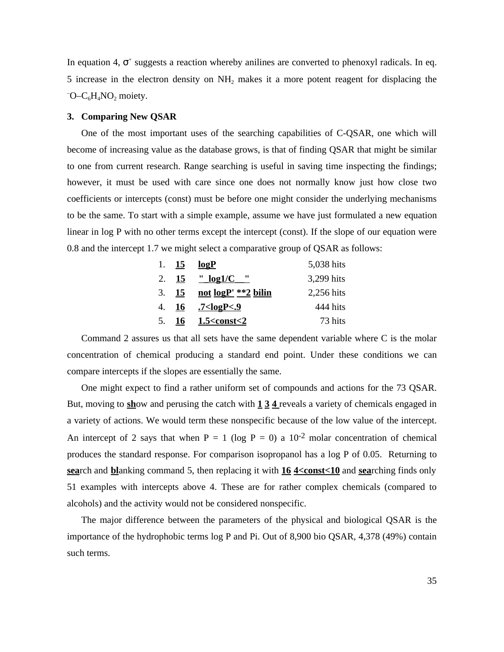In equation 4, <sup>+</sup> suggests a reaction whereby anilines are converted to phenoxyl radicals. In eq. 5 increase in the electron density on  $NH_2$  makes it a more potent reagent for displacing the  $\overline{O}$ -C<sub>6</sub>H<sub>4</sub>NO<sub>2</sub> moiety.

### **3. Comparing New QSAR**

One of the most important uses of the searching capabilities of C-QSAR, one which will become of increasing value as the database grows, is that of finding QSAR that might be similar to one from current research. Range searching is useful in saving time inspecting the findings; however, it must be used with care since one does not normally know just how close two coefficients or intercepts (const) must be before one might consider the underlying mechanisms to be the same. To start with a simple example, assume we have just formulated a new equation linear in log P with no other terms except the intercept (const). If the slope of our equation were 0.8 and the intercept 1.7 we might select a comparative group of QSAR as follows:

| 1. $15$ | logP                               | 5,038 hits |
|---------|------------------------------------|------------|
|         |                                    | 3,299 hits |
| 3.15    | not logP' **2 bilin                | 2,256 hits |
| 4. 16   | <u>7<logp<.9< u=""></logp<.9<></u> | 444 hits   |
|         | 5. $16 \t 1.5 < const < 2$         | 73 hits    |

Command 2 assures us that all sets have the same dependent variable where C is the molar concentration of chemical producing a standard end point. Under these conditions we can compare intercepts if the slopes are essentially the same.

One might expect to find a rather uniform set of compounds and actions for the 73 QSAR. But, moving to **sh**ow and perusing the catch with **1 3 4** reveals a variety of chemicals engaged in a variety of actions. We would term these nonspecific because of the low value of the intercept. An intercept of 2 says that when  $P = 1$  (log  $P = 0$ ) a  $10^{-2}$  molar concentration of chemical produces the standard response. For comparison isopropanol has a log P of 0.05. Returning to **sea**rch and **bl**anking command 5, then replacing it with **16 4<const<10** and **sea**rching finds only 51 examples with intercepts above 4. These are for rather complex chemicals (compared to alcohols) and the activity would not be considered nonspecific.

The major difference between the parameters of the physical and biological QSAR is the importance of the hydrophobic terms log P and Pi. Out of 8,900 bio QSAR, 4,378 (49%) contain such terms.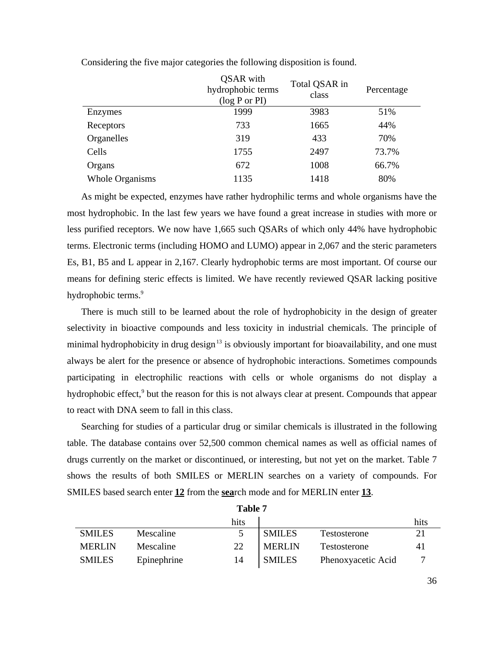|                        | QSAR with<br>hydrophobic terms<br>(log P or PI) | Total QSAR in<br>class | Percentage |
|------------------------|-------------------------------------------------|------------------------|------------|
| Enzymes                | 1999                                            | 3983                   | 51%        |
| Receptors              | 733                                             | 1665                   | 44%        |
| Organelles             | 319                                             | 433                    | 70%        |
| Cells                  | 1755                                            | 2497                   | 73.7%      |
| Organs                 | 672                                             | 1008                   | 66.7%      |
| <b>Whole Organisms</b> | 1135                                            | 1418                   | 80%        |

Considering the five major categories the following disposition is found.

As might be expected, enzymes have rather hydrophilic terms and whole organisms have the most hydrophobic. In the last few years we have found a great increase in studies with more or less purified receptors. We now have 1,665 such QSARs of which only 44% have hydrophobic terms. Electronic terms (including HOMO and LUMO) appear in 2,067 and the steric parameters Es, B1, B5 and L appear in 2,167. Clearly hydrophobic terms are most important. Of course our means for defining steric effects is limited. We have recently reviewed QSAR lacking positive hydrophobic terms.<sup>9</sup>

There is much still to be learned about the role of hydrophobicity in the design of greater selectivity in bioactive compounds and less toxicity in industrial chemicals. The principle of minimal hydrophobicity in drug design<sup>13</sup> is obviously important for bioavailability, and one must always be alert for the presence or absence of hydrophobic interactions. Sometimes compounds participating in electrophilic reactions with cells or whole organisms do not display a hydrophobic effect,<sup>9</sup> but the reason for this is not always clear at present. Compounds that appear to react with DNA seem to fall in this class.

Searching for studies of a particular drug or similar chemicals is illustrated in the following table. The database contains over 52,500 common chemical names as well as official names of drugs currently on the market or discontinued, or interesting, but not yet on the market. Table 7 shows the results of both SMILES or MERLIN searches on a variety of compounds. For SMILES based search enter **12** from the **sea**rch mode and for MERLIN enter **13**.

|             | hits |               |                    | hits |  |
|-------------|------|---------------|--------------------|------|--|
| Mescaline   | 5    | <b>SMILES</b> | Testosterone       | 21   |  |
| Mescaline   | 22   | <b>MERLIN</b> | Testosterone       | 41   |  |
| Epinephrine | 14   | <b>SMILES</b> | Phenoxyacetic Acid |      |  |
|             |      |               | тарис 1            |      |  |

**Table 7**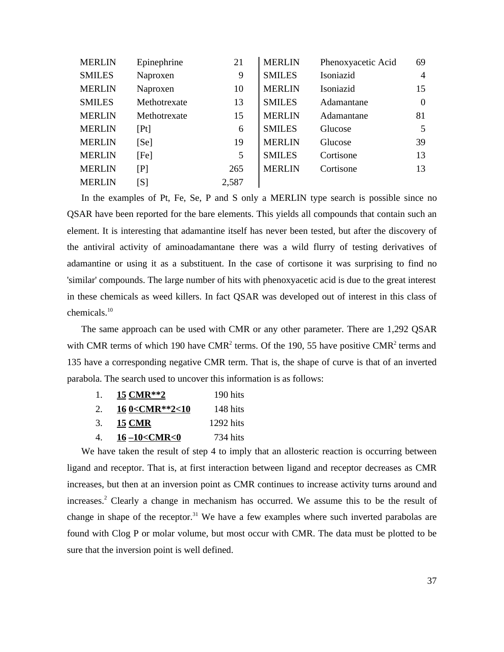| <b>MERLIN</b> | Epinephrine                                                                                                                                                               | 21    | <b>MERLIN</b> | Phenoxyacetic Acid | 69             |
|---------------|---------------------------------------------------------------------------------------------------------------------------------------------------------------------------|-------|---------------|--------------------|----------------|
| <b>SMILES</b> | Naproxen                                                                                                                                                                  | 9     | <b>SMILES</b> | Isoniazid          | $\overline{4}$ |
| <b>MERLIN</b> | Naproxen                                                                                                                                                                  | 10    | <b>MERLIN</b> | Isoniazid          | 15             |
| <b>SMILES</b> | Methotrexate                                                                                                                                                              | 13    | <b>SMILES</b> | Adamantane         | $\overline{0}$ |
| <b>MERLIN</b> | Methotrexate                                                                                                                                                              | 15    | <b>MERLIN</b> | Adamantane         | 81             |
| <b>MERLIN</b> | [Pt]                                                                                                                                                                      | 6     | <b>SMILES</b> | Glucose            | 5              |
| <b>MERLIN</b> | [Se]                                                                                                                                                                      | 19    | <b>MERLIN</b> | Glucose            | 39             |
| <b>MERLIN</b> | [Fe]                                                                                                                                                                      | 5     | <b>SMILES</b> | Cortisone          | 13             |
| <b>MERLIN</b> | [P]                                                                                                                                                                       | 265   | <b>MERLIN</b> | Cortisone          | 13             |
| <b>MERLIN</b> | $[S] % \begin{center} \includegraphics[width=0.9\columnwidth]{figures/fig_1a} \caption{The image shows the number of times of the two times.} \label{fig:2} \end{center}$ | 2,587 |               |                    |                |

In the examples of Pt, Fe, Se, P and S only a MERLIN type search is possible since no QSAR have been reported for the bare elements. This yields all compounds that contain such an element. It is interesting that adamantine itself has never been tested, but after the discovery of the antiviral activity of aminoadamantane there was a wild flurry of testing derivatives of adamantine or using it as a substituent. In the case of cortisone it was surprising to find no 'similar' compounds. The large number of hits with phenoxyacetic acid is due to the great interest in these chemicals as weed killers. In fact QSAR was developed out of interest in this class of chemicals.<sup>10</sup>

The same approach can be used with CMR or any other parameter. There are 1,292 QSAR with CMR terms of which 190 have CMR<sup>2</sup> terms. Of the 190, 55 have positive CMR<sup>2</sup> terms and 135 have a corresponding negative CMR term. That is, the shape of curve is that of an inverted parabola. The search used to uncover this information is as follows:

| 1. | 15 CMR**2                                             | 190 hits    |
|----|-------------------------------------------------------|-------------|
| 2. | 16 0 <cmr**2<10< th=""><th>148 hits</th></cmr**2<10<> | 148 hits    |
| 3. | <b>15 CMR</b>                                         | $1292$ hits |
| 4. | 16-10 <cmr<0< th=""><th>734 hits</th></cmr<0<>        | 734 hits    |

We have taken the result of step 4 to imply that an allosteric reaction is occurring between ligand and receptor. That is, at first interaction between ligand and receptor decreases as CMR increases, but then at an inversion point as CMR continues to increase activity turns around and increases.<sup>2</sup> Clearly a change in mechanism has occurred. We assume this to be the result of change in shape of the receptor.<sup>31</sup> We have a few examples where such inverted parabolas are found with Clog P or molar volume, but most occur with CMR. The data must be plotted to be sure that the inversion point is well defined.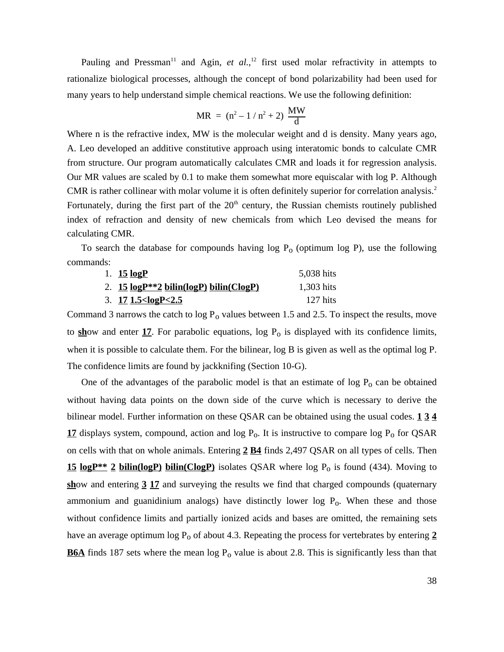Pauling and Pressman<sup>11</sup> and Agin, *et al.*,<sup>12</sup> first used molar refractivity in attempts to rationalize biological processes, although the concept of bond polarizability had been used for many years to help understand simple chemical reactions. We use the following definition:

$$
MR = (n^2 - 1 / n^2 + 2) \frac{MW}{d}
$$

Where n is the refractive index, MW is the molecular weight and d is density. Many years ago, A. Leo developed an additive constitutive approach using interatomic bonds to calculate CMR from structure. Our program automatically calculates CMR and loads it for regression analysis. Our MR values are scaled by 0.1 to make them somewhat more equiscalar with log P. Although CMR is rather collinear with molar volume it is often definitely superior for correlation analysis.<sup>2</sup> Fortunately, during the first part of the  $20<sup>th</sup>$  century, the Russian chemists routinely published index of refraction and density of new chemicals from which Leo devised the means for calculating CMR.

To search the database for compounds having  $log P_0$  (optimum log P), use the following commands:

| 1. <b>15 logP</b>                                       | 5,038 hits |
|---------------------------------------------------------|------------|
| 2. 15 logP**2 bilin(logP) bilin(ClogP)                  | 1,303 hits |
| 3. 171.5 <logp<2.5< th=""><th>127 hits</th></logp<2.5<> | 127 hits   |

Command 3 narrows the catch to  $log P_0$  values between 1.5 and 2.5. To inspect the results, move to  $\frac{\text{sh}}{\text{ow}}$  and enter  $\frac{17}{17}$ . For parabolic equations, log  $P_0$  is displayed with its confidence limits, when it is possible to calculate them. For the bilinear, log B is given as well as the optimal log P. The confidence limits are found by jackknifing (Section 10-G).

One of the advantages of the parabolic model is that an estimate of  $log P_0$  can be obtained without having data points on the down side of the curve which is necessary to derive the bilinear model. Further information on these QSAR can be obtained using the usual codes. **1 3 4** 17 displays system, compound, action and  $log P_0$ . It is instructive to compare  $log P_0$  for QSAR on cells with that on whole animals. Entering **2 B4** finds 2,497 QSAR on all types of cells. Then 15 logP<sup>\*\*</sup> 2 bilin(logP) bilin(ClogP) isolates QSAR where log P<sub>o</sub> is found (434). Moving to **sh**ow and entering **3 17** and surveying the results we find that charged compounds (quaternary ammonium and guanidinium analogs) have distinctly lower log  $P_0$ . When these and those without confidence limits and partially ionized acids and bases are omitted, the remaining sets have an average optimum  $\log P_0$  of about 4.3. Repeating the process for vertebrates by entering  $2$ **B6A** finds 187 sets where the mean  $log P_0$  value is about 2.8. This is significantly less than that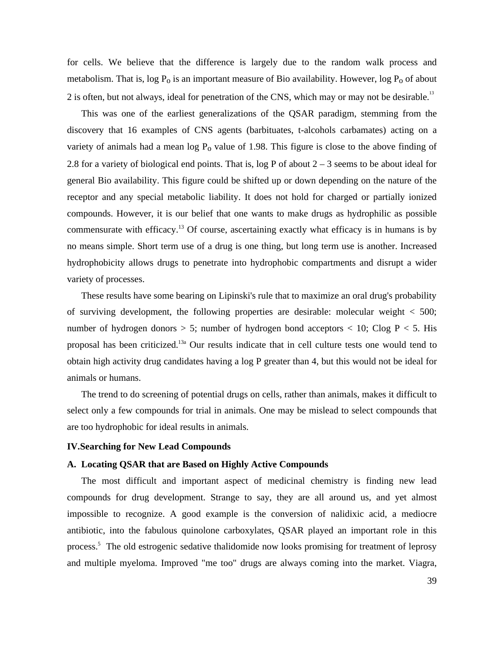for cells. We believe that the difference is largely due to the random walk process and metabolism. That is,  $log P_0$  is an important measure of Bio availability. However,  $log P_0$  of about 2 is often, but not always, ideal for penetration of the CNS, which may or may not be desirable.<sup>13</sup>

This was one of the earliest generalizations of the QSAR paradigm, stemming from the discovery that 16 examples of CNS agents (barbituates, t-alcohols carbamates) acting on a variety of animals had a mean  $log P_0$  value of 1.98. This figure is close to the above finding of 2.8 for a variety of biological end points. That is,  $log P$  of about  $2 - 3$  seems to be about ideal for general Bio availability. This figure could be shifted up or down depending on the nature of the receptor and any special metabolic liability. It does not hold for charged or partially ionized compounds. However, it is our belief that one wants to make drugs as hydrophilic as possible commensurate with efficacy.<sup>13</sup> Of course, ascertaining exactly what efficacy is in humans is by no means simple. Short term use of a drug is one thing, but long term use is another. Increased hydrophobicity allows drugs to penetrate into hydrophobic compartments and disrupt a wider variety of processes.

These results have some bearing on Lipinski's rule that to maximize an oral drug's probability of surviving development, the following properties are desirable: molecular weight < 500; number of hydrogen donors  $> 5$ ; number of hydrogen bond acceptors  $< 10$ ; Clog  $P < 5$ . His proposal has been criticized.13a Our results indicate that in cell culture tests one would tend to obtain high activity drug candidates having a log P greater than 4, but this would not be ideal for animals or humans.

The trend to do screening of potential drugs on cells, rather than animals, makes it difficult to select only a few compounds for trial in animals. One may be mislead to select compounds that are too hydrophobic for ideal results in animals.

### **IV.Searching for New Lead Compounds**

### **A. Locating QSAR that are Based on Highly Active Compounds**

The most difficult and important aspect of medicinal chemistry is finding new lead compounds for drug development. Strange to say, they are all around us, and yet almost impossible to recognize. A good example is the conversion of nalidixic acid, a mediocre antibiotic, into the fabulous quinolone carboxylates, QSAR played an important role in this process.<sup>5</sup> The old estrogenic sedative thalidomide now looks promising for treatment of leprosy and multiple myeloma. Improved "me too" drugs are always coming into the market. Viagra,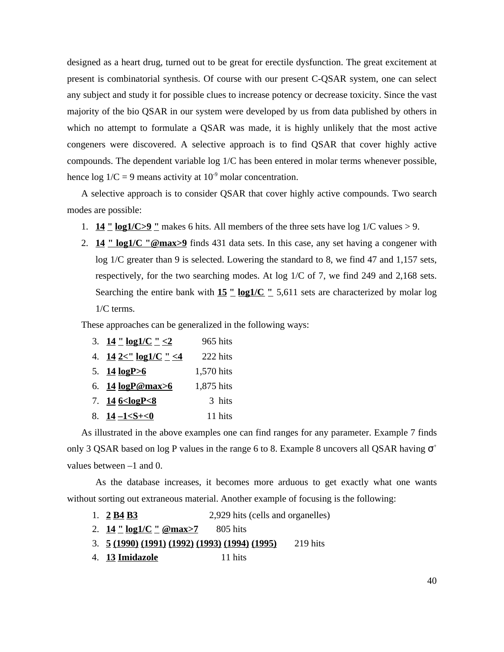designed as a heart drug, turned out to be great for erectile dysfunction. The great excitement at present is combinatorial synthesis. Of course with our present C-QSAR system, one can select any subject and study it for possible clues to increase potency or decrease toxicity. Since the vast majority of the bio QSAR in our system were developed by us from data published by others in which no attempt to formulate a QSAR was made, it is highly unlikely that the most active congeners were discovered. A selective approach is to find QSAR that cover highly active compounds. The dependent variable log 1/C has been entered in molar terms whenever possible, hence  $\log 1/C = 9$  means activity at  $10^{-9}$  molar concentration.

A selective approach is to consider QSAR that cover highly active compounds. Two search modes are possible:

- 1. **14 " log1/C>9 "** makes 6 hits. All members of the three sets have log 1/C values > 9.
- 2. **14 " log1/C "@max>9** finds 431 data sets. In this case, any set having a congener with log 1/C greater than 9 is selected. Lowering the standard to 8, we find 47 and 1,157 sets, respectively, for the two searching modes. At log 1/C of 7, we find 249 and 2,168 sets. Searching the entire bank with **15** " log1/C " 5,611 sets are characterized by molar log 1/C terms.

These approaches can be generalized in the following ways:

| 3. $14 \cdot 10g1/C \cdot 2$                     | 965 hits   |
|--------------------------------------------------|------------|
| 4. $14 \frac{2}{\text{cm}} \log 1/\text{C}$ " <4 | 222 hits   |
| 5. $14 \log P > 6$                               | 1,570 hits |
| 6. $14 \log P@max>6$                             | 1,875 hits |
| 7. $146 < logP < 8$                              | 3 hits     |
| 8. $14 - 1 < S + 0$                              | 11 hits    |

As illustrated in the above examples one can find ranges for any parameter. Example 7 finds only 3 QSAR based on log P values in the range 6 to 8. Example 8 uncovers all QSAR having  $+$ values between –1 and 0.

As the database increases, it becomes more arduous to get exactly what one wants without sorting out extraneous material. Another example of focusing is the following:

- 1. **2 B4 B3** 2,929 hits (cells and organelles)
- 2. **14** <u>" log1/C " @max>7</u> 805 hits
- 3. **5 (1990) (1991) (1992) (1993) (1994) (1995)** 219 hits
- 4. **13 Imidazole** 11 hits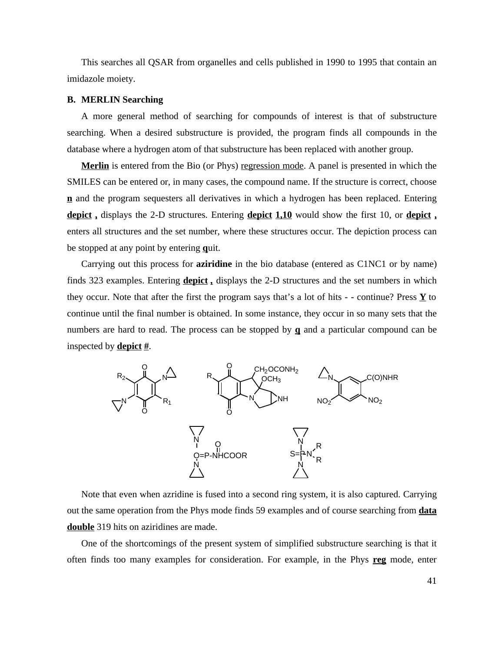This searches all QSAR from organelles and cells published in 1990 to 1995 that contain an imidazole moiety.

## **B. MERLIN Searching**

A more general method of searching for compounds of interest is that of substructure searching. When a desired substructure is provided, the program finds all compounds in the database where a hydrogen atom of that substructure has been replaced with another group.

**Merlin** is entered from the Bio (or Phys) regression mode. A panel is presented in which the SMILES can be entered or, in many cases, the compound name. If the structure is correct, choose **n** and the program sequesters all derivatives in which a hydrogen has been replaced. Entering **depict ,** displays the 2-D structures. Entering **depict 1,10** would show the first 10, or **depict ,** enters all structures and the set number, where these structures occur. The depiction process can be stopped at any point by entering **q**uit.

Carrying out this process for **aziridine** in the bio database (entered as C1NC1 or by name) finds 323 examples. Entering **depict ,** displays the 2-D structures and the set numbers in which they occur. Note that after the first the program says that's a lot of hits  $-$  - continue? Press  $\underline{Y}$  to continue until the final number is obtained. In some instance, they occur in so many sets that the numbers are hard to read. The process can be stopped by **q** and a particular compound can be inspected by **depict #**.



Note that even when azridine is fused into a second ring system, it is also captured. Carrying out the same operation from the Phys mode finds 59 examples and of course searching from **data double** 319 hits on aziridines are made.

One of the shortcomings of the present system of simplified substructure searching is that it often finds too many examples for consideration. For example, in the Phys **reg** mode, enter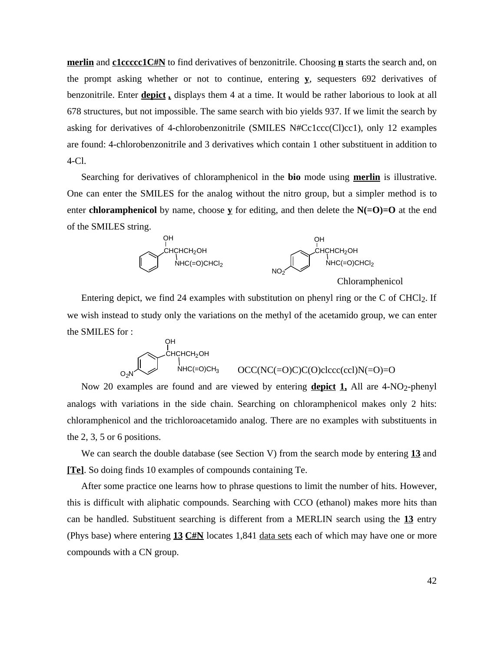**merlin** and **c1ccccc1C#N** to find derivatives of benzonitrile. Choosing **n** starts the search and, on the prompt asking whether or not to continue, entering **y**, sequesters 692 derivatives of benzonitrile. Enter **depict ,** displays them 4 at a time. It would be rather laborious to look at all 678 structures, but not impossible. The same search with bio yields 937. If we limit the search by asking for derivatives of 4-chlorobenzonitrile (SMILES N#Cc1ccc(Cl)cc1), only 12 examples are found: 4-chlorobenzonitrile and 3 derivatives which contain 1 other substituent in addition to 4-Cl.

Searching for derivatives of chloramphenicol in the **bio** mode using **merlin** is illustrative. One can enter the SMILES for the analog without the nitro group, but a simpler method is to enter **chloramphenicol** by name, choose  $\underline{\mathbf{y}}$  for editing, and then delete the  $N(-\mathbf{O})=0$  at the end of the SMILES string.



Chloramphenicol

Entering depict, we find 24 examples with substitution on phenyl ring or the C of CHCl<sub>2</sub>. If we wish instead to study only the variations on the methyl of the acetamido group, we can enter the SMILES for :

$$
\bigcirc_{O_2N}^{OH}
$$
\n
$$
\bigcirc_{O_2N}^{CHCHCH_2OH}
$$
\n
$$
\bigcirc_{O_2N}^{CHCHCH_2OH}
$$
\n
$$
OCC(NC(=O)C)C(O)clccc (ccl)N(=O)=O
$$

Now 20 examples are found and are viewed by entering **depict 1,** All are 4-NO2-phenyl analogs with variations in the side chain. Searching on chloramphenicol makes only 2 hits: chloramphenicol and the trichloroacetamido analog. There are no examples with substituents in the 2, 3, 5 or 6 positions.

We can search the double database (see Section V) from the search mode by entering **13** and **[Te]**. So doing finds 10 examples of compounds containing Te.

After some practice one learns how to phrase questions to limit the number of hits. However, this is difficult with aliphatic compounds. Searching with CCO (ethanol) makes more hits than can be handled. Substituent searching is different from a MERLIN search using the **13** entry (Phys base) where entering **13 C#N** locates 1,841 data sets each of which may have one or more compounds with a CN group.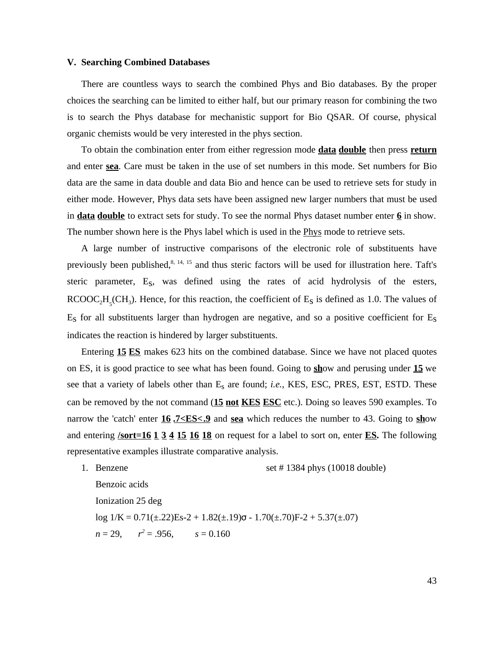### **V. Searching Combined Databases**

There are countless ways to search the combined Phys and Bio databases. By the proper choices the searching can be limited to either half, but our primary reason for combining the two is to search the Phys database for mechanistic support for Bio QSAR. Of course, physical organic chemists would be very interested in the phys section.

To obtain the combination enter from either regression mode **data double** then press **return** and enter **sea**. Care must be taken in the use of set numbers in this mode. Set numbers for Bio data are the same in data double and data Bio and hence can be used to retrieve sets for study in either mode. However, Phys data sets have been assigned new larger numbers that must be used in **data double** to extract sets for study. To see the normal Phys dataset number enter **6** in show. The number shown here is the Phys label which is used in the Phys mode to retrieve sets.

A large number of instructive comparisons of the electronic role of substituents have previously been published, $8, 14, 15$  and thus steric factors will be used for illustration here. Taft's steric parameter, Es, was defined using the rates of acid hydrolysis of the esters,  $RCOOC<sub>2</sub>H<sub>5</sub>(CH<sub>3</sub>)$ . Hence, for this reaction, the coefficient of  $E<sub>S</sub>$  is defined as 1.0. The values of  $E<sub>S</sub>$  for all substituents larger than hydrogen are negative, and so a positive coefficient for  $E<sub>S</sub>$ indicates the reaction is hindered by larger substituents.

Entering **15 ES** makes 623 hits on the combined database. Since we have not placed quotes on ES, it is good practice to see what has been found. Going to **sh**ow and perusing under **15** we see that a variety of labels other than  $E_s$  are found; *i.e.*, KES, ESC, PRES, EST, ESTD. These can be removed by the not command (**15 not KES ESC** etc.). Doing so leaves 590 examples. To narrow the 'catch' enter **16 .7<ES<.9** and **sea** which reduces the number to 43. Going to **sh**ow and entering **/sort=16 1 3 4 15 16 18** on request for a label to sort on, enter **ES.** The following representative examples illustrate comparative analysis.

1. Benzene set # 1384 phys (10018 double) Benzoic acids Ionization 25 deg log  $1/K = 0.71(\pm .22)Es-2 + 1.82(\pm .19) - 1.70(\pm .70)F-2 + 5.37(\pm .07)$  $n = 29,$   $r^2 = .956,$   $s = 0.160$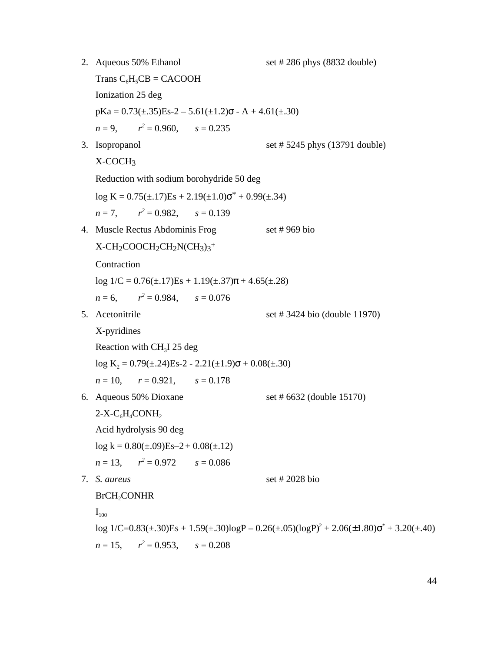2. Aqueous 50% Ethanol set # 286 phys (8832 double) Trans  $C_6H_5CB = CACOOH$ Ionization 25 deg  $pKa = 0.73(\pm .35)Es-2 - 5.61(\pm 1.2) - A + 4.61(\pm .30)$  $n = 9,$   $r^2 = 0.960,$   $s = 0.235$ 3. Isopropanol set # 5245 phys (13791 double)  $X-COCH<sub>3</sub>$ Reduction with sodium borohydride 50 deg  $log K = 0.75(\pm .17)Es + 2.19(\pm 1.0)^{*} + 0.99(\pm .34)$  $n = 7$ ,  $x^2 = 0.982$ ,  $s = 0.139$ 4. Muscle Rectus Abdominis Frog set # 969 bio  $X$ -CH<sub>2</sub>COOCH<sub>2</sub>CH<sub>2</sub>N(CH<sub>3</sub>)<sub>3</sub><sup>+</sup> **Contraction**  $log 1/C = 0.76(\pm .17)Es + 1.19(\pm .37) + 4.65(\pm .28)$  $n = 6$ ,  $x^2 = 0.984$ ,  $s = 0.076$ 5. Acetonitrile set # 3424 bio (double 11970) X-pyridines Reaction with  $CH<sub>3</sub>I$  25 deg  $log K_2 = 0.79(\pm .24)Es-2 - 2.21(\pm 1.9) + 0.08(\pm .30)$  $r = 10$ ,  $r = 0.921$ ,  $s = 0.178$ 6. Aqueous  $50\%$  Dioxane set #  $6632$  (double 15170)  $2-X-C<sub>6</sub>H<sub>4</sub>CONH<sub>2</sub>$ Acid hydrolysis 90 deg  $log k = 0.80(\pm .09)Es - 2 + 0.08(\pm .12)$  $n = 13$ ,  $r^2 = 0.972$   $s = 0.086$ 7. *S. aureus* set # 2028 bio BrCH<sub>2</sub>CONHR  $I_{100}$  $log 1/C = 0.83(\pm .30)Es + 1.59(\pm .30)log P - 0.26(\pm .05)(log P)^{2} + 2.06(\pm 1.80)$ <sup>\*</sup> + 3.20( $\pm .40$ )  $n = 15$ ,  $r^2 = 0.953$ ,  $s = 0.208$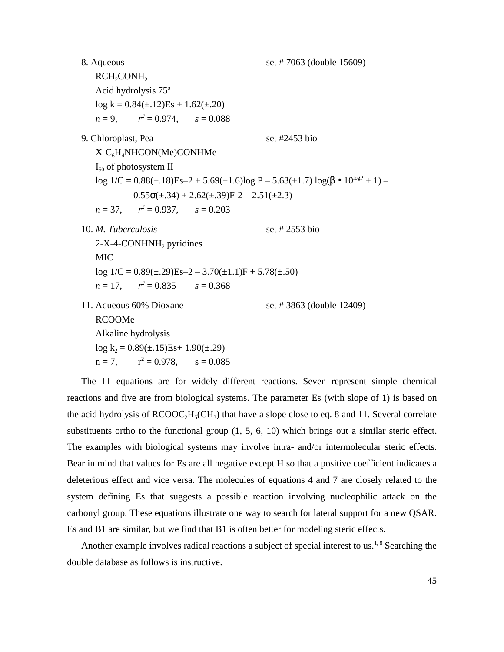8. Aqueous set # 7063 (double 15609)  $RCH_2CONH_2$ Acid hydrolysis 75°  $log k = 0.84(\pm.12)Es + 1.62(\pm.20)$  $n = 9$ ,  $r^2 = 0.974$ ,  $s = 0.088$ 9. Chloroplast, Pea set #2453 bio  $X-C<sub>6</sub>H<sub>4</sub>NHCON(Me)CONHMe$  $I_{50}$  of photosystem II  $\log 1/C = 0.88(\pm 18)Es - 2 + 5.69(\pm 1.6)\log P - 5.63(\pm 1.7)\log(4.10^{\log P} + 1) -$ 0.55  $(\pm .34) + 2.62(\pm .39)F - 2 - 2.51(\pm 2.3)$  $n = 37$ ,  $r^2 = 0.937$ ,  $s = 0.203$ 10. *M. Tuberculosis* set # 2553 bio  $2-X-4$ -CONHNH<sub>2</sub> pyridines MIC  $log 1/C = 0.89(\pm .29)Es - 2 - 3.70(\pm 1.1)F + 5.78(\pm .50)$  $n = 17$ ,  $r^2 = 0.835$   $s = 0.368$ 11. Aqueous 60% Dioxane set # 3863 (double 12409) RCOOMe Alkaline hydrolysis  $log k_2 = 0.89(\pm .15)Es+ 1.90(\pm .29)$  $n = 7$ ,  $r^2 = 0.978$ ,  $s = 0.085$ 

The 11 equations are for widely different reactions. Seven represent simple chemical reactions and five are from biological systems. The parameter Es (with slope of 1) is based on the acid hydrolysis of  $RCOOC<sub>2</sub>H<sub>5</sub>(CH<sub>3</sub>)$  that have a slope close to eq. 8 and 11. Several correlate substituents ortho to the functional group (1, 5, 6, 10) which brings out a similar steric effect. The examples with biological systems may involve intra- and/or intermolecular steric effects. Bear in mind that values for Es are all negative except H so that a positive coefficient indicates a deleterious effect and vice versa. The molecules of equations 4 and 7 are closely related to the system defining Es that suggests a possible reaction involving nucleophilic attack on the carbonyl group. These equations illustrate one way to search for lateral support for a new QSAR. Es and B1 are similar, but we find that B1 is often better for modeling steric effects.

Another example involves radical reactions a subject of special interest to us.<sup>1,8</sup> Searching the double database as follows is instructive.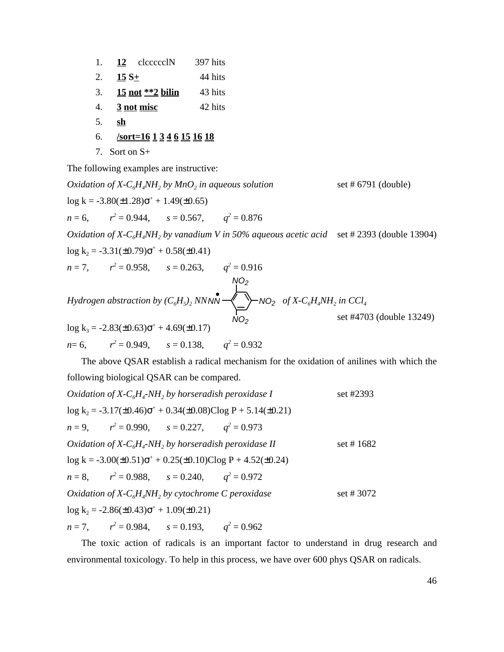| 1. | 12 clccccclN                             | 397 hits |
|----|------------------------------------------|----------|
| 2. | $15 S+$                                  | 44 hits  |
| 3. | <u>15 not **2 bilin</u>                  | 43 hits  |
| 4. | 3 not misc                               | 42 hits  |
| 5. | sh                                       |          |
| 6. | $\sqrt{\text{sort}=16}$ 1 3 4 6 15 16 18 |          |
|    | 7. Sort on $S+$                          |          |

The following examples are instructive:

*Oxidation of X-C<sub>6</sub>H<sub>4</sub>NH<sub>2</sub> by MnO<sub>2</sub> in aqueous solution* set # 6791 (double)  $log k = -3.80(\pm 1.28)^{+} + 1.49(\pm 0.65)$  $n = 6$ ,  $r^2 = 0.944$ ,  $s = 0.567$ ,  $q^2 = 0.876$ *Oxidation of X-C6H4NH<sup>2</sup> by vanadium V in 50% aqueous acetic acid* set # 2393 (double 13904)  $log k_2 = -3.31(\pm 0.79)$  +  $+ 0.58(\pm 0.41)$  $n = 7$ ,  $r^2 = 0.958$ ,  $s = 0.263$ ,  $q^2 = 0.916$ *Hydrogen abstraction by*  $(C_6H_5)_2$  *NN NN*  $\rightarrow$   $\rightarrow$  NO<sub>2</sub> of X-C<sub>6</sub>H<sub>4</sub>NH<sub>2</sub> in CCl<sub>4</sub> set #4703 (double 13249)  $log k_3 = -2.83(\pm 0.63)$  + + 4.69( $\pm 0.17$ )  $n=6$ ,  $a^2 = 0.949$ ,  $s = 0.138$ ,  $q^2 = 0.932$ *NN NO<sup>2</sup> NO<sup>2</sup> NO2*

The above QSAR establish a radical mechanism for the oxidation of anilines with which the following biological QSAR can be compared.

*Oxidation of X-C6H<sup>4</sup> -NH<sup>2</sup> by horseradish peroxidase I* set #2393 log k<sup>2</sup> = -3.17(±0.46) <sup>+</sup> + 0.34(±0.08)Clog P + 5.14(±0.21) *n* = 9, *r 2* = 0.990, *s* = 0.227, *q 2* = 0.973 *Oxidation of X-C6H<sup>4</sup> -NH<sup>2</sup> by horseradish peroxidase II* set # 1682 log k = -3.00(±0.51) <sup>+</sup> + 0.25(±0.10)Clog P + 4.52(±0.24) *n* = 8, *r 2* = 0.988, *s* = 0.240, *q 2* = 0.972 *Oxidation of X-C6H4NH<sup>2</sup> by cytochrome C peroxidase* set # 3072 log k<sup>2</sup> = -2.86(±0.43) <sup>+</sup> + 1.09(±0.21) *n* = 7, *r 2* = 0.984, *s* = 0.193, *q 2* = 0.962

The toxic action of radicals is an important factor to understand in drug research and environmental toxicology. To help in this process, we have over 600 phys QSAR on radicals.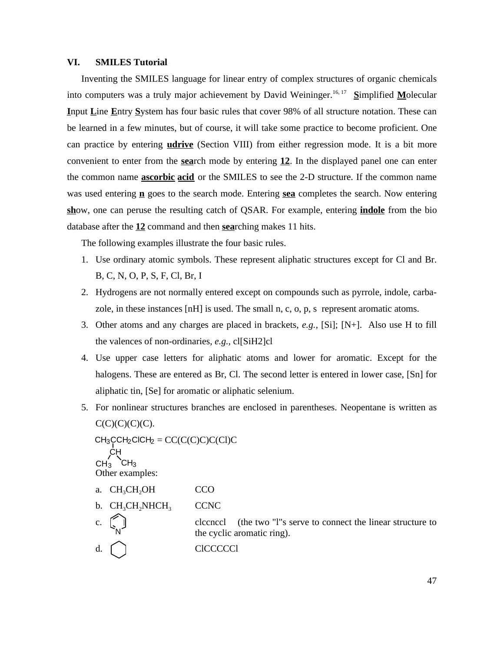## **VI. SMILES Tutorial**

Inventing the SMILES language for linear entry of complex structures of organic chemicals into computers was a truly major achievement by David Weininger.<sup>16, 17</sup> Simplified Molecular **I**nput **L**ine **E**ntry **S**ystem has four basic rules that cover 98% of all structure notation. These can be learned in a few minutes, but of course, it will take some practice to become proficient. One can practice by entering **udrive** (Section VIII) from either regression mode. It is a bit more convenient to enter from the **sea**rch mode by entering **12**. In the displayed panel one can enter the common name **ascorbic acid** or the SMILES to see the 2-D structure. If the common name was used entering **n** goes to the search mode. Entering **sea** completes the search. Now entering **sh**ow, one can peruse the resulting catch of QSAR. For example, entering **indole** from the bio database after the **12** command and then **sea**rching makes 11 hits.

The following examples illustrate the four basic rules.

- 1. Use ordinary atomic symbols. These represent aliphatic structures except for Cl and Br. B, C, N, O, P, S, F, Cl, Br, I
- 2. Hydrogens are not normally entered except on compounds such as pyrrole, indole, carbazole, in these instances [nH] is used. The small n, c, o, p, s represent aromatic atoms.
- 3. Other atoms and any charges are placed in brackets, *e.g.,* [Si]; [N+]. Also use H to fill the valences of non-ordinaries, *e.g.,* cl[SiH2]cl
- 4. Use upper case letters for aliphatic atoms and lower for aromatic. Except for the halogens. These are entered as Br, Cl. The second letter is entered in lower case, [Sn] for aliphatic tin, [Se] for aromatic or aliphatic selenium.
- 5. For nonlinear structures branches are enclosed in parentheses. Neopentane is written as  $C(C)(C)(C)(C)$ .

 $CH_3CCH_2CICH_2 = CC(C(C)C)C(CI)C$ Other examples: a. CH<sub>3</sub>CH<sub>2</sub>OH CCO  $b. CH<sub>3</sub>CH<sub>2</sub>NHCH<sub>3</sub>$  CCNC CH  $CH_3$  CH<sub>3</sub>

- clecncel (the two "l"s serve to connect the linear structure to the cyclic aromatic ring). N
- d. [ ] CICCCCCI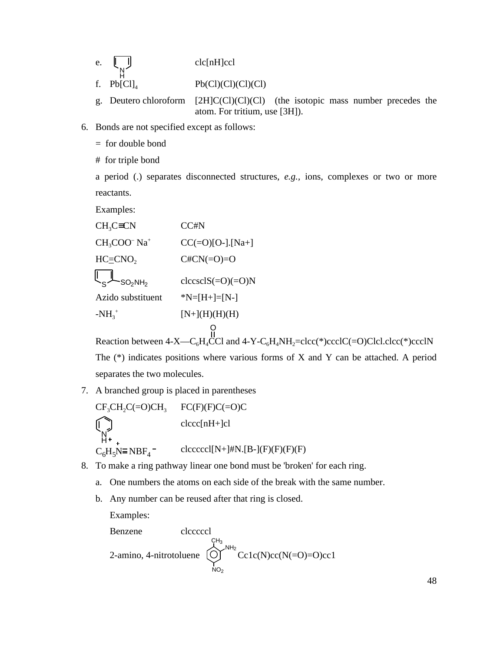| e | $clc[nH]$ ccl |
|---|---------------|
|   |               |

 $Pb(Cl)(Cl)(Cl)(Cl)$ 

- g. Deutero chloroform [2H]C(Cl)(Cl)(Cl) (the isotopic mass number precedes the atom. For tritium, use [3H]).
- 6. Bonds are not specified except as follows:
	- $=$  for double bond
	- # for triple bond

a period (.) separates disconnected structures, *e.g.,* ions, complexes or two or more reactants.

Examples:

 $CH<sub>3</sub>C$  CN  $CCHN$  $CH<sub>3</sub>COO<sup>-</sup>$  Na<sup>+</sup>  $CC(=O)[O-]$ .[Na+]  $HC \equiv CNO$ <sub>2</sub>  $C \#CN (=O)=O$  $clccsclS(=O)(=O)N$ Azido substituent  $*N=[H+]=[N-]$  $-MH_3^+$  $[N+](H)(H)(H)$  $SO<sub>2</sub>NH<sub>2</sub>$ O

Reaction between  $4-X-C_6H_4\text{CCl}$  and  $4-Y-C_6H_4NH_2 = \text{clcc}$ <sup>\*</sup>)ccclC(=O)Clcl.clcc(\*)ccclN The (\*) indicates positions where various forms of X and Y can be attached. A period separates the two molecules.

7. A branched group is placed in parentheses

$$
CF3CH2C(=O)CH3 \tFC(F)(F)C(=O)C
$$
  
\n
$$
\bigcap_{H^+ \atop C_6H_5N \equiv NBF_4^-} \text{clcccc}(nH+]cI
$$
  
\n
$$
C_6H_5N \equiv NBF_4^- \tclcccc(2nH+]HN.[B-](F)(F)(F)(F)
$$

- 8. To make a ring pathway linear one bond must be 'broken' for each ring.
	- a. One numbers the atoms on each side of the break with the same number.
	- b. Any number can be reused after that ring is closed.

Examples:

Benzene

\n2-amino, 4-nitrotoluene

\n
$$
\bigodot_{N O_2}^{C H_3}^{N H_2} \text{Cc1c(N)cc(N (=O)=O)cc1}
$$

48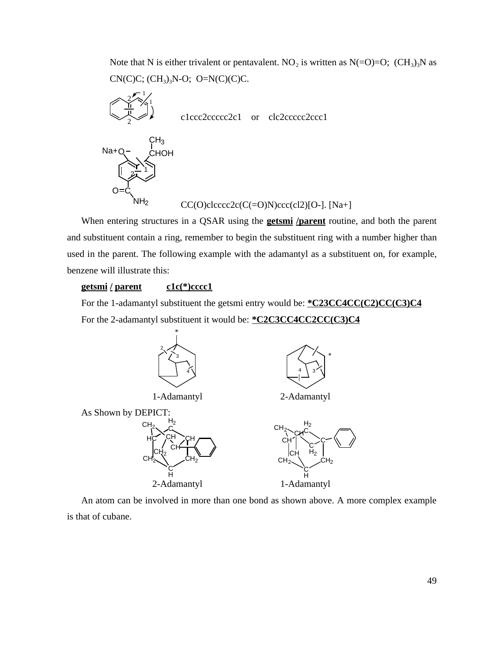Note that N is either trivalent or pentavalent. NO<sub>2</sub> is written as  $N(=O)=O$ ;  $(CH_3)_3N$  as  $CN(C)C; (CH<sub>3</sub>)<sub>3</sub>N-O; O=N(C)(C)C.$ 



When entering structures in a QSAR using the **getsmi /parent** routine, and both the parent and substituent contain a ring, remember to begin the substituent ring with a number higher than used in the parent. The following example with the adamantyl as a substituent on, for example, benzene will illustrate this:

# **getsmi / parent c1c(\*)cccc1**

For the 1-adamantyl substituent the getsmi entry would be: **\*C23CC4CC(C2)CC(C3)C4** For the 2-adamantyl substituent it would be: **\*C2C3CC4CC2CC(C3)C4**



An atom can be involved in more than one bond as shown above. A more complex example is that of cubane.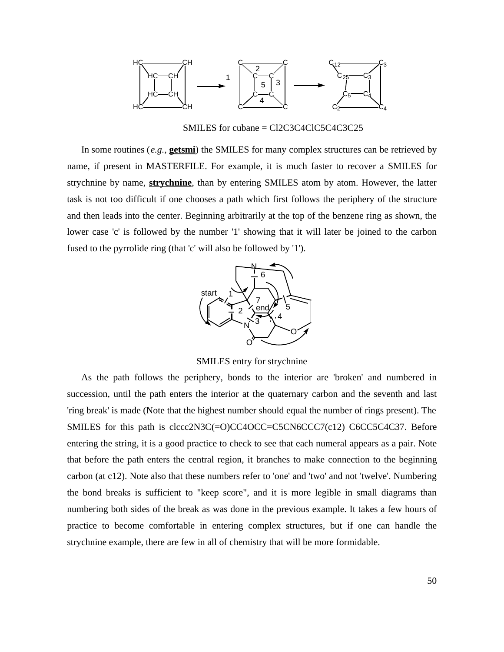

SMILES for cubane = Cl2C3C4ClC5C4C3C25

In some routines (*e.g.,* **getsmi**) the SMILES for many complex structures can be retrieved by name, if present in MASTERFILE. For example, it is much faster to recover a SMILES for strychnine by name, **strychnine**, than by entering SMILES atom by atom. However, the latter task is not too difficult if one chooses a path which first follows the periphery of the structure and then leads into the center. Beginning arbitrarily at the top of the benzene ring as shown, the lower case 'c' is followed by the number '1' showing that it will later be joined to the carbon fused to the pyrrolide ring (that 'c' will also be followed by '1').



SMILES entry for strychnine

As the path follows the periphery, bonds to the interior are 'broken' and numbered in succession, until the path enters the interior at the quaternary carbon and the seventh and last 'ring break' is made (Note that the highest number should equal the number of rings present). The SMILES for this path is clccc2N3C(=O)CC4OCC=C5CN6CCC7(c12) C6CC5C4C37. Before entering the string, it is a good practice to check to see that each numeral appears as a pair. Note that before the path enters the central region, it branches to make connection to the beginning carbon (at c12). Note also that these numbers refer to 'one' and 'two' and not 'twelve'. Numbering the bond breaks is sufficient to "keep score", and it is more legible in small diagrams than numbering both sides of the break as was done in the previous example. It takes a few hours of practice to become comfortable in entering complex structures, but if one can handle the strychnine example, there are few in all of chemistry that will be more formidable.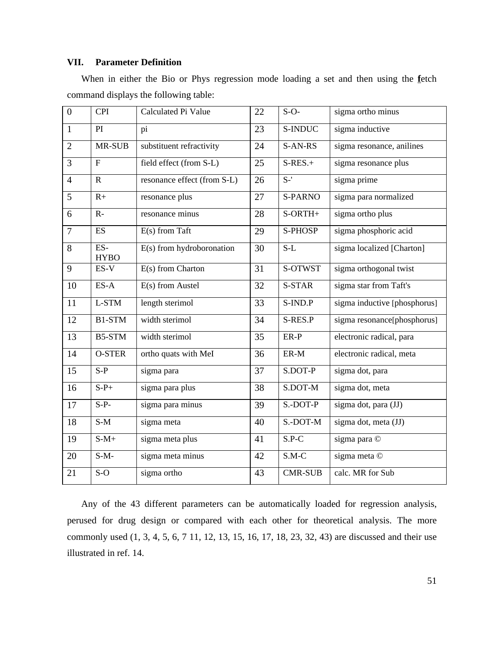# **VII. Parameter Definition**

When in either the Bio or Phys regression mode loading a set and then using the **f**etch command displays the following table:

| $\overline{0}$ | <b>CPI</b>           | Calculated Pi Value         | 22              | $S-O-$         | sigma ortho minus                   |
|----------------|----------------------|-----------------------------|-----------------|----------------|-------------------------------------|
| $\mathbf{1}$   | PI                   | pi                          | 23              | S-INDUC        | $\overline{\text{sigma}}$ inductive |
| $\overline{2}$ | MR-SUB               | substituent refractivity    | 24              | S-AN-RS        | sigma resonance, anilines           |
| 3              | $\mathbf{F}$         | field effect (from S-L)     | 25              | $S-RES.+$      | sigma resonance plus                |
| $\overline{4}$ | $\mathbf R$          | resonance effect (from S-L) | 26              | $S-$ '         | sigma prime                         |
| 5              | $R+$                 | resonance plus              | 27              | <b>S-PARNO</b> | sigma para normalized               |
| 6              | $R -$                | resonance minus             | 28              | S-ORTH+        | sigma ortho plus                    |
| $\overline{7}$ | <b>ES</b>            | $E(s)$ from Taft            | 29              | S-PHOSP        | sigma phosphoric acid               |
| 8              | $ES-$<br><b>HYBO</b> | $E(s)$ from hydroboronation | 30              | $S-L$          | sigma localized [Charton]           |
| 9              | ES-V                 | $E(s)$ from Charton         | 31              | S-OTWST        | sigma orthogonal twist              |
| 10             | $ES-A$               | $E(s)$ from Austel          | $\overline{32}$ | S-STAR         | sigma star from Taft's              |
| 11             | L-STM                | length sterimol             | 33              | S-IND.P        | sigma inductive [phosphorus]        |
| 12             | B1-STM               | width sterimol              | 34              | S-RES.P        | sigma resonance[phosphorus]         |
| 13             | B5-STM               | width sterimol              | 35              | ER-P           | electronic radical, para            |
| 14             | <b>O-STER</b>        | ortho quats with MeI        | 36              | $ER-M$         | electronic radical, meta            |
| 15             | $S-P$                | sigma para                  | 37              | S.DOT-P        | sigma dot, para                     |
| 16             | $S-P+$               | sigma para plus             | 38              | S.DOT-M        | sigma dot, meta                     |
| 17             | $S-P-$               | sigma para minus            | 39              | $S.$ -DOT-P    | sigma dot, para (JJ)                |
| 18             | $S-M$                | sigma meta                  | 40              | $S.$ -DOT-M    | sigma dot, meta (JJ)                |
| 19             | $S-M+$               | sigma meta plus             | 41              | $S.P-C$        | sigma para ©                        |
| 20             | $S-M-$               | sigma meta minus            | 42              | $S.M-C$        | sigma meta ©                        |
| 21             | $\overline{S}$ -O    | sigma ortho                 | 43              | <b>CMR-SUB</b> | calc. MR for Sub                    |

Any of the 43 different parameters can be automatically loaded for regression analysis, perused for drug design or compared with each other for theoretical analysis. The more commonly used (1, 3, 4, 5, 6, 7 11, 12, 13, 15, 16, 17, 18, 23, 32, 43) are discussed and their use illustrated in ref. 14.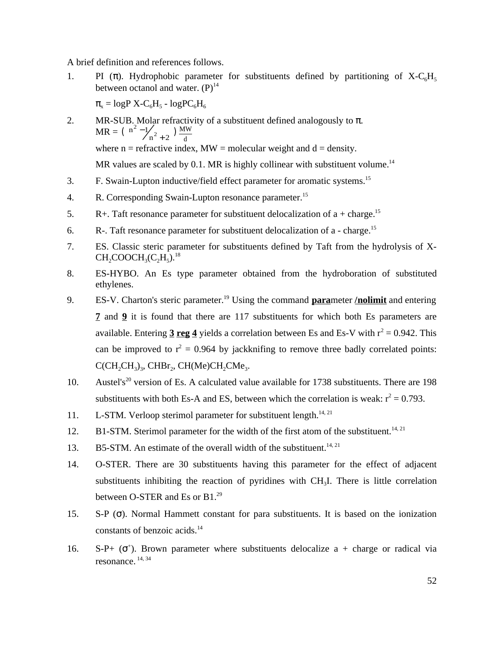A brief definition and references follows.

1. PI ( ). Hydrophobic parameter for substituents defined by partitioning of  $X-C<sub>6</sub>H<sub>5</sub>$ between octanol and water.  $(P)^{14}$ 

 $_{\rm x}$  = logP X-C<sub>6</sub>H<sub>5</sub> - logPC<sub>6</sub>H<sub>6</sub>

2. MR-SUB. Molar refractivity of a substituent defined analogously to .  $MR = \begin{pmatrix} n^2 - 1/2 & m \end{pmatrix} \frac{MW}{m}$ where  $n =$  refractive index,  $MW =$  molecular weight and  $d =$  density.  $\left( \begin{array}{c} n^2 - 1/n^2 + 2 \end{array} \right) \frac{M^3}{d}$  $\binom{2}{1}$  + 2  $\binom{2}{1}$ 

MR values are scaled by  $0.1$ . MR is highly collinear with substituent volume.<sup>14</sup>

- 3. F. Swain-Lupton inductive/field effect parameter for aromatic systems.<sup>15</sup>
- 4. R. Corresponding Swain-Lupton resonance parameter.<sup>15</sup>
- 5. R+. Taft resonance parameter for substituent delocalization of  $a + charge$ .<sup>15</sup>
- 6. R-. Taft resonance parameter for substituent delocalization of a charge.<sup>15</sup>
- 7. ES. Classic steric parameter for substituents defined by Taft from the hydrolysis of X- $\mathrm{CH_{2}COOCH_{3}(C_{2}H_{5})}^{18}$
- 8. ES-HYBO. An Es type parameter obtained from the hydroboration of substituted ethylenes.
- 9. ES-V. Charton's steric parameter.<sup>19</sup> Using the command **para**meter **/nolimit** and entering **7** and **9** it is found that there are 117 substituents for which both Es parameters are available. Entering  $3 \text{ reg } 4$  yields a correlation between Es and Es-V with  $r^2 = 0.942$ . This can be improved to  $r^2 = 0.964$  by jackknifing to remove three badly correlated points:  $C(CH_2CH_3)_3$ , CHBr<sub>2</sub>, CH(Me)CH<sub>2</sub>CMe<sub>3</sub>.
- 10. Austel's<sup>20</sup> version of Es. A calculated value available for 1738 substituents. There are 198 substituents with both Es-A and ES, between which the correlation is weak:  $r^2 = 0.793$ .
- 11. L-STM. Verloop sterimol parameter for substituent length.<sup>14, 21</sup>
- 12. B1-STM. Sterimol parameter for the width of the first atom of the substituent.<sup>14, 21</sup>
- 13. B5-STM. An estimate of the overall width of the substituent.<sup>14, 21</sup>
- 14. O-STER. There are 30 substituents having this parameter for the effect of adjacent substituents inhibiting the reaction of pyridines with  $CH<sub>3</sub>I$ . There is little correlation between O-STER and Es or B1.<sup>29</sup>
- 15. S-P ( ). Normal Hammett constant for para substituents. It is based on the ionization constants of benzoic acids.<sup>14</sup>
- 16. S-P+  $($ <sup>+</sup>). Brown parameter where substituents delocalize  $a + charge$  or radical via resonance. 14, 34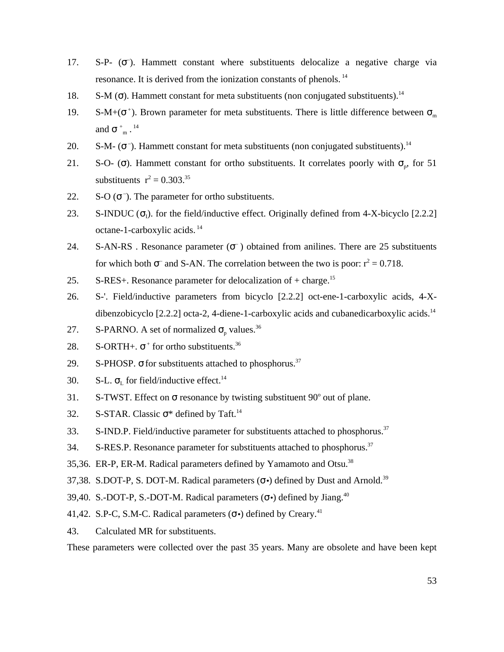- 17. S-P- ( ). Hammett constant where substituents delocalize a negative charge via resonance. It is derived from the ionization constants of phenols.<sup>14</sup>
- 18. S-M (). Hammett constant for meta substituents (non conjugated substituents).<sup>14</sup>
- 19. S-M+ $($ <sup>+</sup>). Brown parameter for meta substituents. There is little difference between  $<sub>m</sub>$ </sub> and  $+m$ .  $^{14}$
- 20. S-M- $($ ). Hammett constant for meta substituents (non conjugated substituents).<sup>14</sup>
- 21. S-O- (). Hammett constant for ortho substituents. It correlates poorly with  $_{\text{p}}$ , for 51 substituents  $r^2 = 0.303^{35}$
- 22.  $S-O$  ( $\overline{\phantom{a}}$ ). The parameter for ortho substituents.
- 23. S-INDUC  $\left(\begin{array}{c} 1 \end{array}\right)$  for the field/inductive effect. Originally defined from 4-X-bicyclo [2.2.2] octane-1-carboxylic acids.<sup>14</sup>
- 24. S-AN-RS. Resonance parameter ( $\overline{\phantom{a}}$ ) obtained from anilines. There are 25 substituents for which both  $\overline{\phantom{a}}$  and S-AN. The correlation between the two is poor:  $r^2 = 0.718$ .
- 25. S-RES+. Resonance parameter for delocalization of  $+$  charge.<sup>15</sup>
- 26. S-'. Field/inductive parameters from bicyclo [2.2.2] oct-ene-1-carboxylic acids, 4-Xdibenzobicyclo  $[2.2.2]$  octa-2, 4-diene-1-carboxylic acids and cubanedicarboxylic acids.<sup>14</sup>
- 27. S-PARNO. A set of normalized  $_{p}$  values.<sup>36</sup>
- 28. S-ORTH+.  $+$  for ortho substituents.<sup>36</sup>
- 29. S-PHOSP. for substituents attached to phosphorus. $37$
- 30. S-L.  $_{\rm L}$  for field/inductive effect.<sup>14</sup>
- 31. S-TWST. Effect on resonance by twisting substituent  $90^\circ$  out of plane.
- 32. S-STAR. Classic  $*$  defined by Taft.<sup>14</sup>
- 33. S-IND.P. Field/inductive parameter for substituents attached to phosphorus.<sup>37</sup>
- 34. S-RES.P. Resonance parameter for substituents attached to phosphorus.<sup>37</sup>
- 35,36. ER-P, ER-M. Radical parameters defined by Yamamoto and Otsu.<sup>38</sup>
- 37,38. S.DOT-P, S. DOT-M. Radical parameters  $(\cdot)$  defined by Dust and Arnold.<sup>39</sup>
- 39,40. S.-DOT-P, S.-DOT-M. Radical parameters  $( \cdot )$  defined by Jiang.<sup>40</sup>
- 41,42. S.P-C, S.M-C. Radical parameters  $( \cdot )$  defined by Creary.<sup>41</sup>
- 43. Calculated MR for substituents.

These parameters were collected over the past 35 years. Many are obsolete and have been kept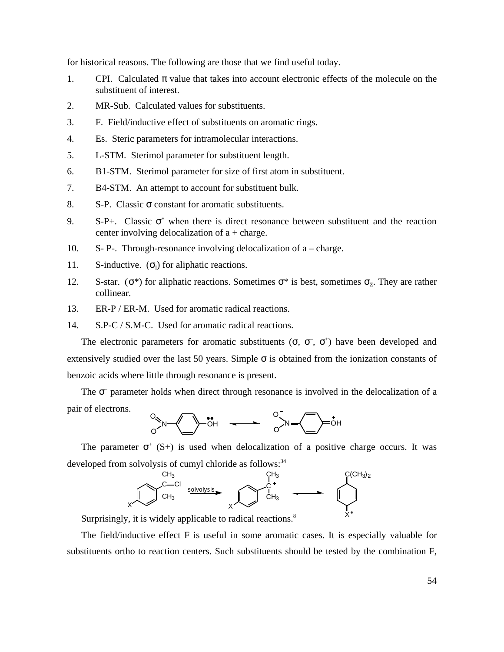for historical reasons. The following are those that we find useful today.

- 1. CPI. Calculated value that takes into account electronic effects of the molecule on the substituent of interest.
- 2. MR-Sub. Calculated values for substituents.
- 3. F. Field/inductive effect of substituents on aromatic rings.
- 4. Es. Steric parameters for intramolecular interactions.
- 5. L-STM. Sterimol parameter for substituent length.
- 6. B1-STM. Sterimol parameter for size of first atom in substituent.
- 7. B4-STM. An attempt to account for substituent bulk.
- 8. S-P. Classic constant for aromatic substituents.
- 9. S-P+. Classic  $+$  when there is direct resonance between substituent and the reaction center involving delocalization of  $a + charge$ .
- 10. S- P-. Through-resonance involving delocalization of a charge.
- 11. S-inductive.  $\begin{pmatrix} 1 \end{pmatrix}$  for aliphatic reactions.
- 12. S-star.  $(*)$  for aliphatic reactions. Sometimes  $*$  is best, sometimes  $Z$ . They are rather collinear.
- 13. ER-P / ER-M. Used for aromatic radical reactions.

14. S.P-C / S.M-C. Used for aromatic radical reactions.

The electronic parameters for aromatic substituents  $( , - , + )$  have been developed and extensively studied over the last 50 years. Simple is obtained from the ionization constants of benzoic acids where little through resonance is present.

The – parameter holds when direct through resonance is involved in the delocalization of a pair of electrons.

$$
\begin{array}{ccc}\n\circ & & \\
\circ & & \\
\hline\n\circ & & \\
\hline\n\circ & & \\
\hline\n\circ & & \\
\hline\n\circ & & \\
\hline\n\circ & & \\
\hline\n\circ & & \\
\hline\n\circ & & \\
\hline\n\circ & & \\
\hline\n\circ & & \\
\hline\n\circ & & \\
\hline\n\circ & & \\
\hline\n\circ & & \\
\hline\n\circ & & \\
\hline\n\circ & & \\
\hline\n\circ & & \\
\hline\n\circ & & \\
\hline\n\circ & & \\
\hline\n\circ & & \\
\hline\n\circ & & \\
\hline\n\circ & & \\
\hline\n\circ & & \\
\hline\n\circ & & \\
\hline\n\circ & & \\
\hline\n\circ & & \\
\hline\n\circ & & \\
\hline\n\circ & & \\
\hline\n\circ & & \\
\hline\n\circ & & \\
\hline\n\circ & & \\
\hline\n\circ & & \\
\hline\n\circ & & \\
\hline\n\circ & & \\
\hline\n\circ & & \\
\hline\n\circ & & \\
\hline\n\circ & & \\
\hline\n\circ & & \\
\hline\n\circ & & \\
\hline\n\circ & & \\
\hline\n\circ & & \\
\hline\n\circ & & \\
\hline\n\circ & & \\
\hline\n\circ & & \\
\hline\n\circ & & \\
\hline\n\circ & & \\
\hline\n\circ & & \\
\hline\n\circ & & \\
\hline\n\circ & & \\
\hline\n\circ & & \\
\hline\n\circ & & \\
\hline\n\circ & & \\
\hline\n\circ & & \\
\hline\n\circ & & \\
\hline\n\circ & & \\
\hline\n\circ & & \\
\hline\n\circ & & \\
\hline\n\circ & & \\
\hline\n\circ & & \\
\hline\n\circ & & \\
\hline\n\circ & & \\
\hline\n\circ & & \\
\hline\n\circ & & \\
\hline\n\circ & & \\
\hline\n\circ & & \\
\hline\n\circ & & \\
\hline\n\circ & & \\
\hline\n\circ & & \\
\hline\n\circ & & \\
\hline\n\circ & & \\
\hline\n\circ & & \\
\hline\n\circ & & \\
\hline\n\circ & & \\
\hline\n\circ & & \\
\hline\n\circ & & \\
\hline\n\circ & & \\
\hline\n\circ & & \\
\hline\n\circ & & \\
\hline\n\circ & & \\
\hline\n\circ & & \\
\hline\n\circ & & \\
\hline\n\circ & & \\
\hline\n\circ & & \\
\hline\n\circ & & \\
\hline
$$

The parameter  $(5+)$  is used when delocalization of a positive charge occurs. It was developed from solvolysis of cumyl chloride as follows:<sup>34</sup>



Surprisingly, it is widely applicable to radical reactions.<sup>8</sup>

The field/inductive effect F is useful in some aromatic cases. It is especially valuable for substituents ortho to reaction centers. Such substituents should be tested by the combination F,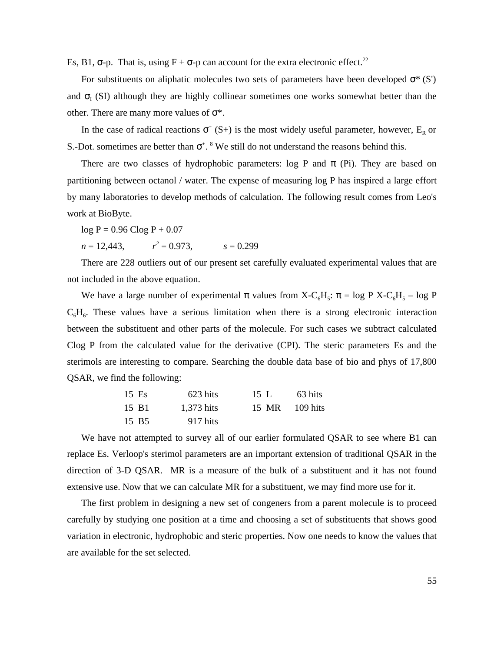Es, B1, -p. That is, using  $F + -p$  can account for the extra electronic effect.<sup>22</sup>

For substituents on aliphatic molecules two sets of parameters have been developed  $*(S')$ and  $_{I}$  (SI) although they are highly collinear sometimes one works somewhat better than the other. There are many more values of \*.

In the case of radical reactions  $( S+ )$  is the most widely useful parameter, however,  $E_R$  or S.-Dot. sometimes are better than  $+$ .  $8$  We still do not understand the reasons behind this.

There are two classes of hydrophobic parameters: log P and (Pi). They are based on partitioning between octanol / water. The expense of measuring log P has inspired a large effort by many laboratories to develop methods of calculation. The following result comes from Leo's work at BioByte.

 $log P = 0.96$  Clog  $P + 0.07$ 

 $n = 12,443$ ,  $r^2 = 0.973$ .  $s = 0.299$ 

There are 228 outliers out of our present set carefully evaluated experimental values that are not included in the above equation.

We have a large number of experimental values from  $X-C_6H_5$ : = log P  $X-C_6H_5$  – log P  $C_6H_6$ . These values have a serious limitation when there is a strong electronic interaction between the substituent and other parts of the molecule. For such cases we subtract calculated Clog P from the calculated value for the derivative (CPI). The steric parameters Es and the sterimols are interesting to compare. Searching the double data base of bio and phys of 17,800 QSAR, we find the following:

| 15 Es | 623 hits   | 15 L  | 63 hits    |
|-------|------------|-------|------------|
| 15 B1 | 1,373 hits | 15 MR | - 109 hits |
| 15 B5 | 917 hits   |       |            |

We have not attempted to survey all of our earlier formulated QSAR to see where B1 can replace Es. Verloop's sterimol parameters are an important extension of traditional QSAR in the direction of 3-D QSAR. MR is a measure of the bulk of a substituent and it has not found extensive use. Now that we can calculate MR for a substituent, we may find more use for it.

The first problem in designing a new set of congeners from a parent molecule is to proceed carefully by studying one position at a time and choosing a set of substituents that shows good variation in electronic, hydrophobic and steric properties. Now one needs to know the values that are available for the set selected.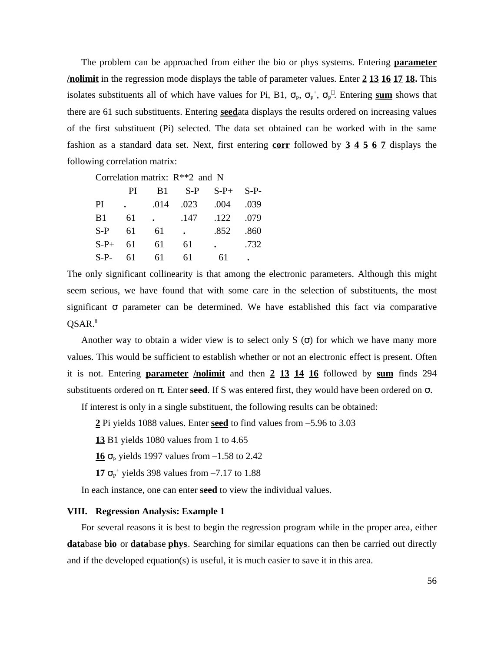The problem can be approached from either the bio or phys systems. Entering **parameter /nolimit** in the regression mode displays the table of parameter values. Enter **2 13 16 17 18.** This isolates substituents all of which have values for Pi, B1,  $_{P}$ ,  $_{P}$ <sup>+</sup>,  $_{P}$ . Entering sum shows that there are 61 such substituents. Entering **seed**ata displays the results ordered on increasing values of the first substituent (Pi) selected. The data set obtained can be worked with in the same fashion as a standard data set. Next, first entering **corr** followed by **3 4 5 6 7** displays the following correlation matrix:

Correlation matrix: R\*\*2 and N

|        | PI.                  | <b>B</b> 1                        |                      | $S-P$ $S-P+$ $S-P-$ |                      |
|--------|----------------------|-----------------------------------|----------------------|---------------------|----------------------|
| PI     | $\ddot{\phantom{0}}$ | .014                              | .023                 | .004                | .039                 |
| B1     | 61                   | <b>Contract Contract Contract</b> | .147                 | .122                | .079                 |
| $S-P$  | 61                   | -61                               | $\ddot{\phantom{0}}$ | .852                | .860                 |
| $S-P+$ | 61                   | - 61                              | 61                   |                     | .732                 |
| $S-P-$ | 61                   | - 61                              | 61                   | 61                  | $\ddot{\phantom{0}}$ |

The only significant collinearity is that among the electronic parameters. Although this might seem serious, we have found that with some care in the selection of substituents, the most significant parameter can be determined. We have established this fact via comparative QSAR.<sup>8</sup>

Another way to obtain a wider view is to select only S ( ) for which we have many more values. This would be sufficient to establish whether or not an electronic effect is present. Often it is not. Entering **parameter /nolimit** and then **2 13 14 16** followed by **sum** finds 294 substituents ordered on . Enter **seed**. If S was entered first, they would have been ordered on .

If interest is only in a single substituent, the following results can be obtained:

**2** Pi yields 1088 values. Enter **seed** to find values from –5.96 to 3.03

**13** B1 yields 1080 values from 1 to 4.65

 $\frac{16}{P}$  p yields 1997 values from  $-1.58$  to 2.42

 $\frac{17}{P}$  <sup>+</sup> yields 398 values from  $-7.17$  to 1.88

In each instance, one can enter **seed** to view the individual values.

## **VIII. Regression Analysis: Example 1**

For several reasons it is best to begin the regression program while in the proper area, either **data**base **bio** or **data**base **phys**. Searching for similar equations can then be carried out directly and if the developed equation(s) is useful, it is much easier to save it in this area.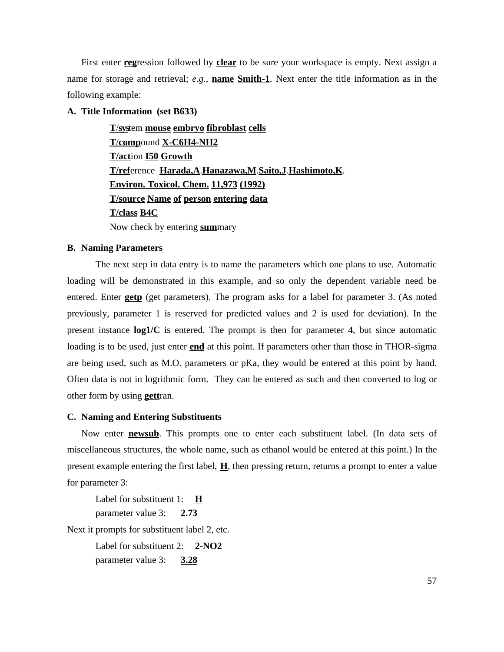First enter **reg**ression followed by **clear** to be sure your workspace is empty. Next assign a name for storage and retrieval; *e.g.,* **name Smith-1**. Next enter the title information as in the following example:

# **A. Title Information (set B633)**

**T**/**sys**tem **mouse embryo fibroblast cells T**/**comp**ound **X-C6H4-NH2 T/act**ion **I50 Growth T/ref**erence **Harada,A**.**Hanazawa,M**.**Saito,J**.**Hashimoto,K**. **Environ. Toxicol. Chem. 11,973 (1992) T/source Name of person entering data T/class B4C** Now check by entering **sum**mary

## **B. Naming Parameters**

The next step in data entry is to name the parameters which one plans to use. Automatic loading will be demonstrated in this example, and so only the dependent variable need be entered. Enter **getp** (get parameters). The program asks for a label for parameter 3. (As noted previously, parameter 1 is reserved for predicted values and 2 is used for deviation). In the present instance **log1/C** is entered. The prompt is then for parameter 4, but since automatic loading is to be used, just enter **end** at this point. If parameters other than those in THOR-sigma are being used, such as M.O. parameters or pKa, they would be entered at this point by hand. Often data is not in logrithmic form. They can be entered as such and then converted to log or other form by using **gett**ran.

### **C. Naming and Entering Substituents**

Now enter **newsub**. This prompts one to enter each substituent label. (In data sets of miscellaneous structures, the whole name, such as ethanol would be entered at this point.) In the present example entering the first label, **H**, then pressing return, returns a prompt to enter a value for parameter 3:

Label for substituent 1: **H** parameter value 3: **2.73**

Next it prompts for substituent label 2, etc.

Label for substituent 2: **2-NO2** parameter value 3: **3.28**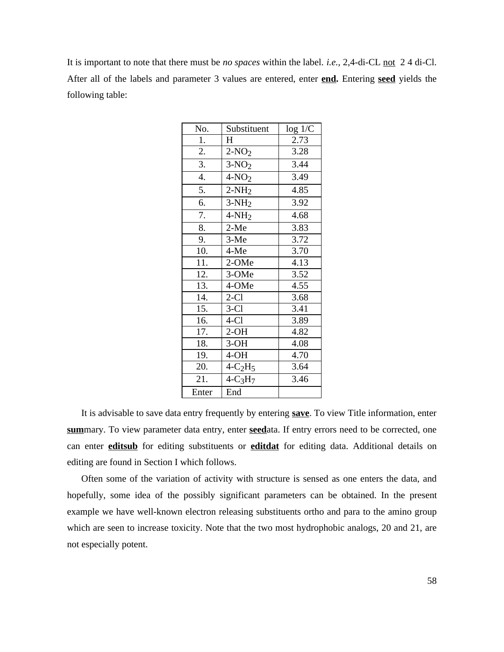It is important to note that there must be *no spaces* within the label. *i.e.,* 2,4-di-CL not 2 4 di-Cl. After all of the labels and parameter 3 values are entered, enter **end.** Entering **seed** yields the following table:

| No.   | Substituent  | log 1/C |
|-------|--------------|---------|
| 1.    | H            | 2.73    |
| 2.    | $2-NO2$      | 3.28    |
| 3.    | $3-NO2$      | 3.44    |
| 4.    | $4-NO2$      | 3.49    |
| 5.    | $2-NH2$      | 4.85    |
| 6.    | $3-NH2$      | 3.92    |
| 7.    | $4-NH2$      | 4.68    |
| 8.    | $2-Me$       | 3.83    |
| 9.    | $3-Me$       | 3.72    |
| 10.   | $4-Me$       | 3.70    |
| 11.   | 2-OMe        | 4.13    |
| 12.   | 3-OMe        | 3.52    |
| 13.   | 4-OMe        | 4.55    |
| 14.   | $2-C1$       | 3.68    |
| 15.   | $3-C1$       | 3.41    |
| 16.   | $4-C1$       | 3.89    |
| 17.   | $2-OH$       | 4.82    |
| 18.   | $3-OH$       | 4.08    |
| 19.   | $4-OH$       | 4.70    |
| 20.   | $4-C2H5$     | 3.64    |
| 21.   | $4 - C_3H_7$ | 3.46    |
| Enter | End          |         |

It is advisable to save data entry frequently by entering **save**. To view Title information, enter **sum**mary. To view parameter data entry, enter **seed**ata. If entry errors need to be corrected, one can enter **editsub** for editing substituents or **editdat** for editing data. Additional details on editing are found in Section I which follows.

Often some of the variation of activity with structure is sensed as one enters the data, and hopefully, some idea of the possibly significant parameters can be obtained. In the present example we have well-known electron releasing substituents ortho and para to the amino group which are seen to increase toxicity. Note that the two most hydrophobic analogs, 20 and 21, are not especially potent.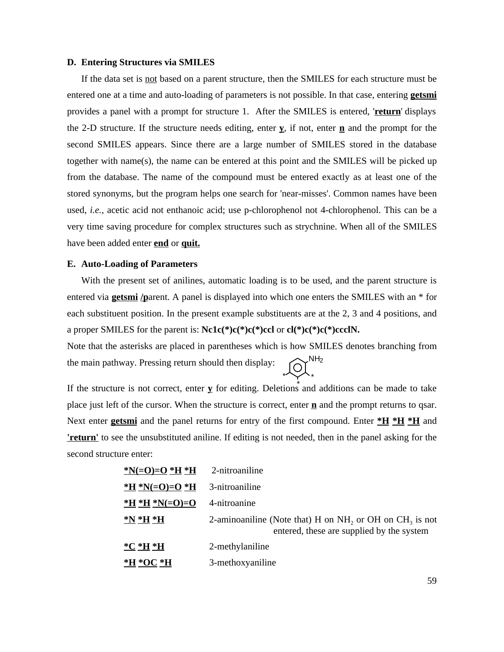### **D. Entering Structures via SMILES**

If the data set is not based on a parent structure, then the SMILES for each structure must be entered one at a time and auto-loading of parameters is not possible. In that case, entering **getsmi** provides a panel with a prompt for structure 1. After the SMILES is entered, '**return**' displays the 2-D structure. If the structure needs editing, enter **y**, if not, enter **n** and the prompt for the second SMILES appears. Since there are a large number of SMILES stored in the database together with name(s), the name can be entered at this point and the SMILES will be picked up from the database. The name of the compound must be entered exactly as at least one of the stored synonyms, but the program helps one search for 'near-misses'. Common names have been used, *i.e.,* acetic acid not enthanoic acid; use p-chlorophenol not 4-chlorophenol. This can be a very time saving procedure for complex structures such as strychnine. When all of the SMILES have been added enter **end** or **quit.**

## **E. Auto-Loading of Parameters**

With the present set of anilines, automatic loading is to be used, and the parent structure is entered via **getsmi /p**arent. A panel is displayed into which one enters the SMILES with an \* for each substituent position. In the present example substituents are at the 2, 3 and 4 positions, and a proper SMILES for the parent is: **Nc1c(\*)c(\*)c(\*)ccl** or **cl(\*)c(\*)c(\*)ccclN.**

Note that the asterisks are placed in parentheses which is how SMILES denotes branching from the main pathway. Pressing return should then display:  $NH<sub>2</sub>$ \* \*

If the structure is not correct, enter  $\underline{v}$  for editing. Deletions and additions can be made to take place just left of the cursor. When the structure is correct, enter **n** and the prompt returns to qsar. Next enter **getsmi** and the panel returns for entry of the first compound. Enter  $*H *H *H$  and **'return'** to see the unsubstituted aniline. If editing is not needed, then in the panel asking for the second structure enter:

| *N(=O)=O *H *H | 2-nitroaniline                                                                                                      |
|----------------|---------------------------------------------------------------------------------------------------------------------|
| *H *N(=O)=O *H | 3-nitroaniline                                                                                                      |
| *H *H *N(=O)=O | 4-nitroanine                                                                                                        |
| $N*H*H$        | 2-aminoaniline (Note that) H on NH <sub>2</sub> or OH on $CH_3$ is not<br>entered, these are supplied by the system |
| $^*C*H*H$      | 2-methylaniline                                                                                                     |
| *H *OC *H      | 3-methoxyaniline                                                                                                    |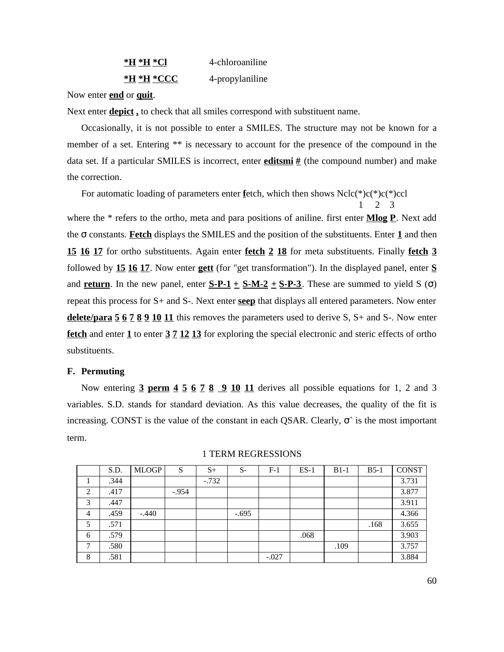| *H *H *Cl  | 4-chloroaniline |
|------------|-----------------|
| *H *H *CCC | 4-propylaniline |

Now enter **end** or **quit**.

Next enter **depict ,** to check that all smiles correspond with substituent name.

Occasionally, it is not possible to enter a SMILES. The structure may not be known for a member of a set. Entering \*\* is necessary to account for the presence of the compound in the data set. If a particular SMILES is incorrect, enter **editsmi** # (the compound number) and make the correction.

For automatic loading of parameters enter **f**etch, which then shows Nclc(\*)c(\*)c(\*)ccl

 1 2 3 where the \* refers to the ortho, meta and para positions of aniline. first enter **Mlog P**. Next add the constants. **Fetch** displays the SMILES and the position of the substituents. Enter **1** and then **15 16 17** for ortho substituents. Again enter **fetch 2 18** for meta substituents. Finally **fetch 3** followed by **15 16 17**. Now enter **gett** (for "get transformation"). In the displayed panel, enter **S** and **return**. In the new panel, enter  $S-P-1 + S-M-2 + S-P-3$ . These are summed to yield S () repeat this process for S+ and S-. Next enter **seep** that displays all entered parameters. Now enter **delete/para 5 6 7 8 9 10 11** this removes the parameters used to derive S, S+ and S-. Now enter **fetch** and enter **1** to enter **3 7 12 13** for exploring the special electronic and steric effects of ortho substituents.

### **F. Permuting**

Now entering **3 perm 4 5 6 7 8 9 10 11** derives all possible equations for 1, 2 and 3 variables. S.D. stands for standard deviation. As this value decreases, the quality of the fit is increasing. CONST is the value of the constant in each QSAR. Clearly,  $+$  is the most important term.

|   | S.D. | <b>MLOGP</b> | S       | $S+$    | $S-$    | $F-1$   | $ES-1$ | $B1-1$ | $B5-1$ | <b>CONST</b> |
|---|------|--------------|---------|---------|---------|---------|--------|--------|--------|--------------|
| 1 | .344 |              |         | $-.732$ |         |         |        |        |        | 3.731        |
| 2 | .417 |              | $-.954$ |         |         |         |        |        |        | 3.877        |
| 3 | .447 |              |         |         |         |         |        |        |        | 3.911        |
| 4 | .459 | $-.440$      |         |         | $-.695$ |         |        |        |        | 4.366        |
| 5 | .571 |              |         |         |         |         |        |        | .168   | 3.655        |
| 6 | .579 |              |         |         |         |         | .068   |        |        | 3.903        |
| 7 | .580 |              |         |         |         |         |        | .109   |        | 3.757        |
| 8 | .581 |              |         |         |         | $-.027$ |        |        |        | 3.884        |

#### 1 TERM REGRESSIONS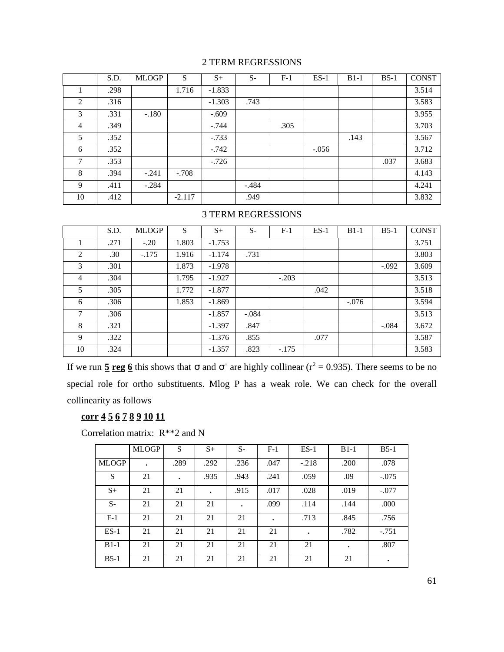# 2 TERM REGRESSIONS

|    | S.D. | <b>MLOGP</b> | S        | $S+$     | $S-$    | $F-1$ | $ES-1$  | $B1-1$ | $B5-1$ | <b>CONST</b> |
|----|------|--------------|----------|----------|---------|-------|---------|--------|--------|--------------|
|    | .298 |              | 1.716    | $-1.833$ |         |       |         |        |        | 3.514        |
| 2  | .316 |              |          | $-1.303$ | .743    |       |         |        |        | 3.583        |
| 3  | .331 | $-.180$      |          | $-.609$  |         |       |         |        |        | 3.955        |
| 4  | .349 |              |          | $-.744$  |         | .305  |         |        |        | 3.703        |
| 5  | .352 |              |          | $-.733$  |         |       |         | .143   |        | 3.567        |
| 6  | .352 |              |          | $-.742$  |         |       | $-.056$ |        |        | 3.712        |
| 7  | .353 |              |          | $-.726$  |         |       |         |        | .037   | 3.683        |
| 8  | .394 | $-.241$      | $-.708$  |          |         |       |         |        |        | 4.143        |
| 9  | .411 | $-.284$      |          |          | $-.484$ |       |         |        |        | 4.241        |
| 10 | .412 |              | $-2.117$ |          | .949    |       |         |        |        | 3.832        |

# 3 TERM REGRESSIONS

|                | S.D. | <b>MLOGP</b> | S     | $S+$     | $S-$    | $F-1$   | $ES-1$ | $B1-1$  | $B5-1$  | <b>CONST</b> |
|----------------|------|--------------|-------|----------|---------|---------|--------|---------|---------|--------------|
|                | .271 | $-.20$       | 1.803 | $-1.753$ |         |         |        |         |         | 3.751        |
| 2              | .30  | $-.175$      | 1.916 | $-1.174$ | .731    |         |        |         |         | 3.803        |
| 3              | .301 |              | 1.873 | $-1.978$ |         |         |        |         | $-.092$ | 3.609        |
| $\overline{4}$ | .304 |              | 1.795 | $-1.927$ |         | $-.203$ |        |         |         | 3.513        |
| 5              | .305 |              | 1.772 | $-1.877$ |         |         | .042   |         |         | 3.518        |
| 6              | .306 |              | 1.853 | $-1.869$ |         |         |        | $-.076$ |         | 3.594        |
| 7              | .306 |              |       | $-1.857$ | $-.084$ |         |        |         |         | 3.513        |
| 8              | .321 |              |       | $-1.397$ | .847    |         |        |         | $-.084$ | 3.672        |
| 9              | .322 |              |       | $-1.376$ | .855    |         | .077   |         |         | 3.587        |
| 10             | .324 |              |       | $-1.357$ | .823    | $-.175$ |        |         |         | 3.583        |

If we run  $\frac{5 \text{ reg } 6}$  this shows that and  $\pm$  are highly collinear ( $r^2 = 0.935$ ). There seems to be no special role for ortho substituents. Mlog P has a weak role. We can check for the overall collinearity as follows

# **corr 4 5 6 7 8 9 10 11**

Correlation matrix: R\*\*2 and N

|              | <b>MLOGP</b> | S         | $S+$      | $S-$      | $F-1$     | $ES-1$    | $B1-1$    | $B5-1$    |
|--------------|--------------|-----------|-----------|-----------|-----------|-----------|-----------|-----------|
| <b>MLOGP</b> | $\bullet$    | .289      | .292      | .236      | .047      | $-.218$   | .200      | .078      |
| S            | 21           | $\bullet$ | .935      | .943      | .241      | .059      | .09       | $-.075$   |
| $S+$         | 21           | 21        | $\bullet$ | .915      | .017      | .028      | .019      | $-.077$   |
| $S-$         | 21           | 21        | 21        | $\bullet$ | .099      | .114      | .144      | .000      |
| $F-1$        | 21           | 21        | 21        | 21        | $\bullet$ | .713      | .845      | .756      |
| $ES-1$       | 21           | 21        | 21        | 21        | 21        | $\bullet$ | .782      | $-.751$   |
| $B1-1$       | 21           | 21        | 21        | 21        | 21        | 21        | $\bullet$ | .807      |
| $B5-1$       | 21           | 21        | 21        | 21        | 21        | 21        | 21        | $\bullet$ |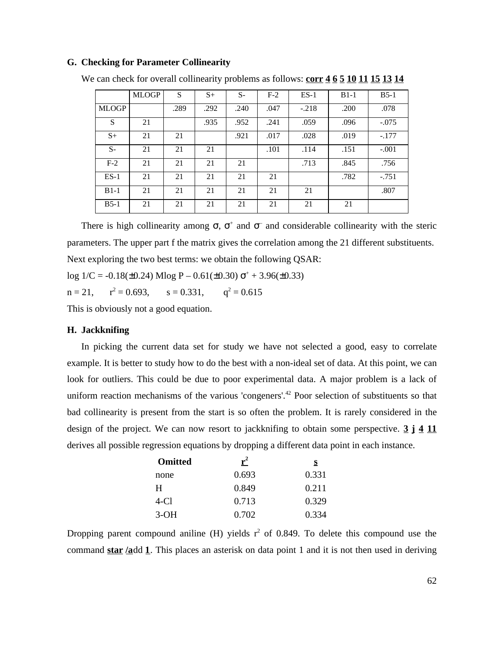### **G. Checking for Parameter Collinearity**

|              | <b>MLOGP</b> | S    | $S+$ | $S-$ | $F-2$ | $ES-1$  | $B1-1$ | $B5-1$  |
|--------------|--------------|------|------|------|-------|---------|--------|---------|
| <b>MLOGP</b> |              | .289 | .292 | .240 | .047  | $-.218$ | .200   | .078    |
| S            | 21           |      | .935 | .952 | .241  | .059    | .096   | $-.075$ |
| $S+$         | 21           | 21   |      | .921 | .017  | .028    | .019   | $-.177$ |
| $S-$         | 21           | 21   | 21   |      | .101  | .114    | .151   | $-.001$ |
| $F-2$        | 21           | 21   | 21   | 21   |       | .713    | .845   | .756    |
| $ES-1$       | 21           | 21   | 21   | 21   | 21    |         | .782   | $-.751$ |
| $B1-1$       | 21           | 21   | 21   | 21   | 21    | 21      |        | .807    |
| $B5-1$       | 21           | 21   | 21   | 21   | 21    | 21      | 21     |         |

We can check for overall collinearity problems as follows: **corr 4 6 5 10 11 15 13 14** 

There is high collinearity among,  $\rightarrow$  and  $\rightarrow$  and considerable collinearity with the steric parameters. The upper part f the matrix gives the correlation among the 21 different substituents. Next exploring the two best terms: we obtain the following QSAR:

 $log 1/C = -0.18(\pm 0.24)$  Mlog P –  $0.61(\pm 0.30)$  <sup>+</sup> + 3.96( $\pm 0.33$ )

 $n = 21$ ,  $a^2 = 0.693$ ,  $s = 0.331$ ,  $q^2 = 0.615$ 

This is obviously not a good equation.

### **H. Jackknifing**

In picking the current data set for study we have not selected a good, easy to correlate example. It is better to study how to do the best with a non-ideal set of data. At this point, we can look for outliers. This could be due to poor experimental data. A major problem is a lack of uniform reaction mechanisms of the various 'congeners'.<sup>42</sup> Poor selection of substituents so that bad collinearity is present from the start is so often the problem. It is rarely considered in the design of the project. We can now resort to jackknifing to obtain some perspective. **3 j 4 11** derives all possible regression equations by dropping a different data point in each instance.

| <b>Omitted</b> | ${\bf r}^2$ | S     |
|----------------|-------------|-------|
| none           | 0.693       | 0.331 |
| H              | 0.849       | 0.211 |
| 4-C1           | 0.713       | 0.329 |
| $3-OH$         | 0.702       | 0.334 |

Dropping parent compound aniline (H) yields  $r^2$  of 0.849. To delete this compound use the command **star /a**dd **1**. This places an asterisk on data point 1 and it is not then used in deriving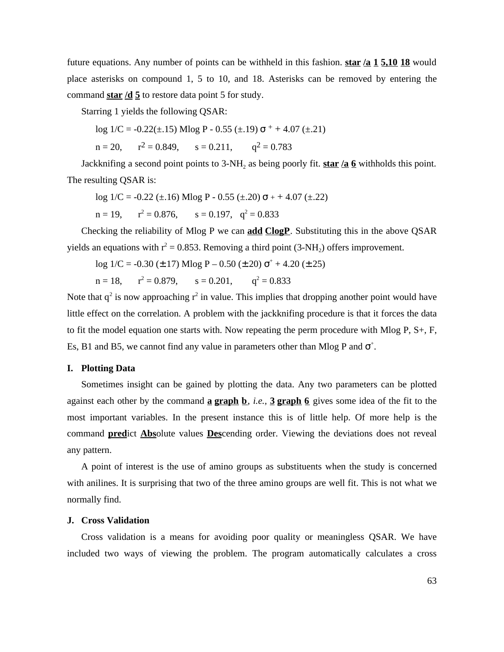future equations. Any number of points can be withheld in this fashion. **star /a 1 5,10 18** would place asterisks on compound 1, 5 to 10, and 18. Asterisks can be removed by entering the command **star /d 5** to restore data point 5 for study.

Starring 1 yields the following QSAR:

 $log 1/C = -0.22(\pm .15)$  Mlog P - 0.55  $(\pm .19)$  + + 4.07  $(\pm .21)$ 

 $n = 20$ ,  $r^2 = 0.849$ ,  $s = 0.211$ ,  $q^2 = 0.783$ 

Jackknifing a second point points to 3-NH<sub>2</sub> as being poorly fit. **star /a 6** withholds this point. The resulting QSAR is:

 $log 1/C = -0.22 (\pm .16)$  Mlog P - 0.55  $(\pm .20)$  + + 4.07  $(\pm .22)$  $n = 19$ ,  $r^2 = 0.876$ ,  $s = 0.197$ ,  $q^2 = 0.833$ 

Checking the reliability of Mlog P we can **add ClogP**. Substituting this in the above QSAR yields an equations with  $r^2 = 0.853$ . Removing a third point (3-NH<sub>2</sub>) offers improvement.

 $log 1/C = -0.30$  (±.17) Mlog P – 0.50 (±.20)  $+ + 4.20$  (±.25)

 $n = 18$ ,  $r^2 = 0.879$ ,  $s = 0.201$ ,  $q^2 = 0.833$ 

Note that  $q^2$  is now approaching  $r^2$  in value. This implies that dropping another point would have little effect on the correlation. A problem with the jackknifing procedure is that it forces the data to fit the model equation one starts with. Now repeating the perm procedure with Mlog P, S+, F, Es, B1 and B5, we cannot find any value in parameters other than Mlog P and  $+$ .

### **I. Plotting Data**

Sometimes insight can be gained by plotting the data. Any two parameters can be plotted against each other by the command **a graph b**, *i.e.,* **3 graph 6** gives some idea of the fit to the most important variables. In the present instance this is of little help. Of more help is the command **pred**ict **Abs**olute values **Des**cending order. Viewing the deviations does not reveal any pattern.

A point of interest is the use of amino groups as substituents when the study is concerned with anilines. It is surprising that two of the three amino groups are well fit. This is not what we normally find.

# **J. Cross Validation**

Cross validation is a means for avoiding poor quality or meaningless QSAR. We have included two ways of viewing the problem. The program automatically calculates a cross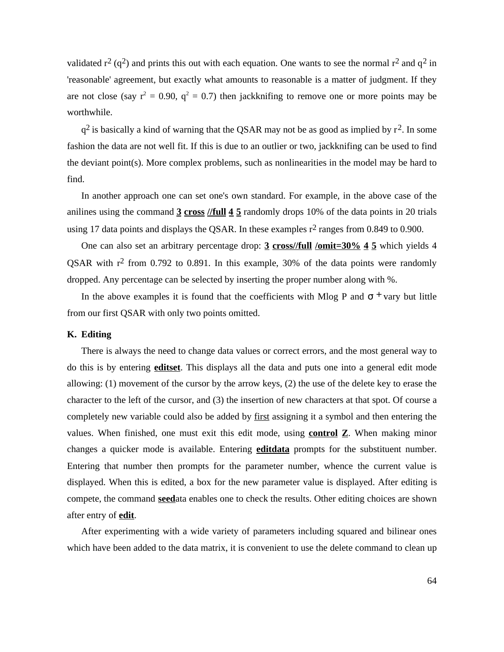validated  $r^2$  (q<sup>2</sup>) and prints this out with each equation. One wants to see the normal  $r^2$  and  $q^2$  in 'reasonable' agreement, but exactly what amounts to reasonable is a matter of judgment. If they are not close (say  $r^2 = 0.90$ ,  $q^2 = 0.7$ ) then jackknifing to remove one or more points may be worthwhile.

 $q^2$  is basically a kind of warning that the QSAR may not be as good as implied by  $r^2$ . In some fashion the data are not well fit. If this is due to an outlier or two, jackknifing can be used to find the deviant point(s). More complex problems, such as nonlinearities in the model may be hard to find.

In another approach one can set one's own standard. For example, in the above case of the anilines using the command **3 cross //full 4 5** randomly drops 10% of the data points in 20 trials using 17 data points and displays the QSAR. In these examples  $r^2$  ranges from 0.849 to 0.900.

One can also set an arbitrary percentage drop: **3 cross//full /omit=30% 4 5** which yields 4 QSAR with  $r^2$  from 0.792 to 0.891. In this example, 30% of the data points were randomly dropped. Any percentage can be selected by inserting the proper number along with %.

In the above examples it is found that the coefficients with Mlog P and  $+$  vary but little from our first QSAR with only two points omitted.

# **K. Editing**

There is always the need to change data values or correct errors, and the most general way to do this is by entering **editset**. This displays all the data and puts one into a general edit mode allowing: (1) movement of the cursor by the arrow keys, (2) the use of the delete key to erase the character to the left of the cursor, and (3) the insertion of new characters at that spot. Of course a completely new variable could also be added by first assigning it a symbol and then entering the values. When finished, one must exit this edit mode, using **control Z**. When making minor changes a quicker mode is available. Entering **editdata** prompts for the substituent number. Entering that number then prompts for the parameter number, whence the current value is displayed. When this is edited, a box for the new parameter value is displayed. After editing is compete, the command **seed**ata enables one to check the results. Other editing choices are shown after entry of **edit**.

After experimenting with a wide variety of parameters including squared and bilinear ones which have been added to the data matrix, it is convenient to use the delete command to clean up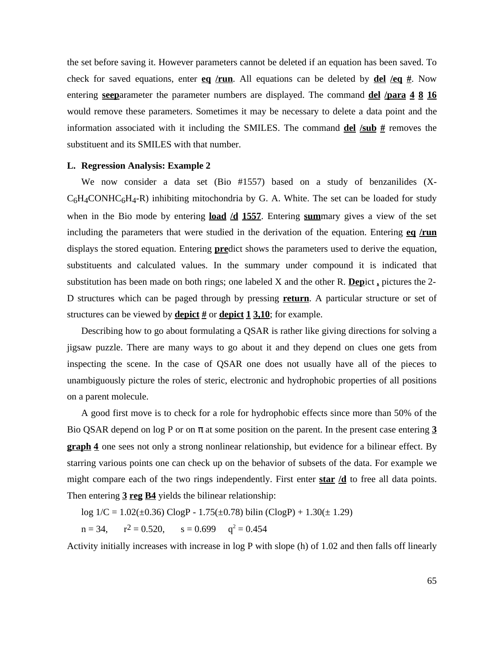the set before saving it. However parameters cannot be deleted if an equation has been saved. To check for saved equations, enter **eq** /run. All equations can be deleted by **del** /eq  $#$ . Now entering **seep**arameter the parameter numbers are displayed. The command **del /para 4 8 16** would remove these parameters. Sometimes it may be necessary to delete a data point and the information associated with it including the SMILES. The command  $\frac{del}{d\mathbf{el}}/\frac{sub}{d\mathbf{t}}$  removes the substituent and its SMILES with that number.

### **L. Regression Analysis: Example 2**

We now consider a data set (Bio #1557) based on a study of benzanilides (X- $C_6H_4$ CONHC $_6H_4$ -R) inhibiting mitochondria by G. A. White. The set can be loaded for study when in the Bio mode by entering **load /d 1557**. Entering **sum**mary gives a view of the set including the parameters that were studied in the derivation of the equation. Entering **eq /run** displays the stored equation. Entering **pre**dict shows the parameters used to derive the equation, substituents and calculated values. In the summary under compound it is indicated that substitution has been made on both rings; one labeled X and the other R. **Dep**ict **,** pictures the 2- D structures which can be paged through by pressing **return**. A particular structure or set of structures can be viewed by **depict #** or **depict 1 3,10**; for example.

Describing how to go about formulating a QSAR is rather like giving directions for solving a jigsaw puzzle. There are many ways to go about it and they depend on clues one gets from inspecting the scene. In the case of QSAR one does not usually have all of the pieces to unambiguously picture the roles of steric, electronic and hydrophobic properties of all positions on a parent molecule.

A good first move is to check for a role for hydrophobic effects since more than 50% of the Bio QSAR depend on log P or on at some position on the parent. In the present case entering **3 graph 4** one sees not only a strong nonlinear relationship, but evidence for a bilinear effect. By starring various points one can check up on the behavior of subsets of the data. For example we might compare each of the two rings independently. First enter **star /d** to free all data points. Then entering **3 reg B4** yields the bilinear relationship:

log  $1/C = 1.02(\pm 0.36)$  ClogP -  $1.75(\pm 0.78)$  bilin (ClogP) +  $1.30(\pm 1.29)$ 

 $n = 34$ ,  $r^2 = 0.520$ ,  $x^2 = 0.520$ ,  $s = 0.699$   $q^2 = 0.454$ 

Activity initially increases with increase in log P with slope (h) of 1.02 and then falls off linearly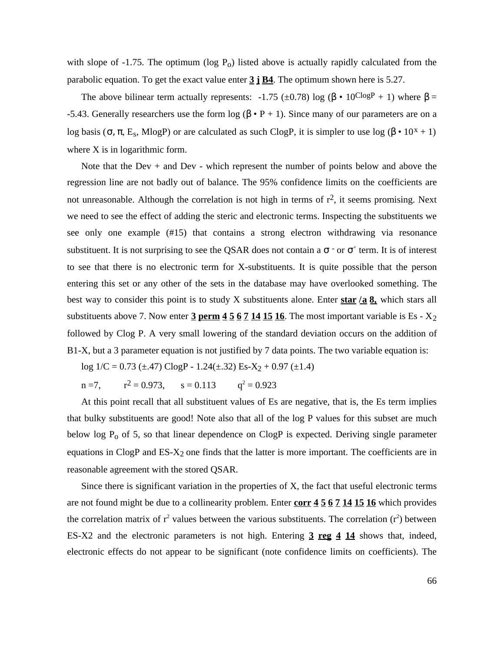with slope of  $-1.75$ . The optimum (log  $P_0$ ) listed above is actually rapidly calculated from the parabolic equation. To get the exact value enter **3 j B4**. The optimum shown here is 5.27.

The above bilinear term actually represents:  $-1.75$  ( $\pm 0.78$ ) log ( $\cdot 10^{\text{Clog}P} + 1$ ) where = -5.43. Generally researchers use the form  $log(-P + 1)$ . Since many of our parameters are on a log basis ( $E_s$ , MlogP) or are calculated as such ClogP, it is simpler to use log ( $\cdot 10^{x} + 1$ ) where X is in logarithmic form.

Note that the Dev + and Dev - which represent the number of points below and above the regression line are not badly out of balance. The 95% confidence limits on the coefficients are not unreasonable. Although the correlation is not high in terms of  $r^2$ , it seems promising. Next we need to see the effect of adding the steric and electronic terms. Inspecting the substituents we see only one example (#15) that contains a strong electron withdrawing via resonance substituent. It is not surprising to see the QSAR does not contain a  $-$  or  $+$  term. It is of interest to see that there is no electronic term for X-substituents. It is quite possible that the person entering this set or any other of the sets in the database may have overlooked something. The best way to consider this point is to study X substituents alone. Enter **star /a 8,** which stars all substituents above 7. Now enter  $\frac{3 \text{ perm}}{4}$   $\frac{5 \text{ 6} 7 \text{ 14} 15 \text{ 16}}{15 \text{ }}$ . The most important variable is Es -  $X_2$ followed by Clog P. A very small lowering of the standard deviation occurs on the addition of B1-X, but a 3 parameter equation is not justified by 7 data points. The two variable equation is:

log  $1/C = 0.73$  (±.47) ClogP - 1.24(±.32) Es-X<sub>2</sub> + 0.97 (±1.4)

 $n = 7$ .  $x^2 = 0.973$ ,  $s = 0.113$   $q^2 = 0.923$ 

At this point recall that all substituent values of Es are negative, that is, the Es term implies that bulky substituents are good! Note also that all of the log P values for this subset are much below log  $P_0$  of 5, so that linear dependence on ClogP is expected. Deriving single parameter equations in ClogP and ES-X2 one finds that the latter is more important. The coefficients are in reasonable agreement with the stored QSAR.

Since there is significant variation in the properties of X, the fact that useful electronic terms are not found might be due to a collinearity problem. Enter **corr 4 5 6 7 14 15 16** which provides the correlation matrix of  $r^2$  values between the various substituents. The correlation  $(r^2)$  between ES-X2 and the electronic parameters is not high. Entering **3 reg 4 14** shows that, indeed, electronic effects do not appear to be significant (note confidence limits on coefficients). The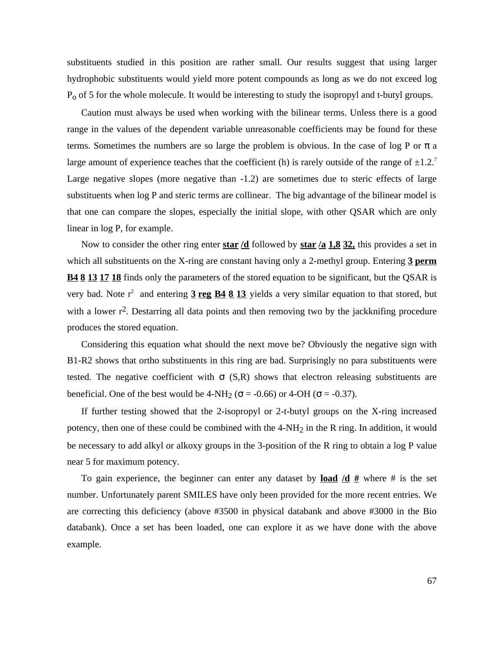substituents studied in this position are rather small. Our results suggest that using larger hydrophobic substituents would yield more potent compounds as long as we do not exceed log Po of 5 for the whole molecule. It would be interesting to study the isopropyl and t-butyl groups.

Caution must always be used when working with the bilinear terms. Unless there is a good range in the values of the dependent variable unreasonable coefficients may be found for these terms. Sometimes the numbers are so large the problem is obvious. In the case of log P or a large amount of experience teaches that the coefficient (h) is rarely outside of the range of  $\pm 1.2$ .<sup>7</sup> Large negative slopes (more negative than -1.2) are sometimes due to steric effects of large substituents when log P and steric terms are collinear. The big advantage of the bilinear model is that one can compare the slopes, especially the initial slope, with other QSAR which are only linear in log P, for example.

Now to consider the other ring enter **star /d** followed by **star /a 1,8 32,** this provides a set in which all substituents on the X-ring are constant having only a 2-methyl group. Entering **3 perm B4 8 13 17 18** finds only the parameters of the stored equation to be significant, but the QSAR is very bad. Note r<sup>2</sup> and entering **3 reg B4 8 13** yields a very similar equation to that stored, but with a lower  $r^2$ . Destarring all data points and then removing two by the jackknifing procedure produces the stored equation.

Considering this equation what should the next move be? Obviously the negative sign with B1-R2 shows that ortho substituents in this ring are bad. Surprisingly no para substituents were tested. The negative coefficient with (S,R) shows that electron releasing substituents are beneficial. One of the best would be  $4-NH_2$  ( $= -0.66$ ) or  $4-OH$  ( $= -0.37$ ).

If further testing showed that the 2-isopropyl or 2-t-butyl groups on the X-ring increased potency, then one of these could be combined with the 4-NH<sub>2</sub> in the R ring. In addition, it would be necessary to add alkyl or alkoxy groups in the 3-position of the R ring to obtain a log P value near 5 for maximum potency.

To gain experience, the beginner can enter any dataset by **load**  $\frac{d}{dx}$  where # is the set number. Unfortunately parent SMILES have only been provided for the more recent entries. We are correcting this deficiency (above #3500 in physical databank and above #3000 in the Bio databank). Once a set has been loaded, one can explore it as we have done with the above example.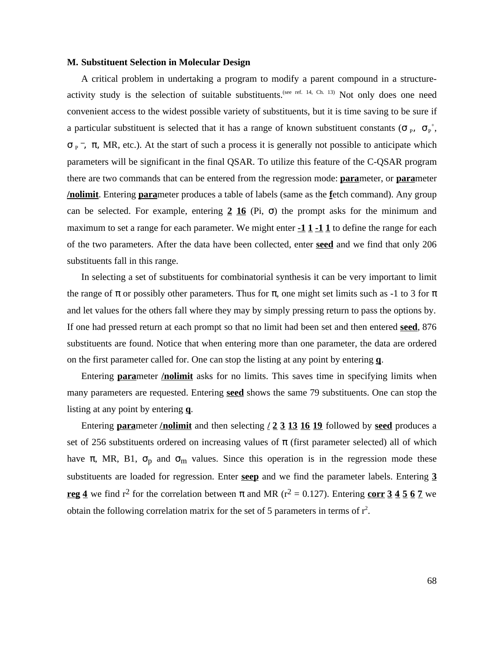### **M. Substituent Selection in Molecular Design**

A critical problem in undertaking a program to modify a parent compound in a structureactivity study is the selection of suitable substituents.<sup>(see ref. 14, Ch. 13)</sup> Not only does one need convenient access to the widest possible variety of substituents, but it is time saving to be sure if a particular substituent is selected that it has a range of known substituent constants ( $p_i - p_i$ ,

 $_{\text{p}}$ , MR, etc.). At the start of such a process it is generally not possible to anticipate which parameters will be significant in the final QSAR. To utilize this feature of the C-QSAR program there are two commands that can be entered from the regression mode: **para**meter, or **para**meter **/nolimit**. Entering **para**meter produces a table of labels (same as the **f**etch command). Any group can be selected. For example, entering  $2\overline{16}$  (Pi, ) the prompt asks for the minimum and maximum to set a range for each parameter. We might enter **-1 1 -1 1** to define the range for each of the two parameters. After the data have been collected, enter **seed** and we find that only 206 substituents fall in this range.

In selecting a set of substituents for combinatorial synthesis it can be very important to limit the range of or possibly other parameters. Thus for , one might set limits such as -1 to 3 for and let values for the others fall where they may by simply pressing return to pass the options by. If one had pressed return at each prompt so that no limit had been set and then entered **seed**, 876 substituents are found. Notice that when entering more than one parameter, the data are ordered on the first parameter called for. One can stop the listing at any point by entering **q**.

Entering **para**meter **/nolimit** asks for no limits. This saves time in specifying limits when many parameters are requested. Entering **seed** shows the same 79 substituents. One can stop the listing at any point by entering **q**.

Entering **para**meter **/nolimit** and then selecting **/ 2 3 13 16 19** followed by **seed** produces a set of 256 substituents ordered on increasing values of (first parameter selected) all of which have , MR, B1,  $_p$  and  $_m$  values. Since this operation is in the regression mode these substituents are loaded for regression. Enter **seep** and we find the parameter labels. Entering **3 reg 4** we find r<sup>2</sup> for the correlation between and MR ( $r^2 = 0.127$ ). Entering **corr 3 4 5 6 7** we obtain the following correlation matrix for the set of 5 parameters in terms of  $r^2$ .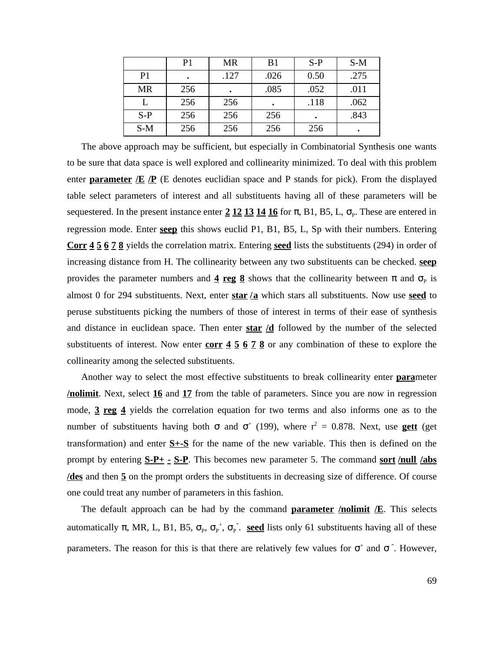|                | P <sub>1</sub> | <b>MR</b> | B <sub>1</sub> | $S-P$ | $S-M$ |
|----------------|----------------|-----------|----------------|-------|-------|
| P <sub>1</sub> |                | .127      | .026           | 0.50  | .275  |
| <b>MR</b>      | 256            |           | .085           | .052  | .011  |
|                | 256            | 256       |                | .118  | .062  |
| $S-P$          | 256            | 256       | 256            |       | .843  |
| $S-M$          | 256            | 256       | 256            | 256   | ٠     |

The above approach may be sufficient, but especially in Combinatorial Synthesis one wants to be sure that data space is well explored and collinearity minimized. To deal with this problem enter **parameter**  $E$   $\overline{P}$  (E denotes euclidian space and P stands for pick). From the displayed table select parameters of interest and all substituents having all of these parameters will be sequestered. In the present instance enter 2 12 13 14 16 for , B1, B5, L, <sub>P</sub>. These are entered in regression mode. Enter **seep** this shows euclid P1, B1, B5, L, Sp with their numbers. Entering **Corr 4 5 6 7 8** yields the correlation matrix. Entering **seed** lists the substituents (294) in order of increasing distance from H. The collinearity between any two substituents can be checked. **seep** provides the parameter numbers and  $\frac{4 \text{ reg}}{2}$  shows that the collinearity between and  $\mu$  is almost 0 for 294 substituents. Next, enter **star /a** which stars all substituents. Now use **seed** to peruse substituents picking the numbers of those of interest in terms of their ease of synthesis and distance in euclidean space. Then enter **star /d** followed by the number of the selected substituents of interest. Now enter **corr 4 5 6 7 8** or any combination of these to explore the collinearity among the selected substituents.

Another way to select the most effective substituents to break collinearity enter **para**meter **/nolimit**. Next, select **16** and **17** from the table of parameters. Since you are now in regression mode, **3 reg 4** yields the correlation equation for two terms and also informs one as to the number of substituents having both and  $(199)$ , where  $r^2 = 0.878$ . Next, use **gett** (get transformation) and enter **S+-S** for the name of the new variable. This then is defined on the prompt by entering **S-P+ - S-P**. This becomes new parameter 5. The command **sort /null /abs /des** and then **5** on the prompt orders the substituents in decreasing size of difference. Of course one could treat any number of parameters in this fashion.

The default approach can be had by the command **parameter /nolimit /E**. This selects automatically , MR, L, B1, B5,  $_{P}$ ,  $_{P}^{+}$ ,  $_{P}^{-}$ . **seed** lists only 61 substituents having all of these parameters. The reason for this is that there are relatively few values for  $+$  and  $-$ . However,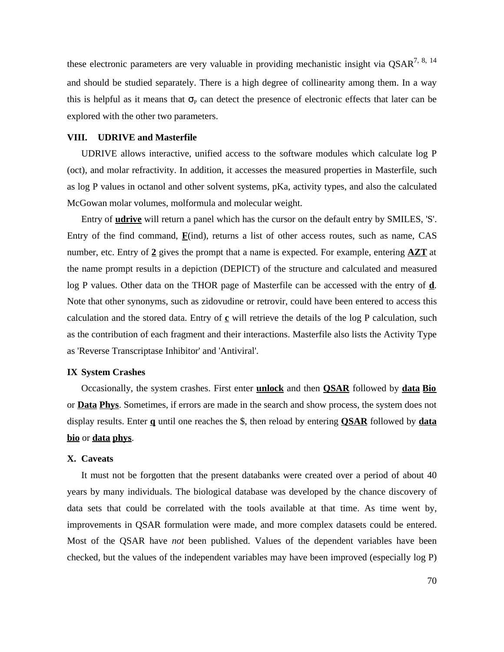these electronic parameters are very valuable in providing mechanistic insight via  $\text{QSAR}^{7, 8, 14}$ and should be studied separately. There is a high degree of collinearity among them. In a way this is helpful as it means that  $P<sub>P</sub>$  can detect the presence of electronic effects that later can be explored with the other two parameters.

# **VIII. UDRIVE and Masterfile**

UDRIVE allows interactive, unified access to the software modules which calculate log P (oct), and molar refractivity. In addition, it accesses the measured properties in Masterfile, such as log P values in octanol and other solvent systems, pKa, activity types, and also the calculated McGowan molar volumes, molformula and molecular weight.

Entry of **udrive** will return a panel which has the cursor on the default entry by SMILES, 'S'. Entry of the find command, **F**(ind), returns a list of other access routes, such as name, CAS number, etc. Entry of **2** gives the prompt that a name is expected. For example, entering **AZT** at the name prompt results in a depiction (DEPICT) of the structure and calculated and measured log P values. Other data on the THOR page of Masterfile can be accessed with the entry of **d**. Note that other synonyms, such as zidovudine or retrovir, could have been entered to access this calculation and the stored data. Entry of  $\mathbf c$  will retrieve the details of the log P calculation, such as the contribution of each fragment and their interactions. Masterfile also lists the Activity Type as 'Reverse Transcriptase Inhibitor' and 'Antiviral'.

## **IX System Crashes**

Occasionally, the system crashes. First enter **unlock** and then **QSAR** followed by **data Bio** or **Data Phys**. Sometimes, if errors are made in the search and show process, the system does not display results. Enter **q** until one reaches the \$, then reload by entering **QSAR** followed by **data bio** or **data phys**.

# **X. Caveats**

It must not be forgotten that the present databanks were created over a period of about 40 years by many individuals. The biological database was developed by the chance discovery of data sets that could be correlated with the tools available at that time. As time went by, improvements in QSAR formulation were made, and more complex datasets could be entered. Most of the QSAR have *not* been published. Values of the dependent variables have been checked, but the values of the independent variables may have been improved (especially log P)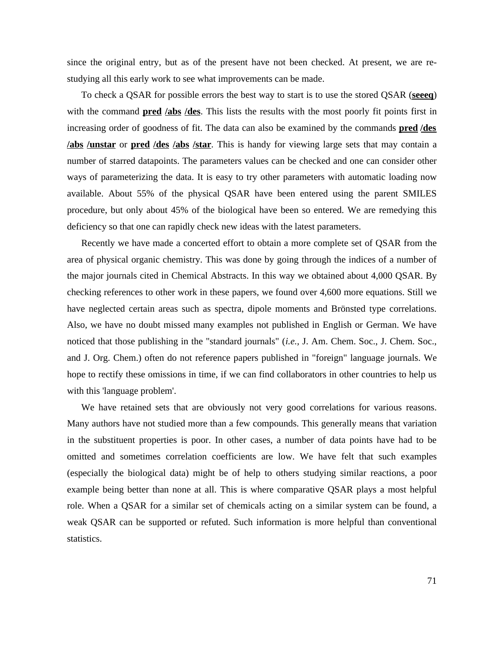since the original entry, but as of the present have not been checked. At present, we are restudying all this early work to see what improvements can be made.

To check a QSAR for possible errors the best way to start is to use the stored QSAR (**seeeq**) with the command **pred /abs /des**. This lists the results with the most poorly fit points first in increasing order of goodness of fit. The data can also be examined by the commands **pred /des /abs /unstar** or **pred /des /abs /star**. This is handy for viewing large sets that may contain a number of starred datapoints. The parameters values can be checked and one can consider other ways of parameterizing the data. It is easy to try other parameters with automatic loading now available. About 55% of the physical QSAR have been entered using the parent SMILES procedure, but only about 45% of the biological have been so entered. We are remedying this deficiency so that one can rapidly check new ideas with the latest parameters.

Recently we have made a concerted effort to obtain a more complete set of QSAR from the area of physical organic chemistry. This was done by going through the indices of a number of the major journals cited in Chemical Abstracts. In this way we obtained about 4,000 QSAR. By checking references to other work in these papers, we found over 4,600 more equations. Still we have neglected certain areas such as spectra, dipole moments and Brönsted type correlations. Also, we have no doubt missed many examples not published in English or German. We have noticed that those publishing in the "standard journals" (*i.e.,* J. Am. Chem. Soc., J. Chem. Soc., and J. Org. Chem.) often do not reference papers published in "foreign" language journals. We hope to rectify these omissions in time, if we can find collaborators in other countries to help us with this 'language problem'.

We have retained sets that are obviously not very good correlations for various reasons. Many authors have not studied more than a few compounds. This generally means that variation in the substituent properties is poor. In other cases, a number of data points have had to be omitted and sometimes correlation coefficients are low. We have felt that such examples (especially the biological data) might be of help to others studying similar reactions, a poor example being better than none at all. This is where comparative QSAR plays a most helpful role. When a QSAR for a similar set of chemicals acting on a similar system can be found, a weak QSAR can be supported or refuted. Such information is more helpful than conventional statistics.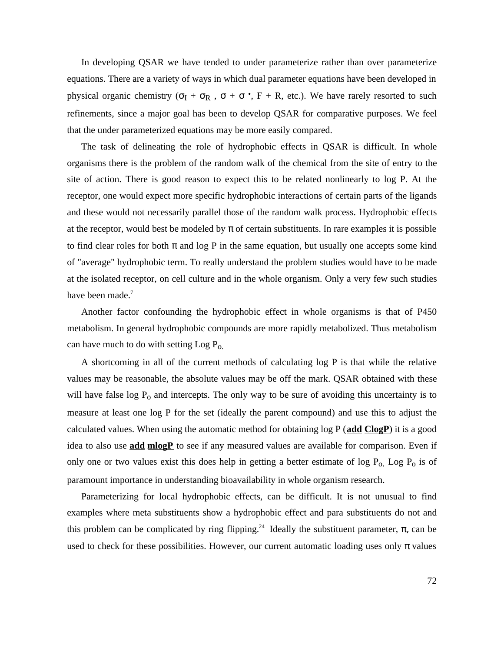In developing QSAR we have tended to under parameterize rather than over parameterize equations. There are a variety of ways in which dual parameter equations have been developed in physical organic chemistry ( $I + R$ , +  $\cdot$ , F + R, etc.). We have rarely resorted to such refinements, since a major goal has been to develop QSAR for comparative purposes. We feel that the under parameterized equations may be more easily compared.

The task of delineating the role of hydrophobic effects in QSAR is difficult. In whole organisms there is the problem of the random walk of the chemical from the site of entry to the site of action. There is good reason to expect this to be related nonlinearly to log P. At the receptor, one would expect more specific hydrophobic interactions of certain parts of the ligands and these would not necessarily parallel those of the random walk process. Hydrophobic effects at the receptor, would best be modeled by of certain substituents. In rare examples it is possible to find clear roles for both and  $log P$  in the same equation, but usually one accepts some kind of "average" hydrophobic term. To really understand the problem studies would have to be made at the isolated receptor, on cell culture and in the whole organism. Only a very few such studies have been made.<sup>7</sup>

Another factor confounding the hydrophobic effect in whole organisms is that of P450 metabolism. In general hydrophobic compounds are more rapidly metabolized. Thus metabolism can have much to do with setting Log Po.

A shortcoming in all of the current methods of calculating log P is that while the relative values may be reasonable, the absolute values may be off the mark. QSAR obtained with these will have false  $log P_0$  and intercepts. The only way to be sure of avoiding this uncertainty is to measure at least one log P for the set (ideally the parent compound) and use this to adjust the calculated values. When using the automatic method for obtaining log P (**add ClogP**) it is a good idea to also use **add mlogP** to see if any measured values are available for comparison. Even if only one or two values exist this does help in getting a better estimate of log  $P_0$ . Log  $P_0$  is of paramount importance in understanding bioavailability in whole organism research.

Parameterizing for local hydrophobic effects, can be difficult. It is not unusual to find examples where meta substituents show a hydrophobic effect and para substituents do not and this problem can be complicated by ring flipping.<sup>24</sup> Ideally the substituent parameter,  $\mu$ , can be used to check for these possibilities. However, our current automatic loading uses only values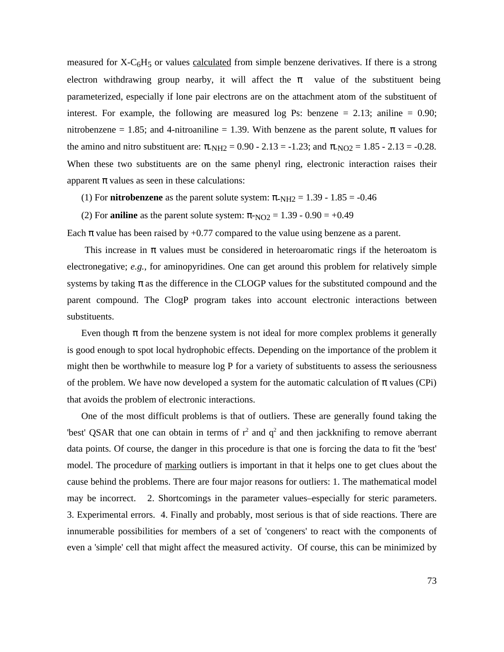measured for  $X-C<sub>6</sub>H<sub>5</sub>$  or values calculated from simple benzene derivatives. If there is a strong electron withdrawing group nearby, it will affect the value of the substituent being parameterized, especially if lone pair electrons are on the attachment atom of the substituent of interest. For example, the following are measured log Ps: benzene  $= 2.13$ ; aniline  $= 0.90$ ; nitrobenzene  $= 1.85$ ; and 4-nitroaniline  $= 1.39$ . With benzene as the parent solute, values for the amino and nitro substituent are:  $N_{\text{H2}} = 0.90 - 2.13 = -1.23$ ; and  $N_{\text{O2}} = 1.85 - 2.13 = -0.28$ . When these two substituents are on the same phenyl ring, electronic interaction raises their apparent values as seen in these calculations:

- (1) For **nitrobenzene** as the parent solute system:  $N_{\text{H2}} = 1.39 1.85 = -0.46$
- (2) For **aniline** as the parent solute system:  $NQ_2 = 1.39 0.90 = +0.49$

Each value has been raised by  $+0.77$  compared to the value using benzene as a parent.

 This increase in values must be considered in heteroaromatic rings if the heteroatom is electronegative; *e.g.,* for aminopyridines. One can get around this problem for relatively simple systems by taking as the difference in the CLOGP values for the substituted compound and the parent compound. The ClogP program takes into account electronic interactions between substituents.

Even though from the benzene system is not ideal for more complex problems it generally is good enough to spot local hydrophobic effects. Depending on the importance of the problem it might then be worthwhile to measure log P for a variety of substituents to assess the seriousness of the problem. We have now developed a system for the automatic calculation of values (CPi) that avoids the problem of electronic interactions.

One of the most difficult problems is that of outliers. These are generally found taking the 'best' QSAR that one can obtain in terms of  $r^2$  and  $q^2$  and then jackknifing to remove aberrant data points. Of course, the danger in this procedure is that one is forcing the data to fit the 'best' model. The procedure of marking outliers is important in that it helps one to get clues about the cause behind the problems. There are four major reasons for outliers: 1. The mathematical model may be incorrect. 2. Shortcomings in the parameter values–especially for steric parameters. 3. Experimental errors. 4. Finally and probably, most serious is that of side reactions. There are innumerable possibilities for members of a set of 'congeners' to react with the components of even a 'simple' cell that might affect the measured activity. Of course, this can be minimized by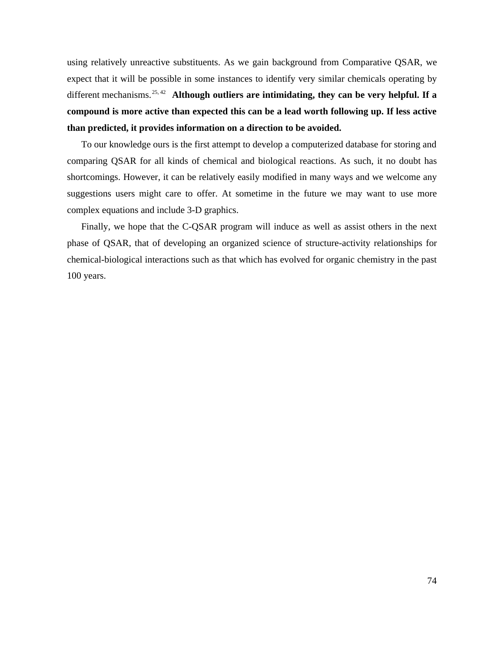using relatively unreactive substituents. As we gain background from Comparative QSAR, we expect that it will be possible in some instances to identify very similar chemicals operating by different mechanisms.25, 42 **Although outliers are intimidating, they can be very helpful. If a compound is more active than expected this can be a lead worth following up. If less active than predicted, it provides information on a direction to be avoided.**

To our knowledge ours is the first attempt to develop a computerized database for storing and comparing QSAR for all kinds of chemical and biological reactions. As such, it no doubt has shortcomings. However, it can be relatively easily modified in many ways and we welcome any suggestions users might care to offer. At sometime in the future we may want to use more complex equations and include 3-D graphics.

Finally, we hope that the C-QSAR program will induce as well as assist others in the next phase of QSAR, that of developing an organized science of structure-activity relationships for chemical-biological interactions such as that which has evolved for organic chemistry in the past 100 years.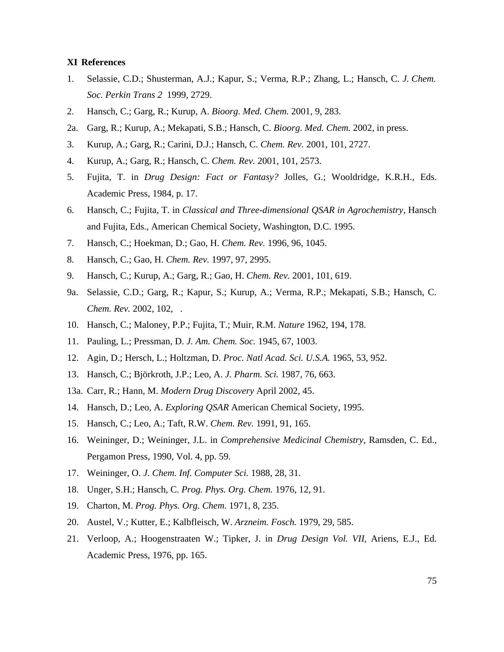## **XI References**

- 1. Selassie, C.D.; Shusterman, A.J.; Kapur, S.; Verma, R.P.; Zhang, L.; Hansch, C. *J. Chem. Soc. Perkin Trans 2* 1999, 2729.
- 2. Hansch, C.; Garg, R.; Kurup, A. *Bioorg. Med. Chem.* 2001, 9, 283.
- 2a. Garg, R.; Kurup, A.; Mekapati, S.B.; Hansch, C. *Bioorg. Med. Chem.* 2002, in press.
- 3. Kurup, A.; Garg, R.; Carini, D.J.; Hansch, C. *Chem. Rev.* 2001, 101, 2727.
- 4. Kurup, A.; Garg, R.; Hansch, C. *Chem. Rev.* 2001, 101, 2573.
- 5. Fujita, T. in *Drug Design: Fact or Fantasy?* Jolles, G.; Wooldridge, K.R.H., Eds. Academic Press, 1984, p. 17.
- 6. Hansch, C.; Fujita, T. in *Classical and Three-dimensional QSAR in Agrochemistry*, Hansch and Fujita, Eds., American Chemical Society, Washington, D.C. 1995.
- 7. Hansch, C.; Hoekman, D.; Gao, H. *Chem. Rev.* 1996, 96, 1045.
- 8. Hansch, C.; Gao, H. *Chem. Rev.* 1997, 97, 2995.
- 9. Hansch, C.; Kurup, A.; Garg, R.; Gao, H. *Chem. Rev.* 2001, 101, 619.
- 9a. Selassie, C.D.; Garg, R.; Kapur, S.; Kurup, A.; Verma, R.P.; Mekapati, S.B.; Hansch, C. *Chem. Rev.* 2002, 102, .
- 10. Hansch, C.; Maloney, P.P.; Fujita, T.; Muir, R.M. *Nature* 1962, 194, 178.
- 11. Pauling, L.; Pressman, D. *J. Am. Chem. Soc.* 1945, 67, 1003.
- 12. Agin, D.; Hersch, L.; Holtzman, D. *Proc. Natl Acad. Sci. U.S.A.* 1965, 53, 952.
- 13. Hansch, C.; Björkroth, J.P.; Leo, A. *J. Pharm. Sci.* 1987, 76, 663.
- 13a. Carr, R.; Hann, M. *Modern Drug Discovery* April 2002, 45.
- 14. Hansch, D.; Leo, A. *Exploring QSAR* American Chemical Society, 1995.
- 15. Hansch, C.; Leo, A.; Taft, R.W. *Chem. Rev.* 1991, 91, 165.
- 16. Weininger, D.; Weininger, J.L. in *Comprehensive Medicinal Chemistry*, Ramsden, C. Ed., Pergamon Press, 1990, Vol. 4, pp. 59.
- 17. Weininger, O. *J. Chem. Inf. Computer Sci.* 1988, 28, 31.
- 18. Unger, S.H.; Hansch, C. *Prog. Phys. Org. Chem.* 1976, 12, 91.
- 19. Charton, M. *Prog. Phys. Org. Chem.* 1971, 8, 235.
- 20. Austel, V.; Kutter, E.; Kalbfleisch, W. *Arzneim. Fosch.* 1979, 29, 585.
- 21. Verloop, A.; Hoogenstraaten W.; Tipker, J. in *Drug Design Vol. VII*, Ariens, E.J., Ed. Academic Press, 1976, pp. 165.